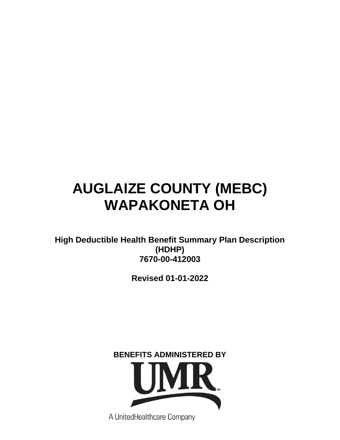# **AUGLAIZE COUNTY (MEBC) WAPAKONETA OH**

**High Deductible Health Benefit Summary Plan Description (HDHP) 7670-00-412003**

**Revised 01-01-2022**



A UnitedHealthcare Company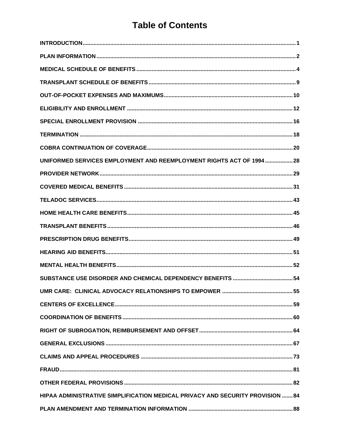## **Table of Contents**

| UNIFORMED SERVICES EMPLOYMENT AND REEMPLOYMENT RIGHTS ACT OF 1994  28         |
|-------------------------------------------------------------------------------|
|                                                                               |
|                                                                               |
|                                                                               |
|                                                                               |
|                                                                               |
|                                                                               |
|                                                                               |
|                                                                               |
|                                                                               |
|                                                                               |
|                                                                               |
|                                                                               |
|                                                                               |
|                                                                               |
|                                                                               |
|                                                                               |
|                                                                               |
| HIPAA ADMINISTRATIVE SIMPLIFICATION MEDICAL PRIVACY AND SECURITY PROVISION 84 |
|                                                                               |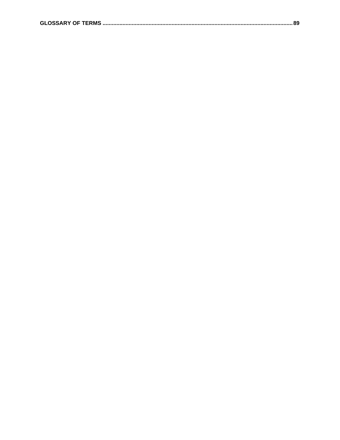|--|--|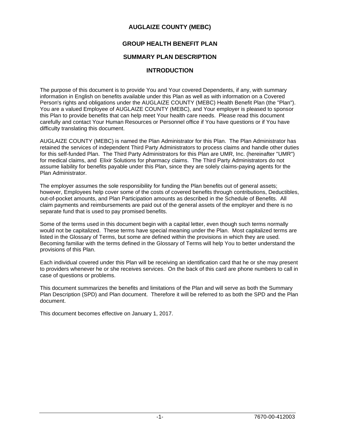### **AUGLAIZE COUNTY (MEBC)**

### **GROUP HEALTH BENEFIT PLAN**

### **SUMMARY PLAN DESCRIPTION**

### **INTRODUCTION**

The purpose of this document is to provide You and Your covered Dependents, if any, with summary information in English on benefits available under this Plan as well as with information on a Covered Person's rights and obligations under the AUGLAIZE COUNTY (MEBC) Health Benefit Plan (the "Plan"). You are a valued Employee of AUGLAIZE COUNTY (MEBC), and Your employer is pleased to sponsor this Plan to provide benefits that can help meet Your health care needs. Please read this document carefully and contact Your Human Resources or Personnel office if You have questions or if You have difficulty translating this document.

AUGLAIZE COUNTY (MEBC) is named the Plan Administrator for this Plan. The Plan Administrator has retained the services of independent Third Party Administrators to process claims and handle other duties for this self-funded Plan. The Third Party Administrators for this Plan are UMR, Inc. (hereinafter "UMR") for medical claims, and Elixir Solutions for pharmacy claims. The Third Party Administrators do not assume liability for benefits payable under this Plan, since they are solely claims-paying agents for the Plan Administrator.

The employer assumes the sole responsibility for funding the Plan benefits out of general assets; however, Employees help cover some of the costs of covered benefits through contributions, Deductibles, out-of-pocket amounts, and Plan Participation amounts as described in the Schedule of Benefits. All claim payments and reimbursements are paid out of the general assets of the employer and there is no separate fund that is used to pay promised benefits.

Some of the terms used in this document begin with a capital letter, even though such terms normally would not be capitalized. These terms have special meaning under the Plan. Most capitalized terms are listed in the Glossary of Terms, but some are defined within the provisions in which they are used. Becoming familiar with the terms defined in the Glossary of Terms will help You to better understand the provisions of this Plan.

Each individual covered under this Plan will be receiving an identification card that he or she may present to providers whenever he or she receives services. On the back of this card are phone numbers to call in case of questions or problems.

This document summarizes the benefits and limitations of the Plan and will serve as both the Summary Plan Description (SPD) and Plan document. Therefore it will be referred to as both the SPD and the Plan document.

This document becomes effective on January 1, 2017.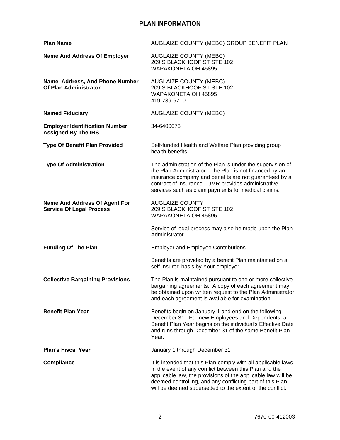### **PLAN INFORMATION**

| <b>Plan Name</b>                                                    | AUGLAIZE COUNTY (MEBC) GROUP BENEFIT PLAN                                                                                                                                                                                                                                                                         |
|---------------------------------------------------------------------|-------------------------------------------------------------------------------------------------------------------------------------------------------------------------------------------------------------------------------------------------------------------------------------------------------------------|
| <b>Name And Address Of Employer</b>                                 | <b>AUGLAIZE COUNTY (MEBC)</b><br>209 S BLACKHOOF ST STE 102<br>WAPAKONETA OH 45895                                                                                                                                                                                                                                |
| Name, Address, And Phone Number<br><b>Of Plan Administrator</b>     | <b>AUGLAIZE COUNTY (MEBC)</b><br>209 S BLACKHOOF ST STE 102<br>WAPAKONETA OH 45895<br>419-739-6710                                                                                                                                                                                                                |
| <b>Named Fiduciary</b>                                              | <b>AUGLAIZE COUNTY (MEBC)</b>                                                                                                                                                                                                                                                                                     |
| <b>Employer Identification Number</b><br><b>Assigned By The IRS</b> | 34-6400073                                                                                                                                                                                                                                                                                                        |
| <b>Type Of Benefit Plan Provided</b>                                | Self-funded Health and Welfare Plan providing group<br>health benefits.                                                                                                                                                                                                                                           |
| <b>Type Of Administration</b>                                       | The administration of the Plan is under the supervision of<br>the Plan Administrator. The Plan is not financed by an<br>insurance company and benefits are not guaranteed by a<br>contract of insurance. UMR provides administrative<br>services such as claim payments for medical claims.                       |
| Name And Address Of Agent For<br><b>Service Of Legal Process</b>    | <b>AUGLAIZE COUNTY</b><br>209 S BLACKHOOF ST STE 102<br>WAPAKONETA OH 45895                                                                                                                                                                                                                                       |
|                                                                     | Service of legal process may also be made upon the Plan<br>Administrator.                                                                                                                                                                                                                                         |
| <b>Funding Of The Plan</b>                                          | <b>Employer and Employee Contributions</b>                                                                                                                                                                                                                                                                        |
|                                                                     | Benefits are provided by a benefit Plan maintained on a<br>self-insured basis by Your employer.                                                                                                                                                                                                                   |
| <b>Collective Bargaining Provisions</b>                             | The Plan is maintained pursuant to one or more collective<br>bargaining agreements. A copy of each agreement may<br>be obtained upon written request to the Plan Administrator,<br>and each agreement is available for examination.                                                                               |
| <b>Benefit Plan Year</b>                                            | Benefits begin on January 1 and end on the following<br>December 31. For new Employees and Dependents, a<br>Benefit Plan Year begins on the individual's Effective Date<br>and runs through December 31 of the same Benefit Plan<br>Year.                                                                         |
| <b>Plan's Fiscal Year</b>                                           | January 1 through December 31                                                                                                                                                                                                                                                                                     |
| <b>Compliance</b>                                                   | It is intended that this Plan comply with all applicable laws.<br>In the event of any conflict between this Plan and the<br>applicable law, the provisions of the applicable law will be<br>deemed controlling, and any conflicting part of this Plan<br>will be deemed superseded to the extent of the conflict. |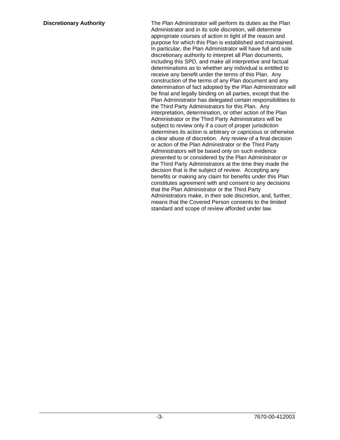**Discretionary Authority** The Plan Administrator will perform its duties as the Plan Administrator and in its sole discretion, will determine appropriate courses of action in light of the reason and purpose for which this Plan is established and maintained. In particular, the Plan Administrator will have full and sole discretionary authority to interpret all Plan documents, including this SPD, and make all interpretive and factual determinations as to whether any individual is entitled to receive any benefit under the terms of this Plan. Any construction of the terms of any Plan document and any determination of fact adopted by the Plan Administrator will be final and legally binding on all parties, except that the Plan Administrator has delegated certain responsibilities to the Third Party Administrators for this Plan. Any interpretation, determination, or other action of the Plan Administrator or the Third Party Administrators will be subject to review only if a court of proper jurisdiction determines its action is arbitrary or capricious or otherwise a clear abuse of discretion. Any review of a final decision or action of the Plan Administrator or the Third Party Administrators will be based only on such evidence presented to or considered by the Plan Administrator or the Third Party Administrators at the time they made the decision that is the subject of review. Accepting any benefits or making any claim for benefits under this Plan constitutes agreement with and consent to any decisions that the Plan Administrator or the Third Party Administrators make, in their sole discretion, and, further, means that the Covered Person consents to the limited standard and scope of review afforded under law.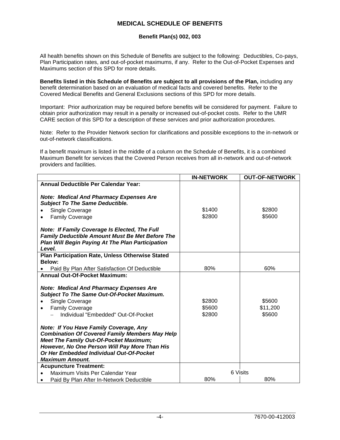### **MEDICAL SCHEDULE OF BENEFITS**

#### **Benefit Plan(s) 002, 003**

All health benefits shown on this Schedule of Benefits are subject to the following: Deductibles, Co-pays, Plan Participation rates, and out-of-pocket maximums, if any. Refer to the Out-of-Pocket Expenses and Maximums section of this SPD for more details.

**Benefits listed in this Schedule of Benefits are subject to all provisions of the Plan,** including any benefit determination based on an evaluation of medical facts and covered benefits. Refer to the Covered Medical Benefits and General Exclusions sections of this SPD for more details.

Important: Prior authorization may be required before benefits will be considered for payment. Failure to obtain prior authorization may result in a penalty or increased out-of-pocket costs. Refer to the UMR CARE section of this SPD for a description of these services and prior authorization procedures.

Note: Refer to the Provider Network section for clarifications and possible exceptions to the in-network or out-of-network classifications.

If a benefit maximum is listed in the middle of a column on the Schedule of Benefits, it is a combined Maximum Benefit for services that the Covered Person receives from all in-network and out-of-network providers and facilities.

|                                                                                                                                                                                                                                                                                                                                                                                                                                                                                                                   | <b>IN-NETWORK</b>          | <b>OUT-OF-NETWORK</b>        |
|-------------------------------------------------------------------------------------------------------------------------------------------------------------------------------------------------------------------------------------------------------------------------------------------------------------------------------------------------------------------------------------------------------------------------------------------------------------------------------------------------------------------|----------------------------|------------------------------|
| <b>Annual Deductible Per Calendar Year:</b><br><b>Note: Medical And Pharmacy Expenses Are</b><br><b>Subject To The Same Deductible.</b><br>Single Coverage<br><b>Family Coverage</b><br>Note: If Family Coverage Is Elected, The Full<br><b>Family Deductible Amount Must Be Met Before The</b><br><b>Plan Will Begin Paying At The Plan Participation</b><br>Level.                                                                                                                                              | \$1400<br>\$2800           | \$2800<br>\$5600             |
| Plan Participation Rate, Unless Otherwise Stated<br><b>Below:</b>                                                                                                                                                                                                                                                                                                                                                                                                                                                 |                            |                              |
| Paid By Plan After Satisfaction Of Deductible                                                                                                                                                                                                                                                                                                                                                                                                                                                                     | 80%                        | 60%                          |
| <b>Annual Out-Of-Pocket Maximum:</b><br><b>Note: Medical And Pharmacy Expenses Are</b><br><b>Subject To The Same Out-Of-Pocket Maximum.</b><br><b>Single Coverage</b><br><b>Family Coverage</b><br>Individual "Embedded" Out-Of-Pocket<br>Note: If You Have Family Coverage, Any<br><b>Combination Of Covered Family Members May Help</b><br><b>Meet The Family Out-Of-Pocket Maximum;</b><br>However, No One Person Will Pay More Than His<br>Or Her Embedded Individual Out-Of-Pocket<br><b>Maximum Amount.</b> | \$2800<br>\$5600<br>\$2800 | \$5600<br>\$11,200<br>\$5600 |
| <b>Acupuncture Treatment:</b>                                                                                                                                                                                                                                                                                                                                                                                                                                                                                     |                            |                              |
| Maximum Visits Per Calendar Year                                                                                                                                                                                                                                                                                                                                                                                                                                                                                  | 6 Visits                   |                              |
| Paid By Plan After In-Network Deductible                                                                                                                                                                                                                                                                                                                                                                                                                                                                          | 80%                        | 80%                          |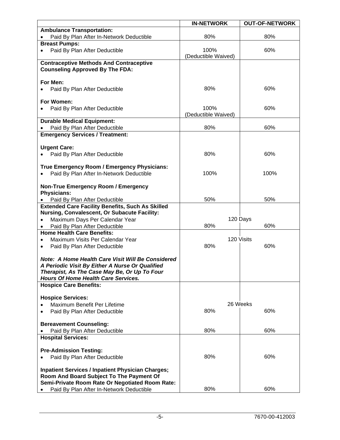|                                                                                            | <b>IN-NETWORK</b>   | <b>OUT-OF-NETWORK</b> |
|--------------------------------------------------------------------------------------------|---------------------|-----------------------|
| <b>Ambulance Transportation:</b>                                                           |                     |                       |
| Paid By Plan After In-Network Deductible                                                   | 80%                 | 80%                   |
| <b>Breast Pumps:</b>                                                                       |                     |                       |
| Paid By Plan After Deductible                                                              | 100%                | 60%                   |
|                                                                                            | (Deductible Waived) |                       |
| <b>Contraceptive Methods And Contraceptive</b><br><b>Counseling Approved By The FDA:</b>   |                     |                       |
|                                                                                            |                     |                       |
| For Men:                                                                                   |                     |                       |
| Paid By Plan After Deductible                                                              | 80%                 | 60%                   |
|                                                                                            |                     |                       |
| For Women:                                                                                 |                     |                       |
| Paid By Plan After Deductible                                                              | 100%                | 60%                   |
|                                                                                            | (Deductible Waived) |                       |
| <b>Durable Medical Equipment:</b>                                                          |                     |                       |
| Paid By Plan After Deductible                                                              | 80%                 | 60%                   |
| <b>Emergency Services / Treatment:</b>                                                     |                     |                       |
|                                                                                            |                     |                       |
| <b>Urgent Care:</b>                                                                        |                     |                       |
| Paid By Plan After Deductible                                                              | 80%                 | 60%                   |
|                                                                                            |                     |                       |
| True Emergency Room / Emergency Physicians:<br>Paid By Plan After In-Network Deductible    | 100%                | 100%                  |
|                                                                                            |                     |                       |
| <b>Non-True Emergency Room / Emergency</b>                                                 |                     |                       |
| <b>Physicians:</b>                                                                         |                     |                       |
| Paid By Plan After Deductible                                                              | 50%                 | 50%                   |
| <b>Extended Care Facility Benefits, Such As Skilled</b>                                    |                     |                       |
| Nursing, Convalescent, Or Subacute Facility:                                               |                     |                       |
| Maximum Days Per Calendar Year                                                             |                     | 120 Days              |
| Paid By Plan After Deductible                                                              | 80%                 | 60%                   |
| <b>Home Health Care Benefits:</b>                                                          |                     |                       |
| Maximum Visits Per Calendar Year                                                           |                     | 120 Visits            |
| Paid By Plan After Deductible                                                              | 80%                 | 60%                   |
|                                                                                            |                     |                       |
| Note: A Home Health Care Visit Will Be Considered                                          |                     |                       |
| A Periodic Visit By Either A Nurse Or Qualified                                            |                     |                       |
| Therapist, As The Case May Be, Or Up To Four<br><b>Hours Of Home Health Care Services.</b> |                     |                       |
| <b>Hospice Care Benefits:</b>                                                              |                     |                       |
|                                                                                            |                     |                       |
| <b>Hospice Services:</b>                                                                   |                     |                       |
| Maximum Benefit Per Lifetime                                                               |                     | 26 Weeks              |
| Paid By Plan After Deductible                                                              | 80%                 | 60%                   |
|                                                                                            |                     |                       |
| <b>Bereavement Counseling:</b>                                                             |                     |                       |
| Paid By Plan After Deductible                                                              | 80%                 | 60%                   |
| <b>Hospital Services:</b>                                                                  |                     |                       |
|                                                                                            |                     |                       |
| <b>Pre-Admission Testing:</b>                                                              |                     |                       |
| Paid By Plan After Deductible                                                              | 80%                 | 60%                   |
| <b>Inpatient Services / Inpatient Physician Charges;</b>                                   |                     |                       |
| Room And Board Subject To The Payment Of                                                   |                     |                       |
| Semi-Private Room Rate Or Negotiated Room Rate:                                            |                     |                       |
| Paid By Plan After In-Network Deductible                                                   | 80%                 | 60%                   |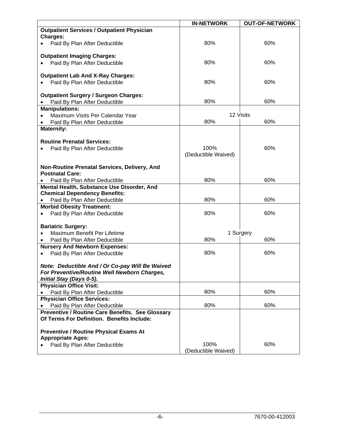|                                                                                   | <b>IN-NETWORK</b>   | <b>OUT-OF-NETWORK</b> |
|-----------------------------------------------------------------------------------|---------------------|-----------------------|
| <b>Outpatient Services / Outpatient Physician</b>                                 |                     |                       |
| Charges:                                                                          |                     |                       |
| Paid By Plan After Deductible                                                     | 80%                 | 60%                   |
|                                                                                   |                     |                       |
| <b>Outpatient Imaging Charges:</b>                                                |                     |                       |
| Paid By Plan After Deductible                                                     | 80%                 | 60%                   |
|                                                                                   |                     |                       |
| <b>Outpatient Lab And X-Ray Charges:</b>                                          |                     |                       |
| Paid By Plan After Deductible                                                     | 80%                 | 60%                   |
| <b>Outpatient Surgery / Surgeon Charges:</b>                                      |                     |                       |
| Paid By Plan After Deductible                                                     | 80%                 | 60%                   |
| <b>Manipulations:</b>                                                             |                     |                       |
| Maximum Visits Per Calendar Year                                                  |                     | 12 Visits             |
| Paid By Plan After Deductible                                                     | 80%                 | 60%                   |
| <b>Maternity:</b>                                                                 |                     |                       |
|                                                                                   |                     |                       |
| <b>Routine Prenatal Services:</b>                                                 |                     |                       |
| Paid By Plan After Deductible                                                     | 100%                | 60%                   |
|                                                                                   | (Deductible Waived) |                       |
|                                                                                   |                     |                       |
| Non-Routine Prenatal Services, Delivery, And                                      |                     |                       |
| <b>Postnatal Care:</b>                                                            |                     |                       |
| Paid By Plan After Deductible                                                     | 80%                 | 60%                   |
| Mental Health, Substance Use Disorder, And                                        |                     |                       |
| <b>Chemical Dependency Benefits:</b>                                              | 80%                 | 60%                   |
| Paid By Plan After Deductible<br><b>Morbid Obesity Treatment:</b>                 |                     |                       |
| Paid By Plan After Deductible                                                     | 80%                 | 60%                   |
|                                                                                   |                     |                       |
| <b>Bariatric Surgery:</b>                                                         |                     |                       |
| Maximum Benefit Per Lifetime                                                      | 1 Surgery           |                       |
| Paid By Plan After Deductible                                                     | 80%                 | 60%                   |
| <b>Nursery And Newborn Expenses:</b>                                              |                     |                       |
| Paid By Plan After Deductible                                                     | 80%                 | 60%                   |
|                                                                                   |                     |                       |
| Note: Deductible And / Or Co-pay Will Be Waived                                   |                     |                       |
| For Preventive/Routine Well Newborn Charges,                                      |                     |                       |
| <b>Initial Stay (Days 0-5).</b>                                                   |                     |                       |
| <b>Physician Office Visit:</b>                                                    |                     |                       |
| Paid By Plan After Deductible                                                     | 80%                 | 60%                   |
| <b>Physician Office Services:</b>                                                 |                     |                       |
| Paid By Plan After Deductible<br>Preventive / Routine Care Benefits. See Glossary | 80%                 | 60%                   |
| Of Terms For Definition. Benefits Include:                                        |                     |                       |
|                                                                                   |                     |                       |
| <b>Preventive / Routine Physical Exams At</b>                                     |                     |                       |
| <b>Appropriate Ages:</b>                                                          |                     |                       |
| Paid By Plan After Deductible                                                     | 100%                | 60%                   |
|                                                                                   | (Deductible Waived) |                       |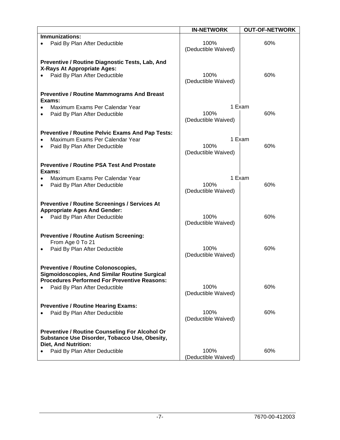|                                                                              | <b>IN-NETWORK</b>           | <b>OUT-OF-NETWORK</b> |
|------------------------------------------------------------------------------|-----------------------------|-----------------------|
| <b>Immunizations:</b>                                                        |                             |                       |
| Paid By Plan After Deductible                                                | 100%<br>(Deductible Waived) | 60%                   |
| Preventive / Routine Diagnostic Tests, Lab, And                              |                             |                       |
| <b>X-Rays At Appropriate Ages:</b>                                           |                             |                       |
| Paid By Plan After Deductible                                                | 100%<br>(Deductible Waived) | 60%                   |
|                                                                              |                             |                       |
| <b>Preventive / Routine Mammograms And Breast</b><br>Exams:                  |                             |                       |
| Maximum Exams Per Calendar Year                                              |                             | 1 Exam                |
| Paid By Plan After Deductible                                                | 100%<br>(Deductible Waived) | 60%                   |
| Preventive / Routine Pelvic Exams And Pap Tests:                             |                             |                       |
| Maximum Exams Per Calendar Year                                              |                             | 1 Exam                |
| Paid By Plan After Deductible                                                | 100%                        | 60%                   |
|                                                                              | (Deductible Waived)         |                       |
| <b>Preventive / Routine PSA Test And Prostate</b><br>Exams:                  |                             |                       |
| Maximum Exams Per Calendar Year                                              |                             | 1 Exam                |
| Paid By Plan After Deductible                                                | 100%<br>(Deductible Waived) | 60%                   |
| <b>Preventive / Routine Screenings / Services At</b>                         |                             |                       |
| <b>Appropriate Ages And Gender:</b>                                          | 100%                        | 60%                   |
| Paid By Plan After Deductible                                                | (Deductible Waived)         |                       |
| <b>Preventive / Routine Autism Screening:</b>                                |                             |                       |
| From Age 0 To 21                                                             |                             |                       |
| Paid By Plan After Deductible                                                | 100%                        | 60%                   |
|                                                                              | (Deductible Waived)         |                       |
|                                                                              |                             |                       |
| <b>Preventive / Routine Colonoscopies,</b>                                   |                             |                       |
| <b>Sigmoidoscopies, And Similar Routine Surgical</b>                         |                             |                       |
| <b>Procedures Performed For Preventive Reasons:</b>                          | 100%                        | 60%                   |
| Paid By Plan After Deductible                                                | (Deductible Waived)         |                       |
|                                                                              |                             |                       |
| <b>Preventive / Routine Hearing Exams:</b>                                   |                             |                       |
| Paid By Plan After Deductible                                                | 100%                        | 60%                   |
|                                                                              | (Deductible Waived)         |                       |
|                                                                              |                             |                       |
| <b>Preventive / Routine Counseling For Alcohol Or</b>                        |                             |                       |
| Substance Use Disorder, Tobacco Use, Obesity,<br><b>Diet, And Nutrition:</b> |                             |                       |
| Paid By Plan After Deductible                                                | 100%                        | 60%                   |
|                                                                              | (Deductible Waived)         |                       |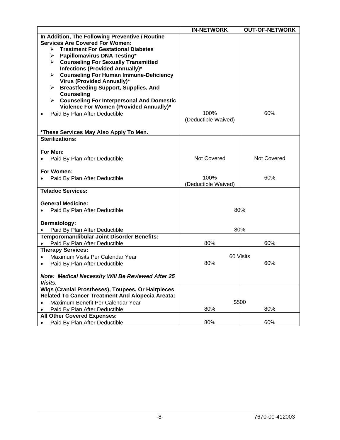|                                                                                                              | <b>IN-NETWORK</b>   | <b>OUT-OF-NETWORK</b> |  |
|--------------------------------------------------------------------------------------------------------------|---------------------|-----------------------|--|
| In Addition, The Following Preventive / Routine                                                              |                     |                       |  |
| <b>Services Are Covered For Women:</b>                                                                       |                     |                       |  |
| <b>Treatment For Gestational Diabetes</b><br>⋗                                                               |                     |                       |  |
| <b>Papillomavirus DNA Testing*</b><br>➤                                                                      |                     |                       |  |
| <b>Counseling For Sexually Transmitted</b><br>➤                                                              |                     |                       |  |
| <b>Infections (Provided Annually)*</b>                                                                       |                     |                       |  |
| <b>Counseling For Human Immune-Deficiency</b><br>➤<br>Virus (Provided Annually)*                             |                     |                       |  |
| <b>Breastfeeding Support, Supplies, And</b><br>➤                                                             |                     |                       |  |
| <b>Counseling</b>                                                                                            |                     |                       |  |
| <b>Counseling For Interpersonal And Domestic</b><br>≻                                                        |                     |                       |  |
| Violence For Women (Provided Annually)*                                                                      |                     |                       |  |
| Paid By Plan After Deductible                                                                                | 100%                | 60%                   |  |
|                                                                                                              | (Deductible Waived) |                       |  |
|                                                                                                              |                     |                       |  |
| *These Services May Also Apply To Men.                                                                       |                     |                       |  |
| <b>Sterilizations:</b>                                                                                       |                     |                       |  |
| For Men:                                                                                                     |                     |                       |  |
| Paid By Plan After Deductible                                                                                | <b>Not Covered</b>  | Not Covered           |  |
|                                                                                                              |                     |                       |  |
| For Women:                                                                                                   |                     |                       |  |
| Paid By Plan After Deductible                                                                                | 100%                | 60%                   |  |
|                                                                                                              | (Deductible Waived) |                       |  |
| <b>Teladoc Services:</b>                                                                                     |                     |                       |  |
| <b>General Medicine:</b>                                                                                     |                     |                       |  |
|                                                                                                              |                     |                       |  |
| Paid By Plan After Deductible                                                                                | 80%                 |                       |  |
| Dermatology:                                                                                                 |                     |                       |  |
| Paid By Plan After Deductible                                                                                | 80%                 |                       |  |
| Temporomandibular Joint Disorder Benefits:                                                                   |                     |                       |  |
| Paid By Plan After Deductible                                                                                | 80%                 | 60%                   |  |
| <b>Therapy Services:</b>                                                                                     |                     |                       |  |
| Maximum Visits Per Calendar Year                                                                             | 60 Visits           |                       |  |
| Paid By Plan After Deductible                                                                                | 80%                 | 60%                   |  |
|                                                                                                              |                     |                       |  |
| <b>Note: Medical Necessity Will Be Reviewed After 25</b>                                                     |                     |                       |  |
| Visits.                                                                                                      |                     |                       |  |
| Wigs (Cranial Prostheses), Toupees, Or Hairpieces<br><b>Related To Cancer Treatment And Alopecia Areata:</b> |                     |                       |  |
| \$500<br>Maximum Benefit Per Calendar Year<br>$\bullet$                                                      |                     |                       |  |
| Paid By Plan After Deductible                                                                                | 80%                 | 80%                   |  |
| <b>All Other Covered Expenses:</b>                                                                           |                     |                       |  |
| Paid By Plan After Deductible                                                                                | 80%                 | 60%                   |  |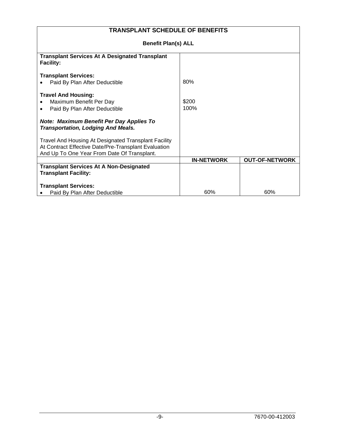| <b>TRANSPLANT SCHEDULE OF BENEFITS</b>                                                |                   |                       |  |
|---------------------------------------------------------------------------------------|-------------------|-----------------------|--|
| <b>Benefit Plan(s) ALL</b>                                                            |                   |                       |  |
| <b>Transplant Services At A Designated Transplant</b><br><b>Facility:</b>             |                   |                       |  |
| <b>Transplant Services:</b>                                                           |                   |                       |  |
| Paid By Plan After Deductible                                                         | 80%               |                       |  |
| <b>Travel And Housing:</b>                                                            |                   |                       |  |
| Maximum Benefit Per Day                                                               | \$200             |                       |  |
| Paid By Plan After Deductible                                                         | 100%              |                       |  |
| Note: Maximum Benefit Per Day Applies To<br><b>Transportation, Lodging And Meals.</b> |                   |                       |  |
| Travel And Housing At Designated Transplant Facility                                  |                   |                       |  |
| At Contract Effective Date/Pre-Transplant Evaluation                                  |                   |                       |  |
| And Up To One Year From Date Of Transplant.                                           |                   |                       |  |
|                                                                                       | <b>IN-NETWORK</b> | <b>OUT-OF-NETWORK</b> |  |
| <b>Transplant Services At A Non-Designated</b><br><b>Transplant Facility:</b>         |                   |                       |  |
| <b>Transplant Services:</b>                                                           |                   |                       |  |
| Paid By Plan After Deductible                                                         | 60%               | 60%                   |  |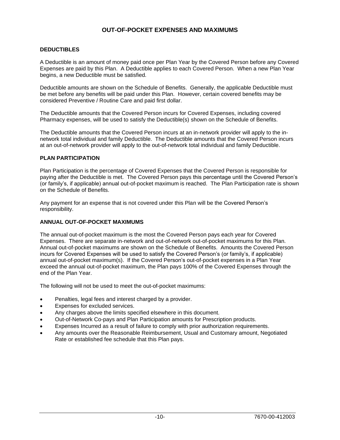### **OUT-OF-POCKET EXPENSES AND MAXIMUMS**

#### **DEDUCTIBLES**

A Deductible is an amount of money paid once per Plan Year by the Covered Person before any Covered Expenses are paid by this Plan. A Deductible applies to each Covered Person. When a new Plan Year begins, a new Deductible must be satisfied.

Deductible amounts are shown on the Schedule of Benefits. Generally, the applicable Deductible must be met before any benefits will be paid under this Plan. However, certain covered benefits may be considered Preventive / Routine Care and paid first dollar.

The Deductible amounts that the Covered Person incurs for Covered Expenses, including covered Pharmacy expenses, will be used to satisfy the Deductible(s) shown on the Schedule of Benefits.

The Deductible amounts that the Covered Person incurs at an in-network provider will apply to the innetwork total individual and family Deductible. The Deductible amounts that the Covered Person incurs at an out-of-network provider will apply to the out-of-network total individual and family Deductible.

#### **PLAN PARTICIPATION**

Plan Participation is the percentage of Covered Expenses that the Covered Person is responsible for paying after the Deductible is met. The Covered Person pays this percentage until the Covered Person's (or family's, if applicable) annual out-of-pocket maximum is reached. The Plan Participation rate is shown on the Schedule of Benefits.

Any payment for an expense that is not covered under this Plan will be the Covered Person's responsibility.

#### **ANNUAL OUT-OF-POCKET MAXIMUMS**

The annual out-of-pocket maximum is the most the Covered Person pays each year for Covered Expenses. There are separate in-network and out-of-network out-of-pocket maximums for this Plan. Annual out-of-pocket maximums are shown on the Schedule of Benefits. Amounts the Covered Person incurs for Covered Expenses will be used to satisfy the Covered Person's (or family's, if applicable) annual out-of-pocket maximum(s). If the Covered Person's out-of-pocket expenses in a Plan Year exceed the annual out-of-pocket maximum, the Plan pays 100% of the Covered Expenses through the end of the Plan Year.

The following will not be used to meet the out-of-pocket maximums:

- Penalties, legal fees and interest charged by a provider.
- Expenses for excluded services.
- Any charges above the limits specified elsewhere in this document.
- Out-of-Network Co-pays and Plan Participation amounts for Prescription products.
- Expenses Incurred as a result of failure to comply with prior authorization requirements.
- Any amounts over the Reasonable Reimbursement, Usual and Customary amount, Negotiated Rate or established fee schedule that this Plan pays.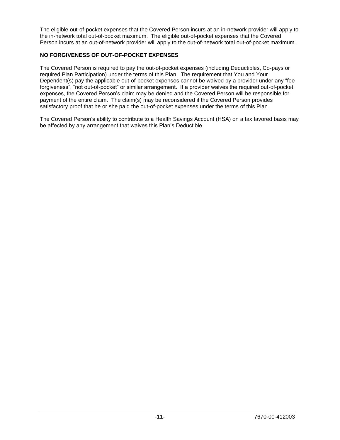The eligible out-of-pocket expenses that the Covered Person incurs at an in-network provider will apply to the in-network total out-of-pocket maximum. The eligible out-of-pocket expenses that the Covered Person incurs at an out-of-network provider will apply to the out-of-network total out-of-pocket maximum.

#### **NO FORGIVENESS OF OUT-OF-POCKET EXPENSES**

The Covered Person is required to pay the out-of-pocket expenses (including Deductibles, Co-pays or required Plan Participation) under the terms of this Plan. The requirement that You and Your Dependent(s) pay the applicable out-of-pocket expenses cannot be waived by a provider under any "fee forgiveness", "not out-of-pocket" or similar arrangement. If a provider waives the required out-of-pocket expenses, the Covered Person's claim may be denied and the Covered Person will be responsible for payment of the entire claim. The claim(s) may be reconsidered if the Covered Person provides satisfactory proof that he or she paid the out-of-pocket expenses under the terms of this Plan.

The Covered Person's ability to contribute to a Health Savings Account (HSA) on a tax favored basis may be affected by any arrangement that waives this Plan's Deductible.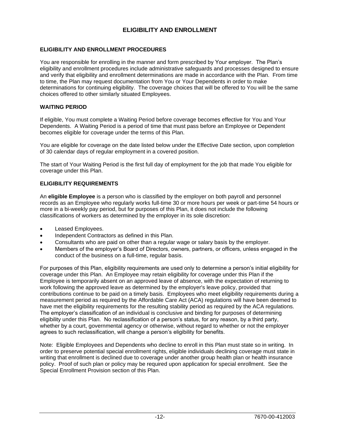### **ELIGIBILITY AND ENROLLMENT**

### **ELIGIBILITY AND ENROLLMENT PROCEDURES**

You are responsible for enrolling in the manner and form prescribed by Your employer. The Plan's eligibility and enrollment procedures include administrative safeguards and processes designed to ensure and verify that eligibility and enrollment determinations are made in accordance with the Plan. From time to time, the Plan may request documentation from You or Your Dependents in order to make determinations for continuing eligibility. The coverage choices that will be offered to You will be the same choices offered to other similarly situated Employees.

#### **WAITING PERIOD**

If eligible, You must complete a Waiting Period before coverage becomes effective for You and Your Dependents. A Waiting Period is a period of time that must pass before an Employee or Dependent becomes eligible for coverage under the terms of this Plan.

You are eligible for coverage on the date listed below under the Effective Date section, upon completion of 30 calendar days of regular employment in a covered position.

The start of Your Waiting Period is the first full day of employment for the job that made You eligible for coverage under this Plan.

#### **ELIGIBILITY REQUIREMENTS**

An **eligible Employee** is a person who is classified by the employer on both payroll and personnel records as an Employee who regularly works full-time 30 or more hours per week or part-time 54 hours or more in a bi-weekly pay period, but for purposes of this Plan, it does not include the following classifications of workers as determined by the employer in its sole discretion:

- Leased Employees.
- Independent Contractors as defined in this Plan.
- Consultants who are paid on other than a regular wage or salary basis by the employer.
- Members of the employer's Board of Directors, owners, partners, or officers, unless engaged in the conduct of the business on a full-time, regular basis.

For purposes of this Plan, eligibility requirements are used only to determine a person's initial eligibility for coverage under this Plan. An Employee may retain eligibility for coverage under this Plan if the Employee is temporarily absent on an approved leave of absence, with the expectation of returning to work following the approved leave as determined by the employer's leave policy, provided that contributions continue to be paid on a timely basis. Employees who meet eligibility requirements during a measurement period as required by the Affordable Care Act (ACA) regulations will have been deemed to have met the eligibility requirements for the resulting stability period as required by the ACA regulations. The employer's classification of an individual is conclusive and binding for purposes of determining eligibility under this Plan. No reclassification of a person's status, for any reason, by a third party, whether by a court, governmental agency or otherwise, without regard to whether or not the employer agrees to such reclassification, will change a person's eligibility for benefits.

Note: Eligible Employees and Dependents who decline to enroll in this Plan must state so in writing. In order to preserve potential special enrollment rights, eligible individuals declining coverage must state in writing that enrollment is declined due to coverage under another group health plan or health insurance policy. Proof of such plan or policy may be required upon application for special enrollment. See the Special Enrollment Provision section of this Plan.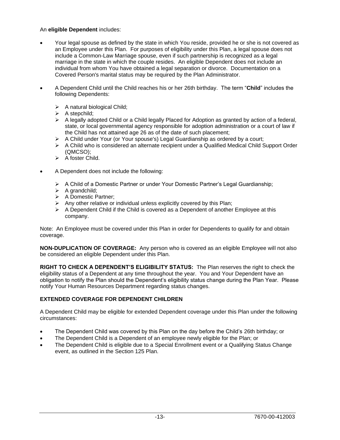#### An **eligible Dependent** includes:

- Your legal spouse as defined by the state in which You reside, provided he or she is not covered as an Employee under this Plan. For purposes of eligibility under this Plan, a legal spouse does not include a Common-Law Marriage spouse, even if such partnership is recognized as a legal marriage in the state in which the couple resides. An eligible Dependent does not include an individual from whom You have obtained a legal separation or divorce. Documentation on a Covered Person's marital status may be required by the Plan Administrator.
- A Dependent Child until the Child reaches his or her 26th birthday. The term "**Child**" includes the following Dependents:
	- ➢ A natural biological Child;
	- $\triangleright$  A stepchild;
	- $\triangleright$  A legally adopted Child or a Child legally Placed for Adoption as granted by action of a federal, state, or local governmental agency responsible for adoption administration or a court of law if the Child has not attained age 26 as of the date of such placement;
	- $\triangleright$  A Child under Your (or Your spouse's) Legal Guardianship as ordered by a court;
	- $\triangleright$  A Child who is considered an alternate recipient under a Qualified Medical Child Support Order (QMCSO);
	- ➢ A foster Child.
- A Dependent does not include the following:
	- ➢ A Child of a Domestic Partner or under Your Domestic Partner's Legal Guardianship;
	- $\triangleright$  A grandchild;
	- ➢ A Domestic Partner;
	- $\triangleright$  Any other relative or individual unless explicitly covered by this Plan;
	- $\triangleright$  A Dependent Child if the Child is covered as a Dependent of another Employee at this company.

Note: An Employee must be covered under this Plan in order for Dependents to qualify for and obtain coverage.

**NON-DUPLICATION OF COVERAGE:** Any person who is covered as an eligible Employee will not also be considered an eligible Dependent under this Plan.

**RIGHT TO CHECK A DEPENDENT'S ELIGIBILITY STATUS:** The Plan reserves the right to check the eligibility status of a Dependent at any time throughout the year. You and Your Dependent have an obligation to notify the Plan should the Dependent's eligibility status change during the Plan Year. Please notify Your Human Resources Department regarding status changes.

### **EXTENDED COVERAGE FOR DEPENDENT CHILDREN**

A Dependent Child may be eligible for extended Dependent coverage under this Plan under the following circumstances:

- The Dependent Child was covered by this Plan on the day before the Child's 26th birthday; or
- The Dependent Child is a Dependent of an employee newly eligible for the Plan; or
- The Dependent Child is eligible due to a Special Enrollment event or a Qualifying Status Change event, as outlined in the Section 125 Plan.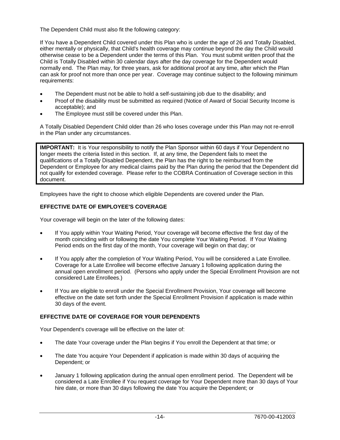The Dependent Child must also fit the following category:

If You have a Dependent Child covered under this Plan who is under the age of 26 and Totally Disabled, either mentally or physically, that Child's health coverage may continue beyond the day the Child would otherwise cease to be a Dependent under the terms of this Plan. You must submit written proof that the Child is Totally Disabled within 30 calendar days after the day coverage for the Dependent would normally end. The Plan may, for three years, ask for additional proof at any time, after which the Plan can ask for proof not more than once per year. Coverage may continue subject to the following minimum requirements:

- The Dependent must not be able to hold a self-sustaining job due to the disability; and
- Proof of the disability must be submitted as required (Notice of Award of Social Security Income is acceptable); and
- The Employee must still be covered under this Plan.

A Totally Disabled Dependent Child older than 26 who loses coverage under this Plan may not re-enroll in the Plan under any circumstances.

**IMPORTANT:** It is Your responsibility to notify the Plan Sponsor within 60 days if Your Dependent no longer meets the criteria listed in this section. If, at any time, the Dependent fails to meet the qualifications of a Totally Disabled Dependent, the Plan has the right to be reimbursed from the Dependent or Employee for any medical claims paid by the Plan during the period that the Dependent did not qualify for extended coverage. Please refer to the COBRA Continuation of Coverage section in this document.

Employees have the right to choose which eligible Dependents are covered under the Plan.

### **EFFECTIVE DATE OF EMPLOYEE'S COVERAGE**

Your coverage will begin on the later of the following dates:

- If You apply within Your Waiting Period, Your coverage will become effective the first day of the month coinciding with or following the date You complete Your Waiting Period. If Your Waiting Period ends on the first day of the month, Your coverage will begin on that day; or
- If You apply after the completion of Your Waiting Period, You will be considered a Late Enrollee. Coverage for a Late Enrollee will become effective January 1 following application during the annual open enrollment period. (Persons who apply under the Special Enrollment Provision are not considered Late Enrollees.)
- If You are eligible to enroll under the Special Enrollment Provision, Your coverage will become effective on the date set forth under the Special Enrollment Provision if application is made within 30 days of the event.

### **EFFECTIVE DATE OF COVERAGE FOR YOUR DEPENDENTS**

Your Dependent's coverage will be effective on the later of:

- The date Your coverage under the Plan begins if You enroll the Dependent at that time; or
- The date You acquire Your Dependent if application is made within 30 days of acquiring the Dependent; or
- January 1 following application during the annual open enrollment period. The Dependent will be considered a Late Enrollee if You request coverage for Your Dependent more than 30 days of Your hire date, or more than 30 days following the date You acquire the Dependent; or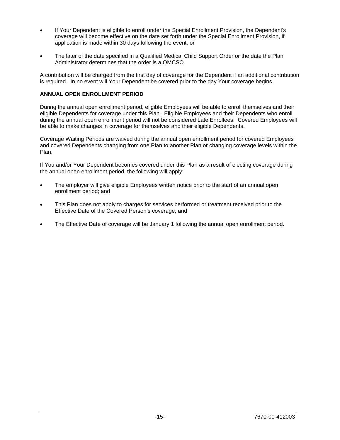- If Your Dependent is eligible to enroll under the Special Enrollment Provision, the Dependent's coverage will become effective on the date set forth under the Special Enrollment Provision, if application is made within 30 days following the event; or
- The later of the date specified in a Qualified Medical Child Support Order or the date the Plan Administrator determines that the order is a QMCSO.

A contribution will be charged from the first day of coverage for the Dependent if an additional contribution is required. In no event will Your Dependent be covered prior to the day Your coverage begins.

#### **ANNUAL OPEN ENROLLMENT PERIOD**

During the annual open enrollment period, eligible Employees will be able to enroll themselves and their eligible Dependents for coverage under this Plan. Eligible Employees and their Dependents who enroll during the annual open enrollment period will not be considered Late Enrollees. Covered Employees will be able to make changes in coverage for themselves and their eligible Dependents.

Coverage Waiting Periods are waived during the annual open enrollment period for covered Employees and covered Dependents changing from one Plan to another Plan or changing coverage levels within the Plan.

If You and/or Your Dependent becomes covered under this Plan as a result of electing coverage during the annual open enrollment period, the following will apply:

- The employer will give eligible Employees written notice prior to the start of an annual open enrollment period; and
- This Plan does not apply to charges for services performed or treatment received prior to the Effective Date of the Covered Person's coverage; and
- The Effective Date of coverage will be January 1 following the annual open enrollment period.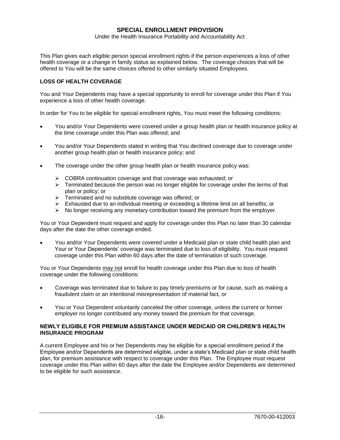### **SPECIAL ENROLLMENT PROVISION**

Under the Health Insurance Portability and Accountability Act

This Plan gives each eligible person special enrollment rights if the person experiences a loss of other health coverage or a change in family status as explained below. The coverage choices that will be offered to You will be the same choices offered to other similarly situated Employees.

#### **LOSS OF HEALTH COVERAGE**

You and Your Dependents may have a special opportunity to enroll for coverage under this Plan if You experience a loss of other health coverage.

In order for You to be eligible for special enrollment rights, You must meet the following conditions:

- You and/or Your Dependents were covered under a group health plan or health insurance policy at the time coverage under this Plan was offered; and
- You and/or Your Dependents stated in writing that You declined coverage due to coverage under another group health plan or health insurance policy; and
- The coverage under the other group health plan or health insurance policy was:
	- ➢ COBRA continuation coverage and that coverage was exhausted; or
	- $\triangleright$  Terminated because the person was no longer eligible for coverage under the terms of that plan or policy; or
	- ➢ Terminated and no substitute coverage was offered; or
	- $\triangleright$  Exhausted due to an individual meeting or exceeding a lifetime limit on all benefits; or
	- $\triangleright$  No longer receiving any monetary contribution toward the premium from the employer.

You or Your Dependent must request and apply for coverage under this Plan no later than 30 calendar days after the date the other coverage ended.

• You and/or Your Dependents were covered under a Medicaid plan or state child health plan and Your or Your Dependents' coverage was terminated due to loss of eligibility. You must request coverage under this Plan within 60 days after the date of termination of such coverage.

You or Your Dependents may not enroll for health coverage under this Plan due to loss of health coverage under the following conditions:

- Coverage was terminated due to failure to pay timely premiums or for cause, such as making a fraudulent claim or an intentional misrepresentation of material fact, or
- You or Your Dependent voluntarily canceled the other coverage, unless the current or former employer no longer contributed any money toward the premium for that coverage.

#### **NEWLY ELIGIBLE FOR PREMIUM ASSISTANCE UNDER MEDICAID OR CHILDREN'S HEALTH INSURANCE PROGRAM**

A current Employee and his or her Dependents may be eligible for a special enrollment period if the Employee and/or Dependents are determined eligible, under a state's Medicaid plan or state child health plan, for premium assistance with respect to coverage under this Plan. The Employee must request coverage under this Plan within 60 days after the date the Employee and/or Dependents are determined to be eligible for such assistance.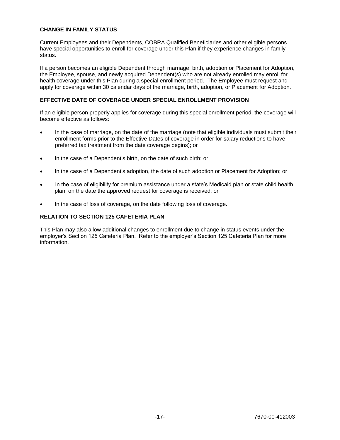#### **CHANGE IN FAMILY STATUS**

Current Employees and their Dependents, COBRA Qualified Beneficiaries and other eligible persons have special opportunities to enroll for coverage under this Plan if they experience changes in family status.

If a person becomes an eligible Dependent through marriage, birth, adoption or Placement for Adoption, the Employee, spouse, and newly acquired Dependent(s) who are not already enrolled may enroll for health coverage under this Plan during a special enrollment period. The Employee must request and apply for coverage within 30 calendar days of the marriage, birth, adoption, or Placement for Adoption.

#### **EFFECTIVE DATE OF COVERAGE UNDER SPECIAL ENROLLMENT PROVISION**

If an eligible person properly applies for coverage during this special enrollment period, the coverage will become effective as follows:

- In the case of marriage, on the date of the marriage (note that eligible individuals must submit their enrollment forms prior to the Effective Dates of coverage in order for salary reductions to have preferred tax treatment from the date coverage begins); or
- In the case of a Dependent's birth, on the date of such birth; or
- In the case of a Dependent's adoption, the date of such adoption or Placement for Adoption; or
- In the case of eligibility for premium assistance under a state's Medicaid plan or state child health plan, on the date the approved request for coverage is received; or
- In the case of loss of coverage, on the date following loss of coverage.

### **RELATION TO SECTION 125 CAFETERIA PLAN**

This Plan may also allow additional changes to enrollment due to change in status events under the employer's Section 125 Cafeteria Plan. Refer to the employer's Section 125 Cafeteria Plan for more information.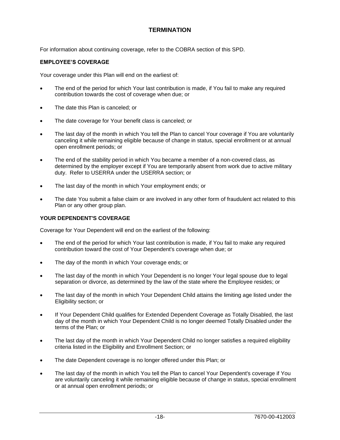### **TERMINATION**

For information about continuing coverage, refer to the COBRA section of this SPD.

#### **EMPLOYEE'S COVERAGE**

Your coverage under this Plan will end on the earliest of:

- The end of the period for which Your last contribution is made, if You fail to make any required contribution towards the cost of coverage when due; or
- The date this Plan is canceled; or
- The date coverage for Your benefit class is canceled; or
- The last day of the month in which You tell the Plan to cancel Your coverage if You are voluntarily canceling it while remaining eligible because of change in status, special enrollment or at annual open enrollment periods; or
- The end of the stability period in which You became a member of a non-covered class, as determined by the employer except if You are temporarily absent from work due to active military duty. Refer to USERRA under the USERRA section; or
- The last day of the month in which Your employment ends; or
- The date You submit a false claim or are involved in any other form of fraudulent act related to this Plan or any other group plan.

#### **YOUR DEPENDENT'S COVERAGE**

Coverage for Your Dependent will end on the earliest of the following:

- The end of the period for which Your last contribution is made, if You fail to make any required contribution toward the cost of Your Dependent's coverage when due; or
- The day of the month in which Your coverage ends; or
- The last day of the month in which Your Dependent is no longer Your legal spouse due to legal separation or divorce, as determined by the law of the state where the Employee resides; or
- The last day of the month in which Your Dependent Child attains the limiting age listed under the Eligibility section; or
- If Your Dependent Child qualifies for Extended Dependent Coverage as Totally Disabled, the last day of the month in which Your Dependent Child is no longer deemed Totally Disabled under the terms of the Plan; or
- The last day of the month in which Your Dependent Child no longer satisfies a required eligibility criteria listed in the Eligibility and Enrollment Section; or
- The date Dependent coverage is no longer offered under this Plan; or
- The last day of the month in which You tell the Plan to cancel Your Dependent's coverage if You are voluntarily canceling it while remaining eligible because of change in status, special enrollment or at annual open enrollment periods; or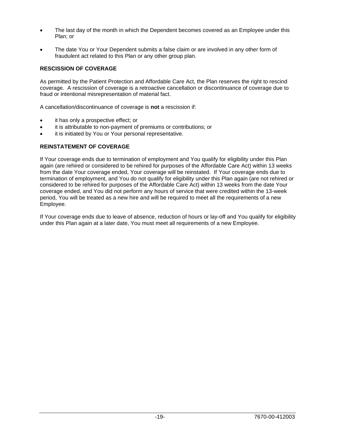- The last day of the month in which the Dependent becomes covered as an Employee under this Plan; or
- The date You or Your Dependent submits a false claim or are involved in any other form of fraudulent act related to this Plan or any other group plan.

#### **RESCISSION OF COVERAGE**

As permitted by the Patient Protection and Affordable Care Act, the Plan reserves the right to rescind coverage. A rescission of coverage is a retroactive cancellation or discontinuance of coverage due to fraud or intentional misrepresentation of material fact.

A cancellation/discontinuance of coverage is **not** a rescission if:

- it has only a prospective effect; or
- it is attributable to non-payment of premiums or contributions; or
- it is initiated by You or Your personal representative.

#### **REINSTATEMENT OF COVERAGE**

If Your coverage ends due to termination of employment and You qualify for eligibility under this Plan again (are rehired or considered to be rehired for purposes of the Affordable Care Act) within 13 weeks from the date Your coverage ended, Your coverage will be reinstated. If Your coverage ends due to termination of employment, and You do not qualify for eligibility under this Plan again (are not rehired or considered to be rehired for purposes of the Affordable Care Act) within 13 weeks from the date Your coverage ended, and You did not perform any hours of service that were credited within the 13-week period, You will be treated as a new hire and will be required to meet all the requirements of a new Employee.

If Your coverage ends due to leave of absence, reduction of hours or lay-off and You qualify for eligibility under this Plan again at a later date, You must meet all requirements of a new Employee.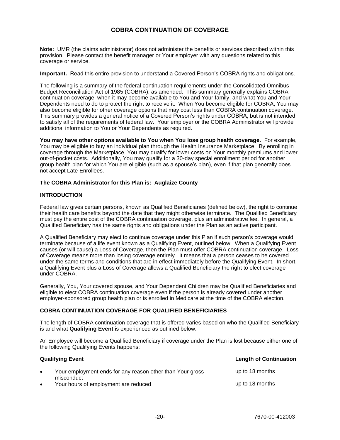### **COBRA CONTINUATION OF COVERAGE**

**Note:** UMR (the claims administrator) does not administer the benefits or services described within this provision. Please contact the benefit manager or Your employer with any questions related to this coverage or service.

**Important.** Read this entire provision to understand a Covered Person's COBRA rights and obligations.

The following is a summary of the federal continuation requirements under the Consolidated Omnibus Budget Reconciliation Act of 1985 (COBRA), as amended. This summary generally explains COBRA continuation coverage, when it may become available to You and Your family, and what You and Your Dependents need to do to protect the right to receive it. When You become eligible for COBRA, You may also become eligible for other coverage options that may cost less than COBRA continuation coverage. This summary provides a general notice of a Covered Person's rights under COBRA, but is not intended to satisfy all of the requirements of federal law. Your employer or the COBRA Administrator will provide additional information to You or Your Dependents as required.

**You may have other options available to You when You lose group health coverage.** For example, You may be eligible to buy an individual plan through the Health Insurance Marketplace. By enrolling in coverage through the Marketplace, You may qualify for lower costs on Your monthly premiums and lower out-of-pocket costs. Additionally, You may qualify for a 30-day special enrollment period for another group health plan for which You are eligible (such as a spouse's plan), even if that plan generally does not accept Late Enrollees.

#### **The COBRA Administrator for this Plan is: Auglaize County**

#### **INTRODUCTION**

Federal law gives certain persons, known as Qualified Beneficiaries (defined below), the right to continue their health care benefits beyond the date that they might otherwise terminate. The Qualified Beneficiary must pay the entire cost of the COBRA continuation coverage, plus an administrative fee. In general, a Qualified Beneficiary has the same rights and obligations under the Plan as an active participant.

A Qualified Beneficiary may elect to continue coverage under this Plan if such person's coverage would terminate because of a life event known as a Qualifying Event, outlined below. When a Qualifying Event causes (or will cause) a Loss of Coverage, then the Plan must offer COBRA continuation coverage. Loss of Coverage means more than losing coverage entirely. It means that a person ceases to be covered under the same terms and conditions that are in effect immediately before the Qualifying Event. In short, a Qualifying Event plus a Loss of Coverage allows a Qualified Beneficiary the right to elect coverage under COBRA.

Generally, You, Your covered spouse, and Your Dependent Children may be Qualified Beneficiaries and eligible to elect COBRA continuation coverage even if the person is already covered under another employer-sponsored group health plan or is enrolled in Medicare at the time of the COBRA election.

#### **COBRA CONTINUATION COVERAGE FOR QUALIFIED BENEFICIARIES**

The length of COBRA continuation coverage that is offered varies based on who the Qualified Beneficiary is and what **Qualifying Event** is experienced as outlined below.

An Employee will become a Qualified Beneficiary if coverage under the Plan is lost because either one of the following Qualifying Events happens:

| <b>Qualifying Event</b> |                                                                         | <b>Length of Continuation</b> |
|-------------------------|-------------------------------------------------------------------------|-------------------------------|
| $\bullet$               | Your employment ends for any reason other than Your gross<br>misconduct | up to 18 months               |
|                         | Your hours of employment are reduced                                    | up to 18 months               |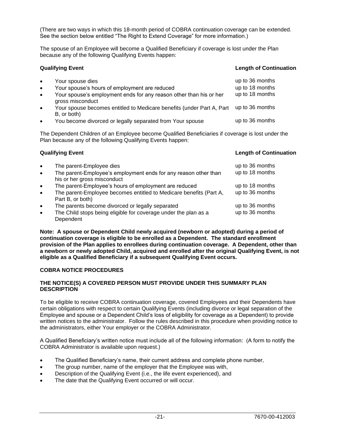(There are two ways in which this 18-month period of COBRA continuation coverage can be extended. See the section below entitled "The Right to Extend Coverage" for more information.)

The spouse of an Employee will become a Qualified Beneficiary if coverage is lost under the Plan because any of the following Qualifying Events happen:

#### **Qualifying Event Length of Continuation** • Your spouse dies up to 36 months up to 36 months • Your spouse's hours of employment are reduced up to 18 months • Your spouse's employment ends for any reason other than his or her gross misconduct up to 18 months • Your spouse becomes entitled to Medicare benefits (under Part A, Part B, or both) up to 36 months • You become divorced or legally separated from Your spouse up to 36 months

The Dependent Children of an Employee become Qualified Beneficiaries if coverage is lost under the Plan because any of the following Qualifying Events happen:

**Qualifying Event Length of Continuation**

| $\bullet$ | The parent-Employee dies                                                                       | up to 36 months |
|-----------|------------------------------------------------------------------------------------------------|-----------------|
| $\bullet$ | The parent-Employee's employment ends for any reason other than<br>his or her gross misconduct | up to 18 months |
| $\bullet$ | The parent-Employee's hours of employment are reduced                                          | up to 18 months |
| $\bullet$ | The parent-Employee becomes entitled to Medicare benefits (Part A,<br>Part B, or both)         | up to 36 months |
| $\bullet$ | The parents become divorced or legally separated                                               | up to 36 months |
| $\bullet$ | The Child stops being eligible for coverage under the plan as a<br>Dependent                   | up to 36 months |

**Note: A spouse or Dependent Child newly acquired (newborn or adopted) during a period of continuation coverage is eligible to be enrolled as a Dependent. The standard enrollment provision of the Plan applies to enrollees during continuation coverage. A Dependent, other than a newborn or newly adopted Child, acquired and enrolled after the original Qualifying Event, is not eligible as a Qualified Beneficiary if a subsequent Qualifying Event occurs.**

### **COBRA NOTICE PROCEDURES**

#### **THE NOTICE(S) A COVERED PERSON MUST PROVIDE UNDER THIS SUMMARY PLAN DESCRIPTION**

To be eligible to receive COBRA continuation coverage, covered Employees and their Dependents have certain obligations with respect to certain Qualifying Events (including divorce or legal separation of the Employee and spouse or a Dependent Child's loss of eligibility for coverage as a Dependent) to provide written notices to the administrator. Follow the rules described in this procedure when providing notice to the administrators, either Your employer or the COBRA Administrator.

A Qualified Beneficiary's written notice must include all of the following information: (A form to notify the COBRA Administrator is available upon request.)

- The Qualified Beneficiary's name, their current address and complete phone number,
- The group number, name of the employer that the Employee was with,
- Description of the Qualifying Event (i.e., the life event experienced), and
- The date that the Qualifying Event occurred or will occur.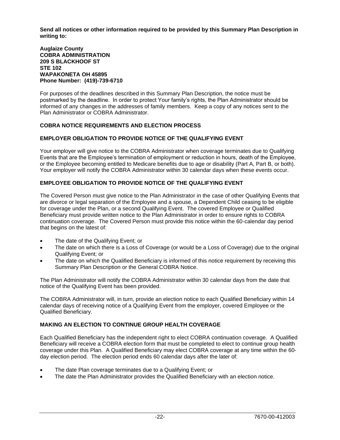**Send all notices or other information required to be provided by this Summary Plan Description in writing to:**

#### **Auglaize County COBRA ADMINISTRATION 209 S BLACKHOOF ST STE 102 WAPAKONETA OH 45895 Phone Number: (419)-739-6710**

For purposes of the deadlines described in this Summary Plan Description, the notice must be postmarked by the deadline. In order to protect Your family's rights, the Plan Administrator should be informed of any changes in the addresses of family members. Keep a copy of any notices sent to the Plan Administrator or COBRA Administrator.

#### **COBRA NOTICE REQUIREMENTS AND ELECTION PROCESS**

#### **EMPLOYER OBLIGATION TO PROVIDE NOTICE OF THE QUALIFYING EVENT**

Your employer will give notice to the COBRA Administrator when coverage terminates due to Qualifying Events that are the Employee's termination of employment or reduction in hours, death of the Employee, or the Employee becoming entitled to Medicare benefits due to age or disability (Part A, Part B, or both). Your employer will notify the COBRA Administrator within 30 calendar days when these events occur.

#### **EMPLOYEE OBLIGATION TO PROVIDE NOTICE OF THE QUALIFYING EVENT**

The Covered Person must give notice to the Plan Administrator in the case of other Qualifying Events that are divorce or legal separation of the Employee and a spouse, a Dependent Child ceasing to be eligible for coverage under the Plan, or a second Qualifying Event. The covered Employee or Qualified Beneficiary must provide written notice to the Plan Administrator in order to ensure rights to COBRA continuation coverage. The Covered Person must provide this notice within the 60-calendar day period that begins on the latest of:

- The date of the Qualifying Event; or
- The date on which there is a Loss of Coverage (or would be a Loss of Coverage) due to the original Qualifying Event; or
- The date on which the Qualified Beneficiary is informed of this notice requirement by receiving this Summary Plan Description or the General COBRA Notice.

The Plan Administrator will notify the COBRA Administrator within 30 calendar days from the date that notice of the Qualifying Event has been provided.

The COBRA Administrator will, in turn, provide an election notice to each Qualified Beneficiary within 14 calendar days of receiving notice of a Qualifying Event from the employer, covered Employee or the Qualified Beneficiary.

#### **MAKING AN ELECTION TO CONTINUE GROUP HEALTH COVERAGE**

Each Qualified Beneficiary has the independent right to elect COBRA continuation coverage. A Qualified Beneficiary will receive a COBRA election form that must be completed to elect to continue group health coverage under this Plan. A Qualified Beneficiary may elect COBRA coverage at any time within the 60 day election period. The election period ends 60 calendar days after the later of:

- The date Plan coverage terminates due to a Qualifying Event; or
- The date the Plan Administrator provides the Qualified Beneficiary with an election notice.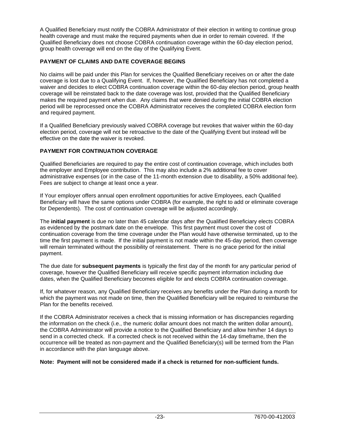A Qualified Beneficiary must notify the COBRA Administrator of their election in writing to continue group health coverage and must make the required payments when due in order to remain covered. If the Qualified Beneficiary does not choose COBRA continuation coverage within the 60-day election period, group health coverage will end on the day of the Qualifying Event.

### **PAYMENT OF CLAIMS AND DATE COVERAGE BEGINS**

No claims will be paid under this Plan for services the Qualified Beneficiary receives on or after the date coverage is lost due to a Qualifying Event. If, however, the Qualified Beneficiary has not completed a waiver and decides to elect COBRA continuation coverage within the 60-day election period, group health coverage will be reinstated back to the date coverage was lost, provided that the Qualified Beneficiary makes the required payment when due. Any claims that were denied during the initial COBRA election period will be reprocessed once the COBRA Administrator receives the completed COBRA election form and required payment.

If a Qualified Beneficiary previously waived COBRA coverage but revokes that waiver within the 60-day election period, coverage will not be retroactive to the date of the Qualifying Event but instead will be effective on the date the waiver is revoked.

### **PAYMENT FOR CONTINUATION COVERAGE**

Qualified Beneficiaries are required to pay the entire cost of continuation coverage, which includes both the employer and Employee contribution. This may also include a 2% additional fee to cover administrative expenses (or in the case of the 11-month extension due to disability, a 50% additional fee). Fees are subject to change at least once a year.

If Your employer offers annual open enrollment opportunities for active Employees, each Qualified Beneficiary will have the same options under COBRA (for example, the right to add or eliminate coverage for Dependents). The cost of continuation coverage will be adjusted accordingly.

The **initial payment** is due no later than 45 calendar days after the Qualified Beneficiary elects COBRA as evidenced by the postmark date on the envelope. This first payment must cover the cost of continuation coverage from the time coverage under the Plan would have otherwise terminated, up to the time the first payment is made. If the initial payment is not made within the 45-day period, then coverage will remain terminated without the possibility of reinstatement. There is no grace period for the initial payment.

The due date for **subsequent payments** is typically the first day of the month for any particular period of coverage, however the Qualified Beneficiary will receive specific payment information including due dates, when the Qualified Beneficiary becomes eligible for and elects COBRA continuation coverage.

If, for whatever reason, any Qualified Beneficiary receives any benefits under the Plan during a month for which the payment was not made on time, then the Qualified Beneficiary will be required to reimburse the Plan for the benefits received.

If the COBRA Administrator receives a check that is missing information or has discrepancies regarding the information on the check (i.e., the numeric dollar amount does not match the written dollar amount), the COBRA Administrator will provide a notice to the Qualified Beneficiary and allow him/her 14 days to send in a corrected check. If a corrected check is not received within the 14-day timeframe, then the occurrence will be treated as non-payment and the Qualified Beneficiary(s) will be termed from the Plan in accordance with the plan language above.

**Note: Payment will not be considered made if a check is returned for non-sufficient funds.**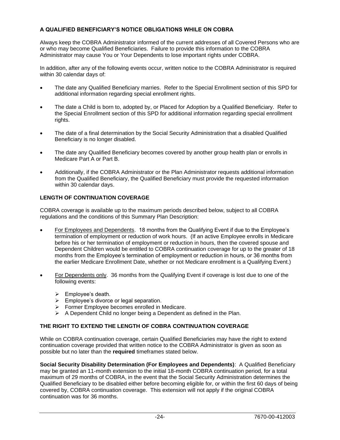#### **A QUALIFIED BENEFICIARY'S NOTICE OBLIGATIONS WHILE ON COBRA**

Always keep the COBRA Administrator informed of the current addresses of all Covered Persons who are or who may become Qualified Beneficiaries. Failure to provide this information to the COBRA Administrator may cause You or Your Dependents to lose important rights under COBRA.

In addition, after any of the following events occur, written notice to the COBRA Administrator is required within 30 calendar days of:

- The date any Qualified Beneficiary marries. Refer to the Special Enrollment section of this SPD for additional information regarding special enrollment rights.
- The date a Child is born to, adopted by, or Placed for Adoption by a Qualified Beneficiary. Refer to the Special Enrollment section of this SPD for additional information regarding special enrollment rights.
- The date of a final determination by the Social Security Administration that a disabled Qualified Beneficiary is no longer disabled.
- The date any Qualified Beneficiary becomes covered by another group health plan or enrolls in Medicare Part A or Part B.
- Additionally, if the COBRA Administrator or the Plan Administrator requests additional information from the Qualified Beneficiary, the Qualified Beneficiary must provide the requested information within 30 calendar days.

### **LENGTH OF CONTINUATION COVERAGE**

COBRA coverage is available up to the maximum periods described below, subject to all COBRA regulations and the conditions of this Summary Plan Description:

- For Employees and Dependents. 18 months from the Qualifying Event if due to the Employee's termination of employment or reduction of work hours. (If an active Employee enrolls in Medicare before his or her termination of employment or reduction in hours, then the covered spouse and Dependent Children would be entitled to COBRA continuation coverage for up to the greater of 18 months from the Employee's termination of employment or reduction in hours, or 36 months from the earlier Medicare Enrollment Date, whether or not Medicare enrollment is a Qualifying Event.)
- For Dependents only. 36 months from the Qualifying Event if coverage is lost due to one of the following events:
	- ➢ Employee's death.
	- $\triangleright$  Employee's divorce or legal separation.
	- ➢ Former Employee becomes enrolled in Medicare.
	- $\triangleright$  A Dependent Child no longer being a Dependent as defined in the Plan.

### **THE RIGHT TO EXTEND THE LENGTH OF COBRA CONTINUATION COVERAGE**

While on COBRA continuation coverage, certain Qualified Beneficiaries may have the right to extend continuation coverage provided that written notice to the COBRA Administrator is given as soon as possible but no later than the **required** timeframes stated below.

**Social Security Disability Determination (For Employees and Dependents)**: A Qualified Beneficiary may be granted an 11-month extension to the initial 18-month COBRA continuation period, for a total maximum of 29 months of COBRA, in the event that the Social Security Administration determines the Qualified Beneficiary to be disabled either before becoming eligible for, or within the first 60 days of being covered by, COBRA continuation coverage. This extension will not apply if the original COBRA continuation was for 36 months.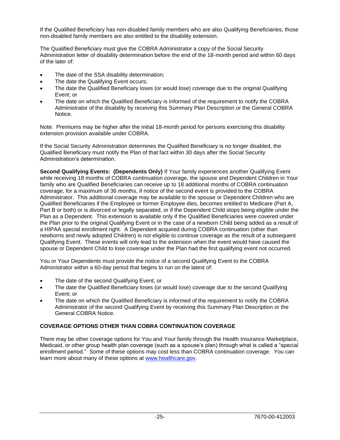If the Qualified Beneficiary has non-disabled family members who are also Qualifying Beneficiaries, those non-disabled family members are also entitled to the disability extension.

The Qualified Beneficiary must give the COBRA Administrator a copy of the Social Security Administration letter of disability determination before the end of the 18-month period and within 60 days of the later of:

- The date of the SSA disability determination;
- The date the Qualifying Event occurs;
- The date the Qualified Beneficiary loses (or would lose) coverage due to the original Qualifying Event; or
- The date on which the Qualified Beneficiary is informed of the requirement to notify the COBRA Administrator of the disability by receiving this Summary Plan Description or the General COBRA Notice.

Note: Premiums may be higher after the initial 18-month period for persons exercising this disability extension provision available under COBRA.

If the Social Security Administration determines the Qualified Beneficiary is no longer disabled, the Qualified Beneficiary must notify the Plan of that fact within 30 days after the Social Security Administration's determination.

**Second Qualifying Events: (Dependents Only)** If Your family experiences another Qualifying Event while receiving 18 months of COBRA continuation coverage, the spouse and Dependent Children in Your family who are Qualified Beneficiaries can receive up to 18 additional months of COBRA continuation coverage, for a maximum of 36 months, if notice of the second event is provided to the COBRA Administrator. This additional coverage may be available to the spouse or Dependent Children who are Qualified Beneficiaries if the Employee or former Employee dies, becomes entitled to Medicare (Part A, Part B or both) or is divorced or legally separated, or if the Dependent Child stops being eligible under the Plan as a Dependent. This extension is available only if the Qualified Beneficiaries were covered under the Plan prior to the original Qualifying Event or in the case of a newborn Child being added as a result of a HIPAA special enrollment right. A Dependent acquired during COBRA continuation (other than newborns and newly adopted Children) is not eligible to continue coverage as the result of a subsequent Qualifying Event. These events will only lead to the extension when the event would have caused the spouse or Dependent Child to lose coverage under the Plan had the first qualifying event not occurred.

You or Your Dependents must provide the notice of a second Qualifying Event to the COBRA Administrator within a 60-day period that begins to run on the latest of:

- The date of the second Qualifying Event; or
- The date the Qualified Beneficiary loses (or would lose) coverage due to the second Qualifying Event; or
- The date on which the Qualified Beneficiary is informed of the requirement to notify the COBRA Administrator of the second Qualifying Event by receiving this Summary Plan Description or the General COBRA Notice.

### **COVERAGE OPTIONS OTHER THAN COBRA CONTINUATION COVERAGE**

There may be other coverage options for You and Your family through the Health Insurance Marketplace, Medicaid, or other group health plan coverage (such as a spouse's plan) through what is called a "special enrollment period." Some of these options may cost less than COBRA continuation coverage. You can learn more about many of these options at [www.healthcare.gov.](http://www.healthcare.gov/)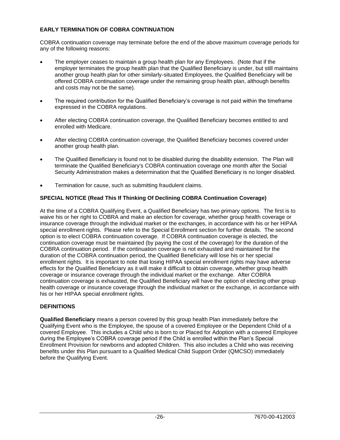### **EARLY TERMINATION OF COBRA CONTINUATION**

COBRA continuation coverage may terminate before the end of the above maximum coverage periods for any of the following reasons:

- The employer ceases to maintain a group health plan for any Employees. (Note that if the employer terminates the group health plan that the Qualified Beneficiary is under, but still maintains another group health plan for other similarly-situated Employees, the Qualified Beneficiary will be offered COBRA continuation coverage under the remaining group health plan, although benefits and costs may not be the same).
- The required contribution for the Qualified Beneficiary's coverage is not paid within the timeframe expressed in the COBRA regulations.
- After electing COBRA continuation coverage, the Qualified Beneficiary becomes entitled to and enrolled with Medicare.
- After electing COBRA continuation coverage, the Qualified Beneficiary becomes covered under another group health plan.
- The Qualified Beneficiary is found not to be disabled during the disability extension. The Plan will terminate the Qualified Beneficiary's COBRA continuation coverage one month after the Social Security Administration makes a determination that the Qualified Beneficiary is no longer disabled.
- Termination for cause, such as submitting fraudulent claims.

### **SPECIAL NOTICE (Read This If Thinking Of Declining COBRA Continuation Coverage)**

At the time of a COBRA Qualifying Event, a Qualified Beneficiary has two primary options. The first is to waive his or her right to COBRA and make an election for coverage, whether group health coverage or insurance coverage through the individual market or the exchanges, in accordance with his or her HIPAA special enrollment rights. Please refer to the Special Enrollment section for further details. The second option is to elect COBRA continuation coverage. If COBRA continuation coverage is elected, the continuation coverage must be maintained (by paying the cost of the coverage) for the duration of the COBRA continuation period. If the continuation coverage is not exhausted and maintained for the duration of the COBRA continuation period, the Qualified Beneficiary will lose his or her special enrollment rights. It is important to note that losing HIPAA special enrollment rights may have adverse effects for the Qualified Beneficiary as it will make it difficult to obtain coverage, whether group health coverage or insurance coverage through the individual market or the exchange. After COBRA continuation coverage is exhausted, the Qualified Beneficiary will have the option of electing other group health coverage or insurance coverage through the individual market or the exchange, in accordance with his or her HIPAA special enrollment rights.

#### **DEFINITIONS**

**Qualified Beneficiary** means a person covered by this group health Plan immediately before the Qualifying Event who is the Employee, the spouse of a covered Employee or the Dependent Child of a covered Employee. This includes a Child who is born to or Placed for Adoption with a covered Employee during the Employee's COBRA coverage period if the Child is enrolled within the Plan's Special Enrollment Provision for newborns and adopted Children. This also includes a Child who was receiving benefits under this Plan pursuant to a Qualified Medical Child Support Order (QMCSO) immediately before the Qualifying Event.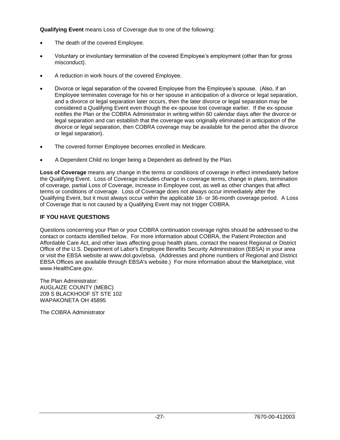**Qualifying Event** means Loss of Coverage due to one of the following:

- The death of the covered Employee.
- Voluntary or involuntary termination of the covered Employee's employment (other than for gross misconduct).
- A reduction in work hours of the covered Employee.
- Divorce or legal separation of the covered Employee from the Employee's spouse. (Also, if an Employee terminates coverage for his or her spouse in anticipation of a divorce or legal separation, and a divorce or legal separation later occurs, then the later divorce or legal separation may be considered a Qualifying Event even though the ex-spouse lost coverage earlier. If the ex-spouse notifies the Plan or the COBRA Administrator in writing within 60 calendar days after the divorce or legal separation and can establish that the coverage was originally eliminated in anticipation of the divorce or legal separation, then COBRA coverage may be available for the period after the divorce or legal separation).
- The covered former Employee becomes enrolled in Medicare.
- A Dependent Child no longer being a Dependent as defined by the Plan.

**Loss of Coverage** means any change in the terms or conditions of coverage in effect immediately before the Qualifying Event. Loss of Coverage includes change in coverage terms, change in plans, termination of coverage, partial Loss of Coverage, increase in Employee cost, as well as other changes that affect terms or conditions of coverage. Loss of Coverage does not always occur immediately after the Qualifying Event, but it must always occur within the applicable 18- or 36-month coverage period. A Loss of Coverage that is not caused by a Qualifying Event may not trigger COBRA.

### **IF YOU HAVE QUESTIONS**

Questions concerning your Plan or your COBRA continuation coverage rights should be addressed to the contact or contacts identified below. For more information about COBRA, the Patient Protection and Affordable Care Act, and other laws affecting group health plans, contact the nearest Regional or District Office of the U.S. Department of Labor's Employee Benefits Security Administration (EBSA) in your area or visit the EBSA website at www.dol.gov/ebsa. (Addresses and phone numbers of Regional and District EBSA Offices are available through EBSA's website.) For more information about the Marketplace, visit www.HealthCare.gov.

The Plan Administrator: AUGLAIZE COUNTY (MEBC) 209 S BLACKHOOF ST STE 102 WAPAKONETA OH 45895

The COBRA Administrator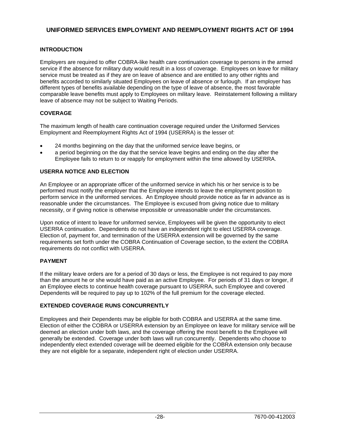### **UNIFORMED SERVICES EMPLOYMENT AND REEMPLOYMENT RIGHTS ACT OF 1994**

#### **INTRODUCTION**

Employers are required to offer COBRA-like health care continuation coverage to persons in the armed service if the absence for military duty would result in a loss of coverage. Employees on leave for military service must be treated as if they are on leave of absence and are entitled to any other rights and benefits accorded to similarly situated Employees on leave of absence or furlough. If an employer has different types of benefits available depending on the type of leave of absence, the most favorable comparable leave benefits must apply to Employees on military leave. Reinstatement following a military leave of absence may not be subject to Waiting Periods.

#### **COVERAGE**

The maximum length of health care continuation coverage required under the Uniformed Services Employment and Reemployment Rights Act of 1994 (USERRA) is the lesser of:

- 24 months beginning on the day that the uniformed service leave begins, or
- a period beginning on the day that the service leave begins and ending on the day after the Employee fails to return to or reapply for employment within the time allowed by USERRA.

#### **USERRA NOTICE AND ELECTION**

An Employee or an appropriate officer of the uniformed service in which his or her service is to be performed must notify the employer that the Employee intends to leave the employment position to perform service in the uniformed services. An Employee should provide notice as far in advance as is reasonable under the circumstances. The Employee is excused from giving notice due to military necessity, or if giving notice is otherwise impossible or unreasonable under the circumstances.

Upon notice of intent to leave for uniformed service, Employees will be given the opportunity to elect USERRA continuation. Dependents do not have an independent right to elect USERRA coverage. Election of, payment for, and termination of the USERRA extension will be governed by the same requirements set forth under the COBRA Continuation of Coverage section, to the extent the COBRA requirements do not conflict with USERRA.

#### **PAYMENT**

If the military leave orders are for a period of 30 days or less, the Employee is not required to pay more than the amount he or she would have paid as an active Employee. For periods of 31 days or longer, if an Employee elects to continue health coverage pursuant to USERRA, such Employee and covered Dependents will be required to pay up to 102% of the full premium for the coverage elected.

#### **EXTENDED COVERAGE RUNS CONCURRENTLY**

Employees and their Dependents may be eligible for both COBRA and USERRA at the same time. Election of either the COBRA or USERRA extension by an Employee on leave for military service will be deemed an election under both laws, and the coverage offering the most benefit to the Employee will generally be extended. Coverage under both laws will run concurrently. Dependents who choose to independently elect extended coverage will be deemed eligible for the COBRA extension only because they are not eligible for a separate, independent right of election under USERRA.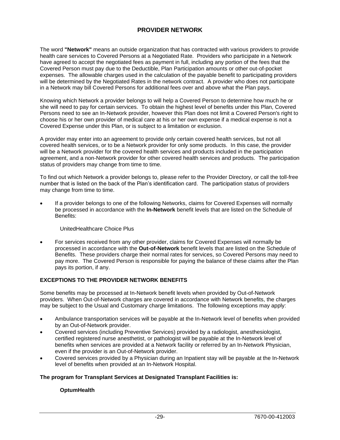### **PROVIDER NETWORK**

The word **"Network"** means an outside organization that has contracted with various providers to provide health care services to Covered Persons at a Negotiated Rate. Providers who participate in a Network have agreed to accept the negotiated fees as payment in full, including any portion of the fees that the Covered Person must pay due to the Deductible, Plan Participation amounts or other out-of-pocket expenses. The allowable charges used in the calculation of the payable benefit to participating providers will be determined by the Negotiated Rates in the network contract. A provider who does not participate in a Network may bill Covered Persons for additional fees over and above what the Plan pays.

Knowing which Network a provider belongs to will help a Covered Person to determine how much he or she will need to pay for certain services. To obtain the highest level of benefits under this Plan, Covered Persons need to see an In-Network provider, however this Plan does not limit a Covered Person's right to choose his or her own provider of medical care at his or her own expense if a medical expense is not a Covered Expense under this Plan, or is subject to a limitation or exclusion.

A provider may enter into an agreement to provide only certain covered health services, but not all covered health services, or to be a Network provider for only some products. In this case, the provider will be a Network provider for the covered health services and products included in the participation agreement, and a non-Network provider for other covered health services and products. The participation status of providers may change from time to time.

To find out which Network a provider belongs to, please refer to the Provider Directory, or call the toll-free number that is listed on the back of the Plan's identification card. The participation status of providers may change from time to time.

• If a provider belongs to one of the following Networks, claims for Covered Expenses will normally be processed in accordance with the **In-Network** benefit levels that are listed on the Schedule of Benefits:

UnitedHealthcare Choice Plus

• For services received from any other provider, claims for Covered Expenses will normally be processed in accordance with the **Out-of-Network** benefit levels that are listed on the Schedule of Benefits. These providers charge their normal rates for services, so Covered Persons may need to pay more. The Covered Person is responsible for paying the balance of these claims after the Plan pays its portion, if any.

#### **EXCEPTIONS TO THE PROVIDER NETWORK BENEFITS**

Some benefits may be processed at In-Network benefit levels when provided by Out-of-Network providers. When Out-of-Network charges are covered in accordance with Network benefits, the charges may be subject to the Usual and Customary charge limitations. The following exceptions may apply:

- Ambulance transportation services will be payable at the In-Network level of benefits when provided by an Out-of-Network provider.
- Covered services (including Preventive Services) provided by a radiologist, anesthesiologist, certified registered nurse anesthetist, or pathologist will be payable at the In-Network level of benefits when services are provided at a Network facility or referred by an In-Network Physician, even if the provider is an Out-of-Network provider.
- Covered services provided by a Physician during an Inpatient stay will be payable at the In-Network level of benefits when provided at an In-Network Hospital.

#### **The program for Transplant Services at Designated Transplant Facilities is:**

#### **OptumHealth**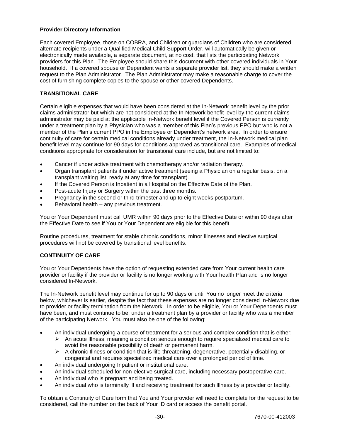#### **Provider Directory Information**

Each covered Employee, those on COBRA, and Children or guardians of Children who are considered alternate recipients under a Qualified Medical Child Support Order, will automatically be given or electronically made available, a separate document, at no cost, that lists the participating Network providers for this Plan. The Employee should share this document with other covered individuals in Your household. If a covered spouse or Dependent wants a separate provider list, they should make a written request to the Plan Administrator. The Plan Administrator may make a reasonable charge to cover the cost of furnishing complete copies to the spouse or other covered Dependents.

### **TRANSITIONAL CARE**

Certain eligible expenses that would have been considered at the In-Network benefit level by the prior claims administrator but which are not considered at the In-Network benefit level by the current claims administrator may be paid at the applicable In-Network benefit level if the Covered Person is currently under a treatment plan by a Physician who was a member of this Plan's previous PPO but who is not a member of the Plan's current PPO in the Employee or Dependent's network area. In order to ensure continuity of care for certain medical conditions already under treatment, the In-Network medical plan benefit level may continue for 90 days for conditions approved as transitional care. Examples of medical conditions appropriate for consideration for transitional care include, but are not limited to:

- Cancer if under active treatment with chemotherapy and/or radiation therapy.
- Organ transplant patients if under active treatment (seeing a Physician on a regular basis, on a transplant waiting list, ready at any time for transplant).
- If the Covered Person is Inpatient in a Hospital on the Effective Date of the Plan.
- Post-acute Injury or Surgery within the past three months.
- Pregnancy in the second or third trimester and up to eight weeks postpartum.
- Behavioral health any previous treatment.

You or Your Dependent must call UMR within 90 days prior to the Effective Date or within 90 days after the Effective Date to see if You or Your Dependent are eligible for this benefit.

Routine procedures, treatment for stable chronic conditions, minor Illnesses and elective surgical procedures will not be covered by transitional level benefits.

#### **CONTINUITY OF CARE**

You or Your Dependents have the option of requesting extended care from Your current health care provider or facility if the provider or facility is no longer working with Your health Plan and is no longer considered In-Network.

The In-Network benefit level may continue for up to 90 days or until You no longer meet the criteria below, whichever is earlier, despite the fact that these expenses are no longer considered In-Network due to provider or facility termination from the Network. In order to be eligible, You or Your Dependents must have been, and must continue to be, under a treatment plan by a provider or facility who was a member of the participating Network. You must also be one of the following:

- An individual undergoing a course of treatment for a serious and complex condition that is either:
	- $\triangleright$  An acute Illness, meaning a condition serious enough to require specialized medical care to avoid the reasonable possibility of death or permanent harm.
	- $\triangleright$  A chronic Illness or condition that is life-threatening, degenerative, potentially disabling, or congenital and requires specialized medical care over a prolonged period of time.
- An individual undergoing Inpatient or institutional care.
- An individual scheduled for non-elective surgical care, including necessary postoperative care.
- An individual who is pregnant and being treated.
- An individual who is terminally ill and receiving treatment for such Illness by a provider or facility.

To obtain a Continuity of Care form that You and Your provider will need to complete for the request to be considered, call the number on the back of Your ID card or access the benefit portal.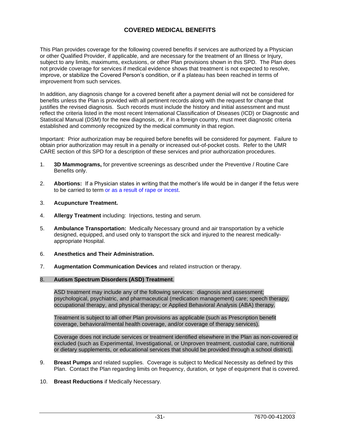### **COVERED MEDICAL BENEFITS**

This Plan provides coverage for the following covered benefits if services are authorized by a Physician or other Qualified Provider, if applicable, and are necessary for the treatment of an Illness or Injury, subject to any limits, maximums, exclusions, or other Plan provisions shown in this SPD. The Plan does not provide coverage for services if medical evidence shows that treatment is not expected to resolve, improve, or stabilize the Covered Person's condition, or if a plateau has been reached in terms of improvement from such services.

In addition, any diagnosis change for a covered benefit after a payment denial will not be considered for benefits unless the Plan is provided with all pertinent records along with the request for change that justifies the revised diagnosis. Such records must include the history and initial assessment and must reflect the criteria listed in the most recent International Classification of Diseases (ICD) or Diagnostic and Statistical Manual (DSM) for the new diagnosis, or, if in a foreign country, must meet diagnostic criteria established and commonly recognized by the medical community in that region.

Important: Prior authorization may be required before benefits will be considered for payment. Failure to obtain prior authorization may result in a penalty or increased out-of-pocket costs. Refer to the UMR CARE section of this SPD for a description of these services and prior authorization procedures.

- 1. **3D Mammograms,** for preventive screenings as described under the Preventive / Routine Care Benefits only.
- 2. **Abortions:** If a Physician states in writing that the mother's life would be in danger if the fetus were to be carried to term or as a result of rape or incest.
- 3. **Acupuncture Treatment.**
- 4. **Allergy Treatment** including: Injections, testing and serum.
- 5. **Ambulance Transportation:** Medically Necessary ground and air transportation by a vehicle designed, equipped, and used only to transport the sick and injured to the nearest medicallyappropriate Hospital.
- 6. **Anesthetics and Their Administration.**
- 7. **Augmentation Communication Devices** and related instruction or therapy.
- 8. **Autism Spectrum Disorders (ASD) Treatment**.

ASD treatment may include any of the following services: diagnosis and assessment; psychological, psychiatric, and pharmaceutical (medication management) care; speech therapy, occupational therapy, and physical therapy; or Applied Behavioral Analysis (ABA) therapy.

Treatment is subject to all other Plan provisions as applicable (such as Prescription benefit coverage, behavioral/mental health coverage, and/or coverage of therapy services).

Coverage does not include services or treatment identified elsewhere in the Plan as non-covered or excluded (such as Experimental, Investigational, or Unproven treatment, custodial care, nutritional or dietary supplements, or educational services that should be provided through a school district).

- 9. **Breast Pumps** and related supplies. Coverage is subject to Medical Necessity as defined by this Plan. Contact the Plan regarding limits on frequency, duration, or type of equipment that is covered.
- 10. **Breast Reductions** if Medically Necessary.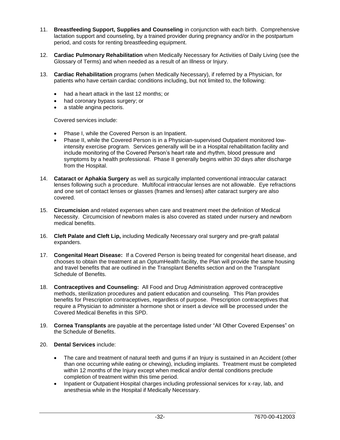- 11. **Breastfeeding Support, Supplies and Counseling** in conjunction with each birth. Comprehensive lactation support and counseling, by a trained provider during pregnancy and/or in the postpartum period, and costs for renting breastfeeding equipment.
- 12. **Cardiac Pulmonary Rehabilitation** when Medically Necessary for Activities of Daily Living (see the Glossary of Terms) and when needed as a result of an Illness or Injury.
- 13. **Cardiac Rehabilitation** programs (when Medically Necessary), if referred by a Physician, for patients who have certain cardiac conditions including, but not limited to, the following:
	- had a heart attack in the last 12 months; or
	- had coronary bypass surgery; or
	- a stable angina pectoris.

Covered services include:

- Phase I, while the Covered Person is an Inpatient.
- Phase II, while the Covered Person is in a Physician-supervised Outpatient monitored lowintensity exercise program. Services generally will be in a Hospital rehabilitation facility and include monitoring of the Covered Person's heart rate and rhythm, blood pressure and symptoms by a health professional. Phase II generally begins within 30 days after discharge from the Hospital.
- 14. **Cataract or Aphakia Surgery** as well as surgically implanted conventional intraocular cataract lenses following such a procedure. Multifocal intraocular lenses are not allowable. Eye refractions and one set of contact lenses or glasses (frames and lenses) after cataract surgery are also covered.
- 15. **Circumcision** and related expenses when care and treatment meet the definition of Medical Necessity. Circumcision of newborn males is also covered as stated under nursery and newborn medical benefits.
- 16. **Cleft Palate and Cleft Lip,** including Medically Necessary oral surgery and pre-graft palatal expanders.
- 17. **Congenital Heart Disease:** If a Covered Person is being treated for congenital heart disease, and chooses to obtain the treatment at an OptumHealth facility, the Plan will provide the same housing and travel benefits that are outlined in the Transplant Benefits section and on the Transplant Schedule of Benefits.
- 18. **Contraceptives and Counseling:** All Food and Drug Administration approved contraceptive methods, sterilization procedures and patient education and counseling. This Plan provides benefits for Prescription contraceptives, regardless of purpose. Prescription contraceptives that require a Physician to administer a hormone shot or insert a device will be processed under the Covered Medical Benefits in this SPD.
- 19. **Cornea Transplants** are payable at the percentage listed under "All Other Covered Expenses" on the Schedule of Benefits.
- 20. **Dental Services** include:
	- The care and treatment of natural teeth and gums if an Injury is sustained in an Accident (other than one occurring while eating or chewing), including implants. Treatment must be completed within 12 months of the Injury except when medical and/or dental conditions preclude completion of treatment within this time period.
	- Inpatient or Outpatient Hospital charges including professional services for x-ray, lab, and anesthesia while in the Hospital if Medically Necessary.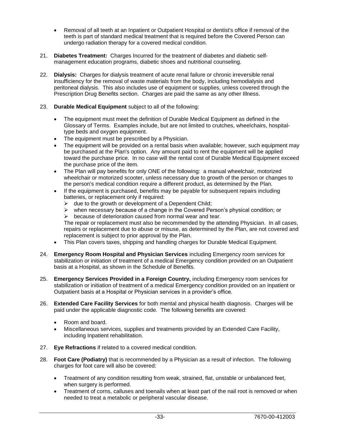- Removal of all teeth at an Inpatient or Outpatient Hospital or dentist's office if removal of the teeth is part of standard medical treatment that is required before the Covered Person can undergo radiation therapy for a covered medical condition.
- 21. **Diabetes Treatment:** Charges Incurred for the treatment of diabetes and diabetic selfmanagement education programs, diabetic shoes and nutritional counseling.
- 22. **Dialysis:** Charges for dialysis treatment of acute renal failure or chronic irreversible renal insufficiency for the removal of waste materials from the body, including hemodialysis and peritoneal dialysis. This also includes use of equipment or supplies, unless covered through the Prescription Drug Benefits section. Charges are paid the same as any other Illness.
- 23. **Durable Medical Equipment** subject to all of the following:
	- The equipment must meet the definition of Durable Medical Equipment as defined in the Glossary of Terms. Examples include, but are not limited to crutches, wheelchairs, hospitaltype beds and oxygen equipment.
	- The equipment must be prescribed by a Physician.
	- The equipment will be provided on a rental basis when available; however, such equipment may be purchased at the Plan's option. Any amount paid to rent the equipment will be applied toward the purchase price. In no case will the rental cost of Durable Medical Equipment exceed the purchase price of the item.
	- The Plan will pay benefits for only ONE of the following: a manual wheelchair, motorized wheelchair or motorized scooter, unless necessary due to growth of the person or changes to the person's medical condition require a different product, as determined by the Plan.
	- If the equipment is purchased, benefits may be payable for subsequent repairs including batteries, or replacement only if required:
		- $\triangleright$  due to the growth or development of a Dependent Child;
		- $\triangleright$  when necessary because of a change in the Covered Person's physical condition; or
		- ➢ because of deterioration caused from normal wear and tear.

The repair or replacement must also be recommended by the attending Physician. In all cases, repairs or replacement due to abuse or misuse, as determined by the Plan, are not covered and replacement is subject to prior approval by the Plan.

- This Plan covers taxes, shipping and handling charges for Durable Medical Equipment.
- 24. **Emergency Room Hospital and Physician Services** including Emergency room services for stabilization or initiation of treatment of a medical Emergency condition provided on an Outpatient basis at a Hospital, as shown in the Schedule of Benefits.
- 25. **Emergency Services Provided in a Foreign Country,** including Emergency room services for stabilization or initiation of treatment of a medical Emergency condition provided on an Inpatient or Outpatient basis at a Hospital or Physician services in a provider's office.
- 26. **Extended Care Facility Services** for both mental and physical health diagnosis. Charges will be paid under the applicable diagnostic code. The following benefits are covered:
	- Room and board.
	- Miscellaneous services, supplies and treatments provided by an Extended Care Facility, including Inpatient rehabilitation.
- 27. **Eye Refractions** if related to a covered medical condition.
- 28. **Foot Care (Podiatry)** that is recommended by a Physician as a result of infection. The following charges for foot care will also be covered:
	- Treatment of any condition resulting from weak, strained, flat, unstable or unbalanced feet, when surgery is performed.
	- Treatment of corns, calluses and toenails when at least part of the nail root is removed or when needed to treat a metabolic or peripheral vascular disease.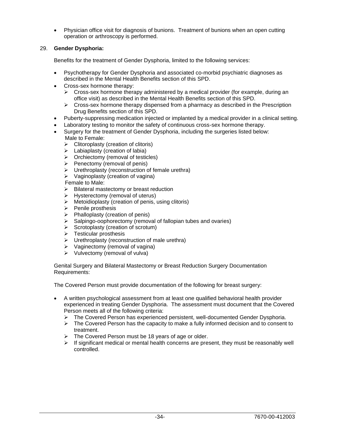• Physician office visit for diagnosis of bunions. Treatment of bunions when an open cutting operation or arthroscopy is performed.

## 29. **Gender Dysphoria:**

Benefits for the treatment of Gender Dysphoria, limited to the following services:

- Psychotherapy for Gender Dysphoria and associated co-morbid psychiatric diagnoses as described in the Mental Health Benefits section of this SPD.
- Cross-sex hormone therapy:
	- $\triangleright$  Cross-sex hormone therapy administered by a medical provider (for example, during an office visit) as described in the Mental Health Benefits section of this SPD.
	- $\triangleright$  Cross-sex hormone therapy dispensed from a pharmacy as described in the Prescription Drug Benefits section of this SPD.
- Puberty-suppressing medication injected or implanted by a medical provider in a clinical setting.
- Laboratory testing to monitor the safety of continuous cross-sex hormone therapy.
- Surgery for the treatment of Gender Dysphoria, including the surgeries listed below: Male to Female:
	- ➢ Clitoroplasty (creation of clitoris)
	- $\triangleright$  Labiaplasty (creation of labia)
	- ➢ Orchiectomy (removal of testicles)
	- $\triangleright$  Penectomy (removal of penis)
	- ➢ Urethroplasty (reconstruction of female urethra)
	- ➢ Vaginoplasty (creation of vagina)

Female to Male:

- ➢ Bilateral mastectomy or breast reduction
- ➢ Hysterectomy (removal of uterus)
- ➢ Metoidioplasty (creation of penis, using clitoris)
- ➢ Penile prosthesis
- $\triangleright$  Phalloplasty (creation of penis)
- $\triangleright$  Salpingo-oophorectomy (removal of fallopian tubes and ovaries)
- ➢ Scrotoplasty (creation of scrotum)
- ➢ Testicular prosthesis
- ➢ Urethroplasty (reconstruction of male urethra)
- ➢ Vaginectomy (removal of vagina)
- ➢ Vulvectomy (removal of vulva)

Genital Surgery and Bilateral Mastectomy or Breast Reduction Surgery Documentation Requirements:

The Covered Person must provide documentation of the following for breast surgery:

- A written psychological assessment from at least one qualified behavioral health provider experienced in treating Gender Dysphoria. The assessment must document that the Covered Person meets all of the following criteria:
	- ➢ The Covered Person has experienced persistent, well-documented Gender Dysphoria.
	- $\triangleright$  The Covered Person has the capacity to make a fully informed decision and to consent to treatment.
	- ➢ The Covered Person must be 18 years of age or older.
	- ➢ If significant medical or mental health concerns are present, they must be reasonably well controlled.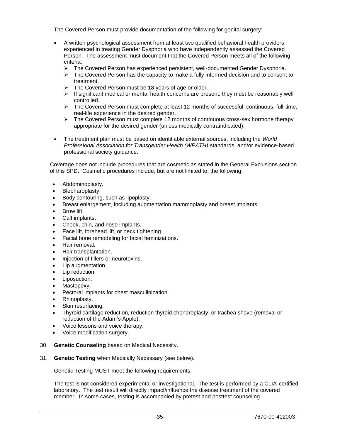The Covered Person must provide documentation of the following for genital surgery:

- A written psychological assessment from at least two qualified behavioral health providers experienced in treating Gender Dysphoria who have independently assessed the Covered Person. The assessment must document that the Covered Person meets all of the following criteria:
	- ➢ The Covered Person has experienced persistent, well-documented Gender Dysphoria.
	- $\triangleright$  The Covered Person has the capacity to make a fully informed decision and to consent to treatment.
	- ➢ The Covered Person must be 18 years of age or older.
	- $\triangleright$  If significant medical or mental health concerns are present, they must be reasonably well controlled.
	- ➢ The Covered Person must complete at least 12 months of successful, continuous, full-time, real-life experience in the desired gender.
	- ➢ The Covered Person must complete 12 months of continuous cross-sex hormone therapy appropriate for the desired gender (unless medically contraindicated).
- The treatment plan must be based on identifiable external sources, including the *World Professional Association for Transgender Health (WPATH)* standards, and/or evidence-based professional society guidance.

Coverage does not include procedures that are cosmetic as stated in the General Exclusions section of this SPD. Cosmetic procedures include, but are not limited to, the following:

- Abdominoplasty.
- Blepharoplasty.
- Body contouring, such as lipoplasty.
- Breast enlargement, including augmentation mammoplasty and breast implants.
- Brow lift.
- Calf implants.
- Cheek, chin, and nose implants.
- Face lift, forehead lift, or neck tightening.
- Facial bone remodeling for facial feminizations.
- Hair removal.
- Hair transplantation.
- Injection of fillers or neurotoxins.
- Lip augmentation.
- Lip reduction.
- Liposuction.
- Mastopexy.
- Pectoral implants for chest masculinization.
- Rhinoplasty.
- Skin resurfacing.
- Thyroid cartilage reduction, reduction thyroid chondroplasty, or trachea shave (removal or reduction of the Adam's Apple).
- Voice lessons and voice therapy.
- Voice modification surgery.
- 30. **Genetic Counseling** based on Medical Necessity.
- 31. **Genetic Testing** when Medically Necessary (see below).

Genetic Testing MUST meet the following requirements:

The test is not considered experimental or investigational. The test is performed by a CLIA-certified laboratory. The test result will directly impact/influence the disease treatment of the covered member. In some cases, testing is accompanied by pretest and posttest counseling.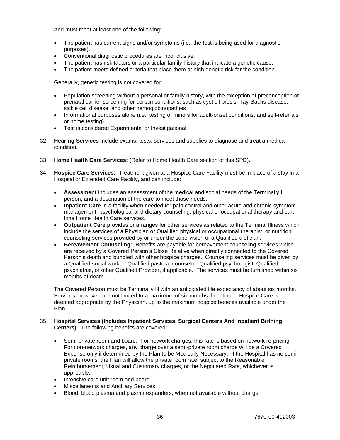And must meet at least one of the following:

- The patient has current signs and/or symptoms (i.e., the test is being used for diagnostic purposes).
- Conventional diagnostic procedures are inconclusive.
- The patient has risk factors or a particular family history that indicate a genetic cause.
- The patient meets defined criteria that place them at high genetic risk for the condition.

Generally, genetic testing is not covered for:

- Population screening without a personal or family history, with the exception of preconception or prenatal carrier screening for certain conditions, such as cystic fibrosis, Tay-Sachs disease, sickle cell disease, and other hemoglobinopathies
- Informational purposes alone (i.e., testing of minors for adult-onset conditions, and self-referrals or home testing)
- Test is considered Experimental or Investigational.
- 32. **Hearing Services** include exams, tests, services and supplies to diagnose and treat a medical condition.
- 33. **Home Health Care Services:** (Refer to Home Health Care section of this SPD).
- 34. **Hospice Care Services:** Treatment given at a Hospice Care Facility must be in place of a stay in a Hospital or Extended Care Facility, and can include:
	- **Assessment** includes an assessment of the medical and social needs of the Terminally Ill person, and a description of the care to meet those needs.
	- **Inpatient Care** in a facility when needed for pain control and other acute and chronic symptom management, psychological and dietary counseling, physical or occupational therapy and parttime Home Health Care services.
	- **Outpatient Care** provides or arranges for other services as related to the Terminal Illness which include the services of a Physician or Qualified physical or occupational therapist, or nutrition counseling services provided by or under the supervision of a Qualified dietician.
	- **Bereavement Counseling:** Benefits are payable for bereavement counseling services which are received by a Covered Person's Close Relative when directly connected to the Covered Person's death and bundled with other hospice charges. Counseling services must be given by a Qualified social worker, Qualified pastoral counselor, Qualified psychologist, Qualified psychiatrist, or other Qualified Provider, if applicable. The services must be furnished within six months of death

The Covered Person must be Terminally Ill with an anticipated life expectancy of about six months. Services, however, are not limited to a maximum of six months if continued Hospice Care is deemed appropriate by the Physician, up to the maximum hospice benefits available under the Plan.

#### 35. **Hospital Services (Includes Inpatient Services, Surgical Centers And Inpatient Birthing Centers).** The following benefits are covered:

- Semi-private room and board. For network charges, this rate is based on network re-pricing. For non-network charges, any charge over a semi-private room charge will be a Covered Expense only if determined by the Plan to be Medically Necessary. If the Hospital has no semiprivate rooms, the Plan will allow the private room rate, subject to the Reasonable Reimbursement, Usual and Customary charges, or the Negotiated Rate, whichever is applicable.
- Intensive care unit room and board.
- Miscellaneous and Ancillary Services.
- Blood, blood plasma and plasma expanders, when not available without charge.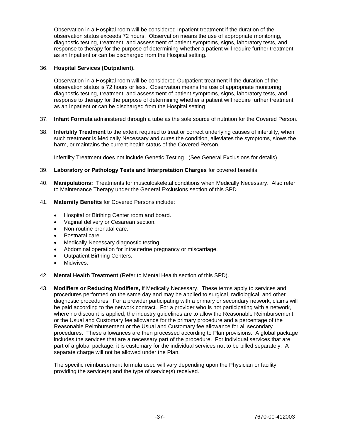Observation in a Hospital room will be considered Inpatient treatment if the duration of the observation status exceeds 72 hours. Observation means the use of appropriate monitoring, diagnostic testing, treatment, and assessment of patient symptoms, signs, laboratory tests, and response to therapy for the purpose of determining whether a patient will require further treatment as an Inpatient or can be discharged from the Hospital setting.

### 36. **Hospital Services (Outpatient).**

Observation in a Hospital room will be considered Outpatient treatment if the duration of the observation status is 72 hours or less. Observation means the use of appropriate monitoring, diagnostic testing, treatment, and assessment of patient symptoms, signs, laboratory tests, and response to therapy for the purpose of determining whether a patient will require further treatment as an Inpatient or can be discharged from the Hospital setting.

- 37. **Infant Formula** administered through a tube as the sole source of nutrition for the Covered Person.
- 38. **Infertility Treatment** to the extent required to treat or correct underlying causes of infertility, when such treatment is Medically Necessary and cures the condition, alleviates the symptoms, slows the harm, or maintains the current health status of the Covered Person.

Infertility Treatment does not include Genetic Testing. (See General Exclusions for details).

- 39. **Laboratory or Pathology Tests and Interpretation Charges** for covered benefits.
- 40. **Manipulations:** Treatments for musculoskeletal conditions when Medically Necessary. Also refer to Maintenance Therapy under the General Exclusions section of this SPD.
- 41. **Maternity Benefits** for Covered Persons include:
	- Hospital or Birthing Center room and board.
	- Vaginal delivery or Cesarean section.
	- Non-routine prenatal care.
	- Postnatal care.
	- Medically Necessary diagnostic testing.
	- Abdominal operation for intrauterine pregnancy or miscarriage.
	- Outpatient Birthing Centers.
	- Midwives.
- 42. **Mental Health Treatment** (Refer to Mental Health section of this SPD).
- 43. **Modifiers or Reducing Modifiers,** if Medically Necessary. These terms apply to services and procedures performed on the same day and may be applied to surgical, radiological, and other diagnostic procedures. For a provider participating with a primary or secondary network, claims will be paid according to the network contract. For a provider who is not participating with a network, where no discount is applied, the industry guidelines are to allow the Reasonable Reimbursement or the Usual and Customary fee allowance for the primary procedure and a percentage of the Reasonable Reimbursement or the Usual and Customary fee allowance for all secondary procedures. These allowances are then processed according to Plan provisions. A global package includes the services that are a necessary part of the procedure. For individual services that are part of a global package, it is customary for the individual services not to be billed separately. A separate charge will not be allowed under the Plan.

The specific reimbursement formula used will vary depending upon the Physician or facility providing the service(s) and the type of service(s) received.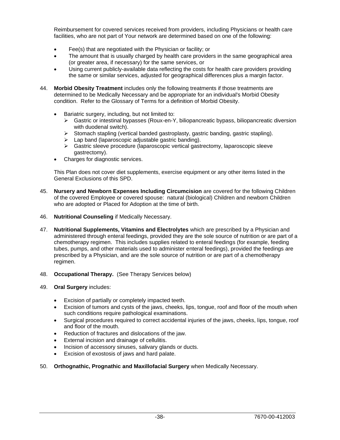Reimbursement for covered services received from providers, including Physicians or health care facilities, who are not part of Your network are determined based on one of the following:

- Fee(s) that are negotiated with the Physician or facility; or
- The amount that is usually charged by health care providers in the same geographical area (or greater area, if necessary) for the same services, or
- Using current publicly-available data reflecting the costs for health care providers providing the same or similar services, adjusted for geographical differences plus a margin factor.
- 44. **Morbid Obesity Treatment** includes only the following treatments if those treatments are determined to be Medically Necessary and be appropriate for an individual's Morbid Obesity condition. Refer to the Glossary of Terms for a definition of Morbid Obesity.
	- Bariatric surgery, including, but not limited to:
		- $\triangleright$  Gastric or intestinal bypasses (Roux-en-Y, biliopancreatic bypass, biliopancreatic diversion with duodenal switch).
		- ➢ Stomach stapling (vertical banded gastroplasty, gastric banding, gastric stapling).
		- $\triangleright$  Lap band (laparoscopic adjustable gastric banding).
		- ➢ Gastric sleeve procedure (laparoscopic vertical gastrectomy, laparoscopic sleeve gastrectomy).
	- Charges for diagnostic services.

This Plan does not cover diet supplements, exercise equipment or any other items listed in the General Exclusions of this SPD.

- 45. **Nursery and Newborn Expenses Including Circumcision** are covered for the following Children of the covered Employee or covered spouse: natural (biological) Children and newborn Children who are adopted or Placed for Adoption at the time of birth.
- 46. **Nutritional Counseling** if Medically Necessary*.*
- 47. **Nutritional Supplements, Vitamins and Electrolytes** which are prescribed by a Physician and administered through enteral feedings, provided they are the sole source of nutrition or are part of a chemotherapy regimen. This includes supplies related to enteral feedings (for example, feeding tubes, pumps, and other materials used to administer enteral feedings), provided the feedings are prescribed by a Physician, and are the sole source of nutrition or are part of a chemotherapy regimen.
- 48. **Occupational Therapy.** (See Therapy Services below)
- 49. **Oral Surgery** includes:
	- Excision of partially or completely impacted teeth.
	- Excision of tumors and cysts of the jaws, cheeks, lips, tongue, roof and floor of the mouth when such conditions require pathological examinations.
	- Surgical procedures required to correct accidental injuries of the jaws, cheeks, lips, tongue, roof and floor of the mouth.
	- Reduction of fractures and dislocations of the jaw.
	- External incision and drainage of cellulitis.
	- Incision of accessory sinuses, salivary glands or ducts.
	- Excision of exostosis of jaws and hard palate.
- 50. **Orthognathic, Prognathic and Maxillofacial Surgery** when Medically Necessary.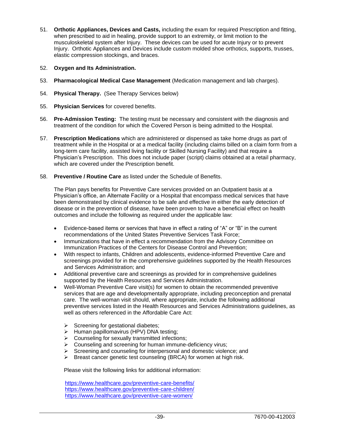- 51. **Orthotic Appliances, Devices and Casts,** including the exam for required Prescription and fitting, when prescribed to aid in healing, provide support to an extremity, or limit motion to the musculoskeletal system after Injury. These devices can be used for acute Injury or to prevent Injury. Orthotic Appliances and Devices include custom molded shoe orthotics, supports, trusses, elastic compression stockings, and braces.
- 52. **Oxygen and Its Administration.**
- 53. **Pharmacological Medical Case Management** (Medication management and lab charges).
- 54. **Physical Therapy.** (See Therapy Services below)
- 55. **Physician Services** for covered benefits.
- 56. **Pre-Admission Testing:** The testing must be necessary and consistent with the diagnosis and treatment of the condition for which the Covered Person is being admitted to the Hospital.
- 57. **Prescription Medications** which are administered or dispensed as take home drugs as part of treatment while in the Hospital or at a medical facility (including claims billed on a claim form from a long-term care facility, assisted living facility or Skilled Nursing Facility) and that require a Physician's Prescription. This does not include paper (script) claims obtained at a retail pharmacy, which are covered under the Prescription benefit.
- 58. **Preventive / Routine Care** as listed under the Schedule of Benefits.

The Plan pays benefits for Preventive Care services provided on an Outpatient basis at a Physician's office, an Alternate Facility or a Hospital that encompass medical services that have been demonstrated by clinical evidence to be safe and effective in either the early detection of disease or in the prevention of disease, have been proven to have a beneficial effect on health outcomes and include the following as required under the applicable law:

- Evidence-based items or services that have in effect a rating of "A" or "B" in the current recommendations of the United States Preventive Services Task Force;
- Immunizations that have in effect a recommendation from the Advisory Committee on Immunization Practices of the Centers for Disease Control and Prevention;
- With respect to infants, Children and adolescents, evidence-informed Preventive Care and screenings provided for in the comprehensive guidelines supported by the Health Resources and Services Administration; and
- Additional preventive care and screenings as provided for in comprehensive guidelines supported by the Health Resources and Services Administration.
- Well-Woman Preventive Care visit(s) for women to obtain the recommended preventive services that are age and developmentally appropriate, including preconception and prenatal care. The well-woman visit should, where appropriate, include the following additional preventive services listed in the Health Resources and Services Administrations guidelines, as well as others referenced in the Affordable Care Act:
	- ➢ Screening for gestational diabetes;
	- ➢ Human papillomavirus (HPV) DNA testing;
	- $\triangleright$  Counseling for sexually transmitted infections;
	- ➢ Counseling and screening for human immune-deficiency virus;
	- ➢ Screening and counseling for interpersonal and domestic violence; and
	- ➢ Breast cancer genetic test counseling (BRCA) for women at high risk.

Please visit the following links for additional information:

<https://www.healthcare.gov/preventive-care-benefits/> <https://www.healthcare.gov/preventive-care-children/> <https://www.healthcare.gov/preventive-care-women/>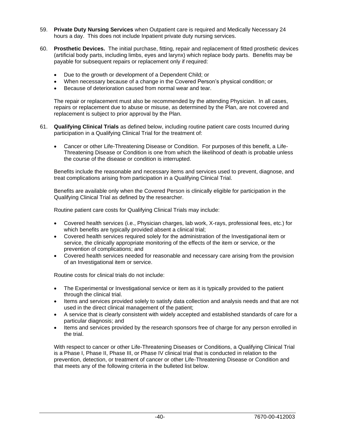- 59. **Private Duty Nursing Services** when Outpatient care is required and Medically Necessary 24 hours a day. This does not include Inpatient private duty nursing services.
- 60. **Prosthetic Devices.** The initial purchase, fitting, repair and replacement of fitted prosthetic devices (artificial body parts, including limbs, eyes and larynx) which replace body parts. Benefits may be payable for subsequent repairs or replacement only if required:
	- Due to the growth or development of a Dependent Child; or
	- When necessary because of a change in the Covered Person's physical condition; or
	- Because of deterioration caused from normal wear and tear.

The repair or replacement must also be recommended by the attending Physician. In all cases, repairs or replacement due to abuse or misuse, as determined by the Plan, are not covered and replacement is subject to prior approval by the Plan.

- 61. **Qualifying Clinical Trials** as defined below, including routine patient care costs Incurred during participation in a Qualifying Clinical Trial for the treatment of:
	- Cancer or other Life-Threatening Disease or Condition. For purposes of this benefit, a Life-Threatening Disease or Condition is one from which the likelihood of death is probable unless the course of the disease or condition is interrupted.

Benefits include the reasonable and necessary items and services used to prevent, diagnose, and treat complications arising from participation in a Qualifying Clinical Trial.

Benefits are available only when the Covered Person is clinically eligible for participation in the Qualifying Clinical Trial as defined by the researcher.

Routine patient care costs for Qualifying Clinical Trials may include:

- Covered health services (i.e., Physician charges, lab work, X-rays, professional fees, etc.) for which benefits are typically provided absent a clinical trial;
- Covered health services required solely for the administration of the Investigational item or service, the clinically appropriate monitoring of the effects of the item or service, or the prevention of complications; and
- Covered health services needed for reasonable and necessary care arising from the provision of an Investigational item or service.

Routine costs for clinical trials do not include:

- The Experimental or Investigational service or item as it is typically provided to the patient through the clinical trial.
- Items and services provided solely to satisfy data collection and analysis needs and that are not used in the direct clinical management of the patient;
- A service that is clearly consistent with widely accepted and established standards of care for a particular diagnosis; and
- Items and services provided by the research sponsors free of charge for any person enrolled in the trial.

With respect to cancer or other Life-Threatening Diseases or Conditions, a Qualifying Clinical Trial is a Phase I, Phase II, Phase III, or Phase IV clinical trial that is conducted in relation to the prevention, detection, or treatment of cancer or other Life-Threatening Disease or Condition and that meets any of the following criteria in the bulleted list below.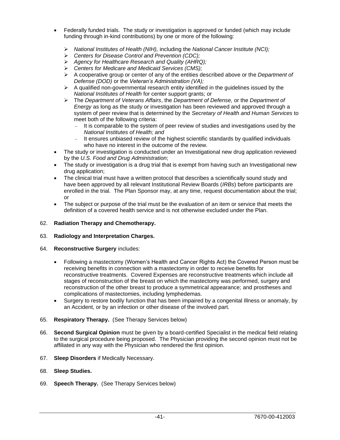- Federally funded trials. The study or investigation is approved or funded (which may include funding through in-kind contributions) by one or more of the following:
	- ➢ *National Institutes of Health (NIH),* including the *National Cancer Institute (NCI);*
	- ➢ *Centers for Disease Control and Prevention (CDC);*
	- ➢ *Agency for Healthcare Research and Quality (AHRQ);*
	- ➢ *Centers for Medicare and Medicaid Services (CMS);*
	- ➢ A cooperative group or center of any of the entities described above or the *Department of Defense (DOD)* or the *Veteran's Administration (VA);*
	- $\triangleright$  A qualified non-governmental research entity identified in the guidelines issued by the *National Institutes of Health* for center support grants; or
	- ➢ The *Department of Veterans Affairs*, the *Department of Defense,* or the *Department of Energy* as long as the study or investigation has been reviewed and approved through a system of peer review that is determined by the *Secretary of Health and Human Services* to meet both of the following criteria:
		- − It is comparable to the system of peer review of studies and investigations used by the *National Institutes of Health; and*
		- − It ensures unbiased review of the highest scientific standards by qualified individuals who have no interest in the outcome of the review.
- The study or investigation is conducted under an Investigational new drug application reviewed by the *U.S. Food and Drug Administration*;
- The study or investigation is a drug trial that is exempt from having such an Investigational new drug application;
- The clinical trial must have a written protocol that describes a scientifically sound study and have been approved by all relevant Institutional Review Boards (*IRBs*) before participants are enrolled in the trial. The Plan Sponsor may, at any time, request documentation about the trial; or
- The subject or purpose of the trial must be the evaluation of an item or service that meets the definition of a covered health service and is not otherwise excluded under the Plan.

## 62. **Radiation Therapy and Chemotherapy.**

### 63. **Radiology and Interpretation Charges.**

### 64. **Reconstructive Surgery** includes:

- Following a mastectomy (Women's Health and Cancer Rights Act) the Covered Person must be receiving benefits in connection with a mastectomy in order to receive benefits for reconstructive treatments. Covered Expenses are reconstructive treatments which include all stages of reconstruction of the breast on which the mastectomy was performed, surgery and reconstruction of the other breast to produce a symmetrical appearance; and prostheses and complications of mastectomies, including lymphedemas.
- Surgery to restore bodily function that has been impaired by a congenital Illness or anomaly, by an Accident, or by an infection or other disease of the involved part.

### 65. **Respiratory Therapy.** (See Therapy Services below)

- 66. **Second Surgical Opinion** must be given by a board-certified Specialist in the medical field relating to the surgical procedure being proposed. The Physician providing the second opinion must not be affiliated in any way with the Physician who rendered the first opinion.
- 67. **Sleep Disorders** if Medically Necessary.
- 68. **Sleep Studies.**
- 69. **Speech Therapy.** (See Therapy Services below)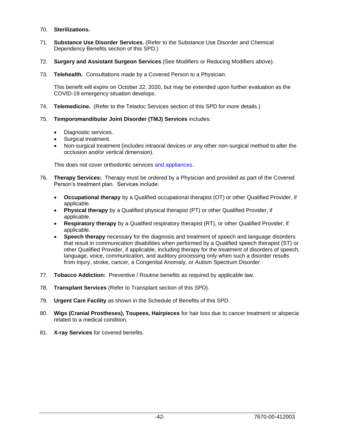#### 70. **Sterilizations.**

- 71. **Substance Use Disorder Services.** (Refer to the Substance Use Disorder and Chemical Dependency Benefits section of this SPD.)
- 72. **Surgery and Assistant Surgeon Services** (See Modifiers or Reducing Modifiers above).
- 73. **Telehealth.** Consultations made by a Covered Person to a Physician.

This benefit will expire on October 22, 2020, but may be extended upon further evaluation as the COVID-19 emergency situation develops.

- 74. **Telemedicine.** (Refer to the Teladoc Services section of this SPD for more details.)
- 75. **Temporomandibular Joint Disorder (TMJ) Services** includes:
	- Diagnostic services.
	- Surgical treatment.
	- Non-surgical treatment (includes intraoral devices or any other non-surgical method to alter the occlusion and/or vertical dimension).

This does not cover orthodontic services and appliances.

- 76. **Therapy Services:** Therapy must be ordered by a Physician and provided as part of the Covered Person's treatment plan. Services include:
	- **Occupational therapy** by a Qualified occupational therapist (OT) or other Qualified Provider, if applicable.
	- **Physical therapy** by a Qualified physical therapist (PT) or other Qualified Provider, if applicable.
	- **Respiratory therapy** by a Qualified respiratory therapist (RT), or other Qualified Provider, if applicable.
	- **Speech therapy** necessary for the diagnosis and treatment of speech and language disorders that result in communication disabilities when performed by a Qualified speech therapist (ST) or other Qualified Provider, if applicable, including therapy for the treatment of disorders of speech, language, voice, communication, and auditory processing only when such a disorder results from Injury, stroke, cancer, a Congenital Anomaly, or Autism Spectrum Disorder.
- 77. **Tobacco Addiction:** Preventive / Routine benefits as required by applicable law.
- 78. **Transplant Services** (Refer to Transplant section of this SPD).
- 79. **Urgent Care Facility** as shown in the Schedule of Benefits of this SPD.
- 80. **Wigs (Cranial Prostheses), Toupees, Hairpieces** for hair loss due to cancer treatment or alopecia related to a medical condition.
- 81. **X-ray Services** for covered benefits.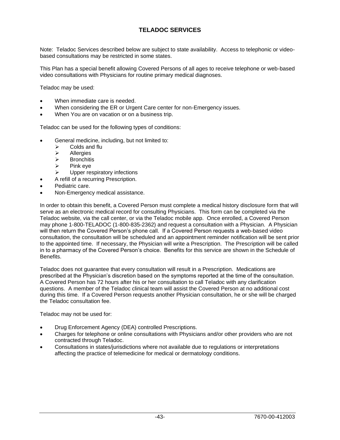# **TELADOC SERVICES**

Note: Teladoc Services described below are subject to state availability. Access to telephonic or videobased consultations may be restricted in some states.

This Plan has a special benefit allowing Covered Persons of all ages to receive telephone or web-based video consultations with Physicians for routine primary medical diagnoses.

Teladoc may be used:

- When immediate care is needed.
- When considering the ER or Urgent Care center for non-Emergency issues.
- When You are on vacation or on a business trip.

Teladoc can be used for the following types of conditions:

- General medicine, including, but not limited to:
	- $\triangleright$  Colds and flu
	- ➢ Allergies
	- ➢ Bronchitis
	- ➢ Pink eye
	- ➢ Upper respiratory infections
	- A refill of a recurring Prescription.
- Pediatric care.
- Non-Emergency medical assistance.

In order to obtain this benefit, a Covered Person must complete a medical history disclosure form that will serve as an electronic medical record for consulting Physicians. This form can be completed via the Teladoc website, via the call center, or via the Teladoc mobile app. Once enrolled, a Covered Person may phone 1-800-TELADOC (1-800-835-2362) and request a consultation with a Physician. A Physician will then return the Covered Person's phone call. If a Covered Person requests a web-based video consultation, the consultation will be scheduled and an appointment reminder notification will be sent prior to the appointed time. If necessary, the Physician will write a Prescription. The Prescription will be called in to a pharmacy of the Covered Person's choice. Benefits for this service are shown in the Schedule of **Benefits** 

Teladoc does not guarantee that every consultation will result in a Prescription. Medications are prescribed at the Physician's discretion based on the symptoms reported at the time of the consultation. A Covered Person has 72 hours after his or her consultation to call Teladoc with any clarification questions. A member of the Teladoc clinical team will assist the Covered Person at no additional cost during this time. If a Covered Person requests another Physician consultation, he or she will be charged the Teladoc consultation fee.

Teladoc may not be used for:

- Drug Enforcement Agency (DEA) controlled Prescriptions.
- Charges for telephone or online consultations with Physicians and/or other providers who are not contracted through Teladoc.
- Consultations in states/jurisdictions where not available due to regulations or interpretations affecting the practice of telemedicine for medical or dermatology conditions.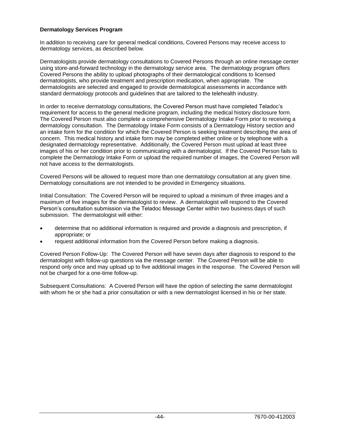### **Dermatology Services Program**

In addition to receiving care for general medical conditions, Covered Persons may receive access to dermatology services, as described below.

Dermatologists provide dermatology consultations to Covered Persons through an online message center using store-and-forward technology in the dermatology service area. The dermatology program offers Covered Persons the ability to upload photographs of their dermatological conditions to licensed dermatologists, who provide treatment and prescription medication, when appropriate. The dermatologists are selected and engaged to provide dermatological assessments in accordance with standard dermatology protocols and guidelines that are tailored to the telehealth industry.

In order to receive dermatology consultations, the Covered Person must have completed Teladoc's requirement for access to the general medicine program, including the medical history disclosure form. The Covered Person must also complete a comprehensive Dermatology Intake Form prior to receiving a dermatology consultation. The Dermatology Intake Form consists of a Dermatology History section and an intake form for the condition for which the Covered Person is seeking treatment describing the area of concern. This medical history and intake form may be completed either online or by telephone with a designated dermatology representative. Additionally, the Covered Person must upload at least three images of his or her condition prior to communicating with a dermatologist. If the Covered Person fails to complete the Dermatology Intake Form or upload the required number of images, the Covered Person will not have access to the dermatologists.

Covered Persons will be allowed to request more than one dermatology consultation at any given time. Dermatology consultations are not intended to be provided in Emergency situations.

Initial Consultation: The Covered Person will be required to upload a minimum of three images and a maximum of five images for the dermatologist to review. A dermatologist will respond to the Covered Person's consultation submission via the Teladoc Message Center within two business days of such submission. The dermatologist will either:

- determine that no additional information is required and provide a diagnosis and prescription, if appropriate; or
- request additional information from the Covered Person before making a diagnosis.

Covered Person Follow-Up: The Covered Person will have seven days after diagnosis to respond to the dermatologist with follow-up questions via the message center. The Covered Person will be able to respond only once and may upload up to five additional images in the response. The Covered Person will not be charged for a one-time follow-up.

Subsequent Consultations: A Covered Person will have the option of selecting the same dermatologist with whom he or she had a prior consultation or with a new dermatologist licensed in his or her state.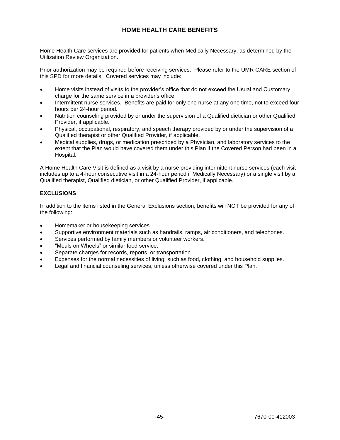# **HOME HEALTH CARE BENEFITS**

Home Health Care services are provided for patients when Medically Necessary, as determined by the Utilization Review Organization.

Prior authorization may be required before receiving services. Please refer to the UMR CARE section of this SPD for more details. Covered services may include:

- Home visits instead of visits to the provider's office that do not exceed the Usual and Customary charge for the same service in a provider's office.
- Intermittent nurse services. Benefits are paid for only one nurse at any one time, not to exceed four hours per 24-hour period.
- Nutrition counseling provided by or under the supervision of a Qualified dietician or other Qualified Provider, if applicable.
- Physical, occupational, respiratory, and speech therapy provided by or under the supervision of a Qualified therapist or other Qualified Provider, if applicable.
- Medical supplies, drugs, or medication prescribed by a Physician, and laboratory services to the extent that the Plan would have covered them under this Plan if the Covered Person had been in a Hospital.

A Home Health Care Visit is defined as a visit by a nurse providing intermittent nurse services (each visit includes up to a 4-hour consecutive visit in a 24-hour period if Medically Necessary) or a single visit by a Qualified therapist, Qualified dietician, or other Qualified Provider, if applicable.

### **EXCLUSIONS**

In addition to the items listed in the General Exclusions section, benefits will NOT be provided for any of the following:

- Homemaker or housekeeping services.
- Supportive environment materials such as handrails, ramps, air conditioners, and telephones.
- Services performed by family members or volunteer workers.
- "Meals on Wheels" or similar food service.
- Separate charges for records, reports, or transportation.
- Expenses for the normal necessities of living, such as food, clothing, and household supplies.
- Legal and financial counseling services, unless otherwise covered under this Plan.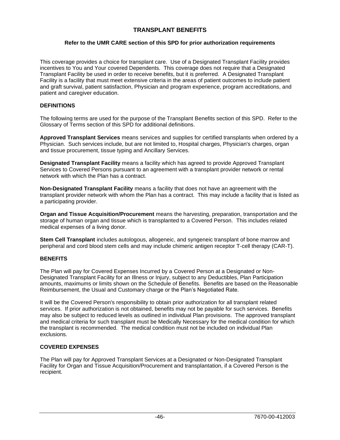# **TRANSPLANT BENEFITS**

## **Refer to the UMR CARE section of this SPD for prior authorization requirements**

This coverage provides a choice for transplant care. Use of a Designated Transplant Facility provides incentives to You and Your covered Dependents. This coverage does not require that a Designated Transplant Facility be used in order to receive benefits, but it is preferred. A Designated Transplant Facility is a facility that must meet extensive criteria in the areas of patient outcomes to include patient and graft survival, patient satisfaction, Physician and program experience, program accreditations, and patient and caregiver education.

### **DEFINITIONS**

The following terms are used for the purpose of the Transplant Benefits section of this SPD. Refer to the Glossary of Terms section of this SPD for additional definitions.

**Approved Transplant Services** means services and supplies for certified transplants when ordered by a Physician. Such services include, but are not limited to, Hospital charges, Physician's charges, organ and tissue procurement, tissue typing and Ancillary Services.

**Designated Transplant Facility** means a facility which has agreed to provide Approved Transplant Services to Covered Persons pursuant to an agreement with a transplant provider network or rental network with which the Plan has a contract.

**Non-Designated Transplant Facility** means a facility that does not have an agreement with the transplant provider network with whom the Plan has a contract. This may include a facility that is listed as a participating provider.

**Organ and Tissue Acquisition/Procurement** means the harvesting, preparation, transportation and the storage of human organ and tissue which is transplanted to a Covered Person. This includes related medical expenses of a living donor.

**Stem Cell Transplant** includes autologous, allogeneic, and syngeneic transplant of bone marrow and peripheral and cord blood stem cells and may include chimeric antigen receptor T-cell therapy (CAR-T).

### **BENEFITS**

The Plan will pay for Covered Expenses Incurred by a Covered Person at a Designated or Non-Designated Transplant Facility for an Illness or Injury, subject to any Deductibles, Plan Participation amounts, maximums or limits shown on the Schedule of Benefits. Benefits are based on the Reasonable Reimbursement, the Usual and Customary charge or the Plan's Negotiated Rate.

It will be the Covered Person's responsibility to obtain prior authorization for all transplant related services. If prior authorization is not obtained, benefits may not be payable for such services. Benefits may also be subject to reduced levels as outlined in individual Plan provisions. The approved transplant and medical criteria for such transplant must be Medically Necessary for the medical condition for which the transplant is recommended. The medical condition must not be included on individual Plan exclusions.

### **COVERED EXPENSES**

The Plan will pay for Approved Transplant Services at a Designated or Non-Designated Transplant Facility for Organ and Tissue Acquisition/Procurement and transplantation, if a Covered Person is the recipient.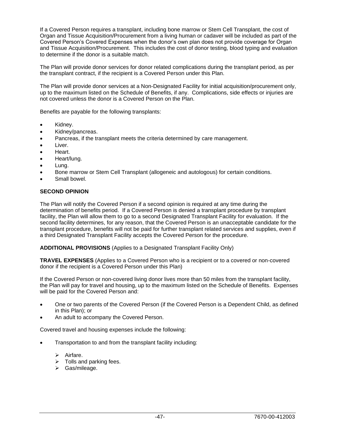If a Covered Person requires a transplant, including bone marrow or Stem Cell Transplant, the cost of Organ and Tissue Acquisition/Procurement from a living human or cadaver will be included as part of the Covered Person's Covered Expenses when the donor's own plan does not provide coverage for Organ and Tissue Acquisition/Procurement. This includes the cost of donor testing, blood typing and evaluation to determine if the donor is a suitable match.

The Plan will provide donor services for donor related complications during the transplant period, as per the transplant contract, if the recipient is a Covered Person under this Plan.

The Plan will provide donor services at a Non-Designated Facility for initial acquisition/procurement only, up to the maximum listed on the Schedule of Benefits, if any. Complications, side effects or injuries are not covered unless the donor is a Covered Person on the Plan.

Benefits are payable for the following transplants:

- Kidnev.
- Kidney/pancreas.
- Pancreas, if the transplant meets the criteria determined by care management.
- Liver.
- Heart.
- Heart/lung.
- Lung.
- Bone marrow or Stem Cell Transplant (allogeneic and autologous) for certain conditions.
- Small bowel.

#### **SECOND OPINION**

The Plan will notify the Covered Person if a second opinion is required at any time during the determination of benefits period. If a Covered Person is denied a transplant procedure by transplant facility, the Plan will allow them to go to a second Designated Transplant Facility for evaluation. If the second facility determines, for any reason, that the Covered Person is an unacceptable candidate for the transplant procedure, benefits will not be paid for further transplant related services and supplies, even if a third Designated Transplant Facility accepts the Covered Person for the procedure.

**ADDITIONAL PROVISIONS** (Applies to a Designated Transplant Facility Only)

**TRAVEL EXPENSES** (Applies to a Covered Person who is a recipient or to a covered or non-covered donor if the recipient is a Covered Person under this Plan)

If the Covered Person or non-covered living donor lives more than 50 miles from the transplant facility, the Plan will pay for travel and housing, up to the maximum listed on the Schedule of Benefits. Expenses will be paid for the Covered Person and:

- One or two parents of the Covered Person (if the Covered Person is a Dependent Child, as defined in this Plan); or
- An adult to accompany the Covered Person.

Covered travel and housing expenses include the following:

- Transportation to and from the transplant facility including:
	- ➢ Airfare.
	- $\triangleright$  Tolls and parking fees.
	- ➢ Gas/mileage.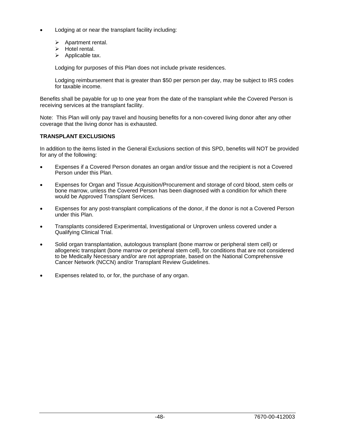- Lodging at or near the transplant facility including:
	- ➢ Apartment rental.
	- ➢ Hotel rental.
	- ➢ Applicable tax.

Lodging for purposes of this Plan does not include private residences.

Lodging reimbursement that is greater than \$50 per person per day, may be subject to IRS codes for taxable income.

Benefits shall be payable for up to one year from the date of the transplant while the Covered Person is receiving services at the transplant facility.

Note: This Plan will only pay travel and housing benefits for a non-covered living donor after any other coverage that the living donor has is exhausted.

## **TRANSPLANT EXCLUSIONS**

In addition to the items listed in the General Exclusions section of this SPD, benefits will NOT be provided for any of the following:

- Expenses if a Covered Person donates an organ and/or tissue and the recipient is not a Covered Person under this Plan.
- Expenses for Organ and Tissue Acquisition/Procurement and storage of cord blood, stem cells or bone marrow, unless the Covered Person has been diagnosed with a condition for which there would be Approved Transplant Services.
- Expenses for any post-transplant complications of the donor, if the donor is not a Covered Person under this Plan.
- Transplants considered Experimental, Investigational or Unproven unless covered under a Qualifying Clinical Trial.
- Solid organ transplantation, autologous transplant (bone marrow or peripheral stem cell) or allogeneic transplant (bone marrow or peripheral stem cell), for conditions that are not considered to be Medically Necessary and/or are not appropriate, based on the National Comprehensive Cancer Network (NCCN) and/or Transplant Review Guidelines.
- Expenses related to, or for, the purchase of any organ.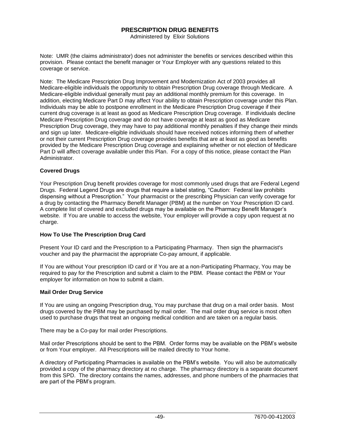## **PRESCRIPTION DRUG BENEFITS**

Administered by Elixir Solutions

Note: UMR (the claims administrator) does not administer the benefits or services described within this provision. Please contact the benefit manager or Your Employer with any questions related to this coverage or service.

Note: The Medicare Prescription Drug Improvement and Modernization Act of 2003 provides all Medicare-eligible individuals the opportunity to obtain Prescription Drug coverage through Medicare. A Medicare-eligible individual generally must pay an additional monthly premium for this coverage. In addition, electing Medicare Part D may affect Your ability to obtain Prescription coverage under this Plan. Individuals may be able to postpone enrollment in the Medicare Prescription Drug coverage if their current drug coverage is at least as good as Medicare Prescription Drug coverage. If individuals decline Medicare Prescription Drug coverage and do not have coverage at least as good as Medicare Prescription Drug coverage, they may have to pay additional monthly penalties if they change their minds and sign up later. Medicare-eligible individuals should have received notices informing them of whether or not their current Prescription Drug coverage provides benefits that are at least as good as benefits provided by the Medicare Prescription Drug coverage and explaining whether or not election of Medicare Part D will affect coverage available under this Plan. For a copy of this notice, please contact the Plan Administrator.

### **Covered Drugs**

Your Prescription Drug benefit provides coverage for most commonly used drugs that are Federal Legend Drugs. Federal Legend Drugs are drugs that require a label stating, "Caution: Federal law prohibits dispensing without a Prescription." Your pharmacist or the prescribing Physician can verify coverage for a drug by contacting the Pharmacy Benefit Manager (PBM) at the number on Your Prescription ID card. A complete list of covered and excluded drugs may be available on the Pharmacy Benefit Manager's website. If You are unable to access the website, Your employer will provide a copy upon request at no charge.

#### **How To Use The Prescription Drug Card**

Present Your ID card and the Prescription to a Participating Pharmacy. Then sign the pharmacist's voucher and pay the pharmacist the appropriate Co-pay amount, if applicable.

If You are without Your prescription ID card or if You are at a non-Participating Pharmacy, You may be required to pay for the Prescription and submit a claim to the PBM. Please contact the PBM or Your employer for information on how to submit a claim.

#### **Mail Order Drug Service**

If You are using an ongoing Prescription drug, You may purchase that drug on a mail order basis. Most drugs covered by the PBM may be purchased by mail order. The mail order drug service is most often used to purchase drugs that treat an ongoing medical condition and are taken on a regular basis.

There may be a Co-pay for mail order Prescriptions.

Mail order Prescriptions should be sent to the PBM. Order forms may be available on the PBM's website or from Your employer. All Prescriptions will be mailed directly to Your home.

A directory of Participating Pharmacies is available on the PBM's website. You will also be automatically provided a copy of the pharmacy directory at no charge. The pharmacy directory is a separate document from this SPD. The directory contains the names, addresses, and phone numbers of the pharmacies that are part of the PBM's program.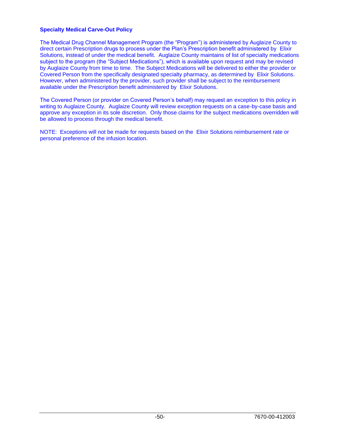### **Specialty Medical Carve-Out Policy**

The Medical Drug Channel Management Program (the "Program") is administered by Auglaize County to direct certain Prescription drugs to process under the Plan's Prescription benefit administered by Elixir Solutions, instead of under the medical benefit. Auglaize County maintains of list of specialty medications subject to the program (the "Subject Medications"), which is available upon request and may be revised by Auglaize County from time to time. The Subject Medications will be delivered to either the provider or Covered Person from the specifically designated specialty pharmacy, as determined by Elixir Solutions. However, when administered by the provider, such provider shall be subject to the reimbursement available under the Prescription benefit administered by Elixir Solutions.

The Covered Person (or provider on Covered Person's behalf) may request an exception to this policy in writing to Auglaize County. Auglaize County will review exception requests on a case-by-case basis and approve any exception in its sole discretion. Only those claims for the subject medications overridden will be allowed to process through the medical benefit.

NOTE: Exceptions will not be made for requests based on the Elixir Solutions reimbursement rate or personal preference of the infusion location.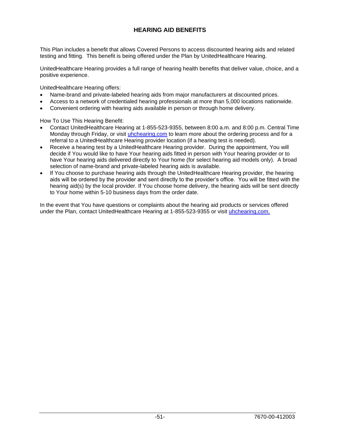# **HEARING AID BENEFITS**

This Plan includes a benefit that allows Covered Persons to access discounted hearing aids and related testing and fitting. This benefit is being offered under the Plan by UnitedHealthcare Hearing.

UnitedHealthcare Hearing provides a full range of hearing health benefits that deliver value, choice, and a positive experience.

UnitedHealthcare Hearing offers:

- Name-brand and private-labeled hearing aids from major manufacturers at discounted prices.
- Access to a network of credentialed hearing professionals at more than 5,000 locations nationwide.
- Convenient ordering with hearing aids available in person or through home delivery.

How To Use This Hearing Benefit:

- Contact UnitedHealthcare Hearing at 1-855-523-9355, between 8:00 a.m. and 8:00 p.m. Central Time Monday through Friday, or visit [uhchearing.com](http://www.uhchearing.com/) to learn more about the ordering process and for a referral to a UnitedHealthcare Hearing provider location (if a hearing test is needed).
- Receive a hearing test by a UnitedHealthcare Hearing provider. During the appointment, You will decide if You would like to have Your hearing aids fitted in person with Your hearing provider or to have Your hearing aids delivered directly to Your home (for select hearing aid models only). A broad selection of name-brand and private-labeled hearing aids is available.
- If You choose to purchase hearing aids through the UnitedHealthcare Hearing provider, the hearing aids will be ordered by the provider and sent directly to the provider's office. You will be fitted with the hearing aid(s) by the local provider. If You choose home delivery, the hearing aids will be sent directly to Your home within 5-10 business days from the order date.

In the event that You have questions or complaints about the hearing aid products or services offered under the Plan, contact UnitedHealthcare Hearing at 1-855-523-9355 or visit [uhchearing.com.](http://www.uhchearing.com/)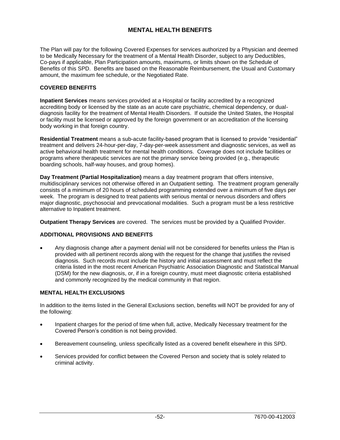# **MENTAL HEALTH BENEFITS**

The Plan will pay for the following Covered Expenses for services authorized by a Physician and deemed to be Medically Necessary for the treatment of a Mental Health Disorder, subject to any Deductibles, Co-pays if applicable, Plan Participation amounts, maximums, or limits shown on the Schedule of Benefits of this SPD. Benefits are based on the Reasonable Reimbursement, the Usual and Customary amount, the maximum fee schedule, or the Negotiated Rate.

## **COVERED BENEFITS**

**Inpatient Services** means services provided at a Hospital or facility accredited by a recognized accrediting body or licensed by the state as an acute care psychiatric, chemical dependency, or dualdiagnosis facility for the treatment of Mental Health Disorders. If outside the United States, the Hospital or facility must be licensed or approved by the foreign government or an accreditation of the licensing body working in that foreign country.

**Residential Treatment** means a sub-acute facility-based program that is licensed to provide "residential" treatment and delivers 24-hour-per-day, 7-day-per-week assessment and diagnostic services, as well as active behavioral health treatment for mental health conditions. Coverage does not include facilities or programs where therapeutic services are not the primary service being provided (e.g., therapeutic boarding schools, half-way houses, and group homes).

**Day Treatment (Partial Hospitalization)** means a day treatment program that offers intensive, multidisciplinary services not otherwise offered in an Outpatient setting. The treatment program generally consists of a minimum of 20 hours of scheduled programming extended over a minimum of five days per week. The program is designed to treat patients with serious mental or nervous disorders and offers major diagnostic, psychosocial and prevocational modalities. Such a program must be a less restrictive alternative to Inpatient treatment.

**Outpatient Therapy Services** are covered. The services must be provided by a Qualified Provider.

### **ADDITIONAL PROVISIONS AND BENEFITS**

• Any diagnosis change after a payment denial will not be considered for benefits unless the Plan is provided with all pertinent records along with the request for the change that justifies the revised diagnosis. Such records must include the history and initial assessment and must reflect the criteria listed in the most recent American Psychiatric Association Diagnostic and Statistical Manual (DSM) for the new diagnosis, or, if in a foreign country, must meet diagnostic criteria established and commonly recognized by the medical community in that region.

### **MENTAL HEALTH EXCLUSIONS**

In addition to the items listed in the General Exclusions section, benefits will NOT be provided for any of the following:

- Inpatient charges for the period of time when full, active, Medically Necessary treatment for the Covered Person's condition is not being provided.
- Bereavement counseling, unless specifically listed as a covered benefit elsewhere in this SPD.
- Services provided for conflict between the Covered Person and society that is solely related to criminal activity.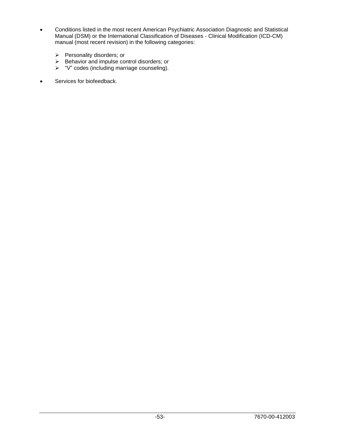- Conditions listed in the most recent American Psychiatric Association Diagnostic and Statistical Manual (DSM) or the International Classification of Diseases - Clinical Modification (ICD-CM) manual (most recent revision) in the following categories:
	- ➢ Personality disorders; or
	- ➢ Behavior and impulse control disorders; or
	- ➢ "V" codes (including marriage counseling).
- Services for biofeedback.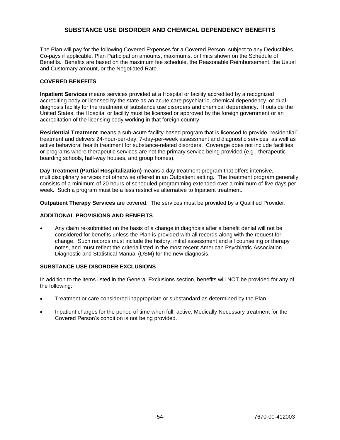# **SUBSTANCE USE DISORDER AND CHEMICAL DEPENDENCY BENEFITS**

The Plan will pay for the following Covered Expenses for a Covered Person, subject to any Deductibles, Co-pays if applicable, Plan Participation amounts, maximums, or limits shown on the Schedule of Benefits. Benefits are based on the maximum fee schedule, the Reasonable Reimbursement, the Usual and Customary amount, or the Negotiated Rate.

## **COVERED BENEFITS**

**Inpatient Services** means services provided at a Hospital or facility accredited by a recognized accrediting body or licensed by the state as an acute care psychiatric, chemical dependency, or dualdiagnosis facility for the treatment of substance use disorders and chemical dependency. If outside the United States, the Hospital or facility must be licensed or approved by the foreign government or an accreditation of the licensing body working in that foreign country.

**Residential Treatment** means a sub-acute facility-based program that is licensed to provide "residential" treatment and delivers 24-hour-per-day, 7-day-per-week assessment and diagnostic services, as well as active behavioral health treatment for substance-related disorders. Coverage does not include facilities or programs where therapeutic services are not the primary service being provided (e.g., therapeutic boarding schools, half-way houses, and group homes).

**Day Treatment (Partial Hospitalization)** means a day treatment program that offers intensive, multidisciplinary services not otherwise offered in an Outpatient setting. The treatment program generally consists of a minimum of 20 hours of scheduled programming extended over a minimum of five days per week. Such a program must be a less restrictive alternative to Inpatient treatment.

**Outpatient Therapy Services** are covered. The services must be provided by a Qualified Provider.

### **ADDITIONAL PROVISIONS AND BENEFITS**

• Any claim re-submitted on the basis of a change in diagnosis after a benefit denial will not be considered for benefits unless the Plan is provided with all records along with the request for change. Such records must include the history, initial assessment and all counseling or therapy notes, and must reflect the criteria listed in the most recent American Psychiatric Association Diagnostic and Statistical Manual (DSM) for the new diagnosis.

### **SUBSTANCE USE DISORDER EXCLUSIONS**

In addition to the items listed in the General Exclusions section, benefits will NOT be provided for any of the following:

- Treatment or care considered inappropriate or substandard as determined by the Plan.
- Inpatient charges for the period of time when full, active, Medically Necessary treatment for the Covered Person's condition is not being provided.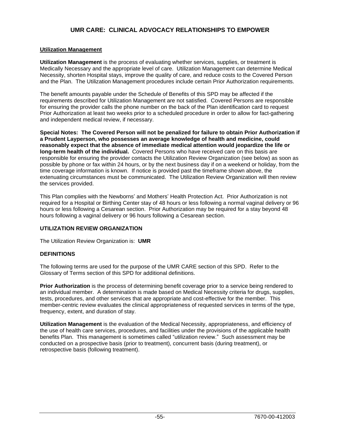# **UMR CARE: CLINICAL ADVOCACY RELATIONSHIPS TO EMPOWER**

### **Utilization Management**

**Utilization Management** is the process of evaluating whether services, supplies, or treatment is Medically Necessary and the appropriate level of care. Utilization Management can determine Medical Necessity, shorten Hospital stays, improve the quality of care, and reduce costs to the Covered Person and the Plan. The Utilization Management procedures include certain Prior Authorization requirements.

The benefit amounts payable under the Schedule of Benefits of this SPD may be affected if the requirements described for Utilization Management are not satisfied. Covered Persons are responsible for ensuring the provider calls the phone number on the back of the Plan identification card to request Prior Authorization at least two weeks prior to a scheduled procedure in order to allow for fact-gathering and independent medical review, if necessary.

**Special Notes: The Covered Person will not be penalized for failure to obtain Prior Authorization if a Prudent Layperson, who possesses an average knowledge of health and medicine, could reasonably expect that the absence of immediate medical attention would jeopardize the life or long-term health of the individual.** Covered Persons who have received care on this basis are responsible for ensuring the provider contacts the Utilization Review Organization (see below) as soon as possible by phone or fax within 24 hours, or by the next business day if on a weekend or holiday, from the time coverage information is known. If notice is provided past the timeframe shown above, the extenuating circumstances must be communicated. The Utilization Review Organization will then review the services provided.

This Plan complies with the Newborns' and Mothers' Health Protection Act. Prior Authorization is not required for a Hospital or Birthing Center stay of 48 hours or less following a normal vaginal delivery or 96 hours or less following a Cesarean section. Prior Authorization may be required for a stay beyond 48 hours following a vaginal delivery or 96 hours following a Cesarean section.

## **UTILIZATION REVIEW ORGANIZATION**

The Utilization Review Organization is: **UMR**

## **DEFINITIONS**

The following terms are used for the purpose of the UMR CARE section of this SPD. Refer to the Glossary of Terms section of this SPD for additional definitions.

**Prior Authorization** is the process of determining benefit coverage prior to a service being rendered to an individual member. A determination is made based on Medical Necessity criteria for drugs, supplies, tests, procedures, and other services that are appropriate and cost-effective for the member. This member-centric review evaluates the clinical appropriateness of requested services in terms of the type, frequency, extent, and duration of stay.

**Utilization Management** is the evaluation of the Medical Necessity, appropriateness, and efficiency of the use of health care services, procedures, and facilities under the provisions of the applicable health benefits Plan. This management is sometimes called "utilization review." Such assessment may be conducted on a prospective basis (prior to treatment), concurrent basis (during treatment), or retrospective basis (following treatment).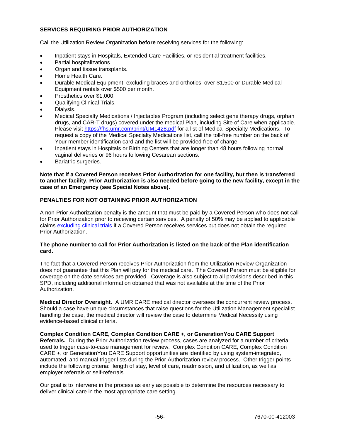## **SERVICES REQUIRING PRIOR AUTHORIZATION**

Call the Utilization Review Organization **before** receiving services for the following:

- Inpatient stays in Hospitals, Extended Care Facilities, or residential treatment facilities.
- Partial hospitalizations.
- Organ and tissue transplants.
- Home Health Care.
- Durable Medical Equipment, excluding braces and orthotics, over \$1,500 or Durable Medical Equipment rentals over \$500 per month.
- Prosthetics over \$1,000.
- Qualifying Clinical Trials.
- Dialysis.
- Medical Specialty Medications / Injectables Program (including select gene therapy drugs, orphan drugs, and CAR-T drugs) covered under the medical Plan, including Site of Care when applicable. Please visit <https://fhs.umr.com/print/UM1428.pdf> for a list of Medical Specialty Medications. To request a copy of the Medical Specialty Medications list, call the toll-free number on the back of Your member identification card and the list will be provided free of charge.
- Inpatient stays in Hospitals or Birthing Centers that are longer than 48 hours following normal vaginal deliveries or 96 hours following Cesarean sections.
- Bariatric surgeries.

**Note that if a Covered Person receives Prior Authorization for one facility, but then is transferred to another facility, Prior Authorization is also needed before going to the new facility, except in the case of an Emergency (see Special Notes above).**

## **PENALTIES FOR NOT OBTAINING PRIOR AUTHORIZATION**

A non-Prior Authorization penalty is the amount that must be paid by a Covered Person who does not call for Prior Authorization prior to receiving certain services. A penalty of 50% may be applied to applicable claims excluding clinical trials if a Covered Person receives services but does not obtain the required Prior Authorization.

#### **The phone number to call for Prior Authorization is listed on the back of the Plan identification card.**

The fact that a Covered Person receives Prior Authorization from the Utilization Review Organization does not guarantee that this Plan will pay for the medical care. The Covered Person must be eligible for coverage on the date services are provided. Coverage is also subject to all provisions described in this SPD, including additional information obtained that was not available at the time of the Prior Authorization.

**Medical Director Oversight.** A UMR CARE medical director oversees the concurrent review process. Should a case have unique circumstances that raise questions for the Utilization Management specialist handling the case, the medical director will review the case to determine Medical Necessity using evidence-based clinical criteria.

**Complex Condition CARE, Complex Condition CARE +, or GenerationYou CARE Support Referrals.** During the Prior Authorization review process, cases are analyzed for a number of criteria used to trigger case-to-case management for review. Complex Condition CARE, Complex Condition CARE +, or GenerationYou CARE Support opportunities are identified by using system-integrated, automated, and manual trigger lists during the Prior Authorization review process. Other trigger points include the following criteria: length of stay, level of care, readmission, and utilization, as well as employer referrals or self-referrals.

Our goal is to intervene in the process as early as possible to determine the resources necessary to deliver clinical care in the most appropriate care setting.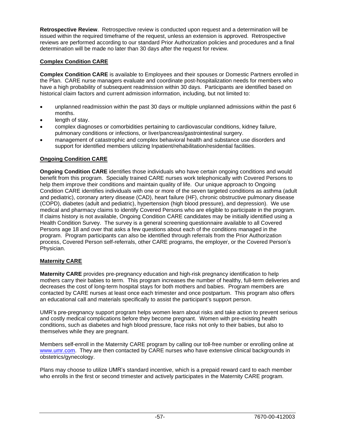**Retrospective Review**. Retrospective review is conducted upon request and a determination will be issued within the required timeframe of the request, unless an extension is approved. Retrospective reviews are performed according to our standard Prior Authorization policies and procedures and a final determination will be made no later than 30 days after the request for review.

## **Complex Condition CARE**

**Complex Condition CARE** is available to Employees and their spouses or Domestic Partners enrolled in the Plan. CARE nurse managers evaluate and coordinate post-hospitalization needs for members who have a high probability of subsequent readmission within 30 days. Participants are identified based on historical claim factors and current admission information, including, but not limited to:

- unplanned readmission within the past 30 days or multiple unplanned admissions within the past 6 months.
- length of stay.
- complex diagnoses or comorbidities pertaining to cardiovascular conditions, kidney failure, pulmonary conditions or infections, or liver/pancreas/gastrointestinal surgery.
- management of catastrophic and complex behavioral health and substance use disorders and support for identified members utilizing Inpatient/rehabilitation/residential facilities.

## **Ongoing Condition CARE**

**Ongoing Condition CARE** identifies those individuals who have certain ongoing conditions and would benefit from this program. Specially trained CARE nurses work telephonically with Covered Persons to help them improve their conditions and maintain quality of life. Our unique approach to Ongoing Condition CARE identifies individuals with one or more of the seven targeted conditions as asthma (adult and pediatric), coronary artery disease (CAD), heart failure (HF), chronic obstructive pulmonary disease (COPD), diabetes (adult and pediatric), hypertension (high blood pressure), and depression). We use medical and pharmacy claims to identify Covered Persons who are eligible to participate in the program. If claims history is not available, Ongoing Condition CARE candidates may be initially identified using a Health Condition Survey. The survey is a general screening questionnaire available to all Covered Persons age 18 and over that asks a few questions about each of the conditions managed in the program. Program participants can also be identified through referrals from the Prior Authorization process, Covered Person self-referrals, other CARE programs, the employer, or the Covered Person's Physician.

## **Maternity CARE**

**Maternity CARE** provides pre-pregnancy education and high-risk pregnancy identification to help mothers carry their babies to term. This program increases the number of healthy, full-term deliveries and decreases the cost of long-term hospital stays for both mothers and babies. Program members are contacted by CARE nurses at least once each trimester and once postpartum. This program also offers an educational call and materials specifically to assist the participant's support person.

UMR's pre-pregnancy support program helps women learn about risks and take action to prevent serious and costly medical complications before they become pregnant. Women with pre-existing health conditions, such as diabetes and high blood pressure, face risks not only to their babies, but also to themselves while they are pregnant.

Members self-enroll in the Maternity CARE program by calling our toll-free number or enrolling online at [www.umr.com.](http://www.umr.com/) They are then contacted by CARE nurses who have extensive clinical backgrounds in obstetrics/gynecology.

Plans may choose to utilize UMR's standard incentive, which is a prepaid reward card to each member who enrolls in the first or second trimester and actively participates in the Maternity CARE program.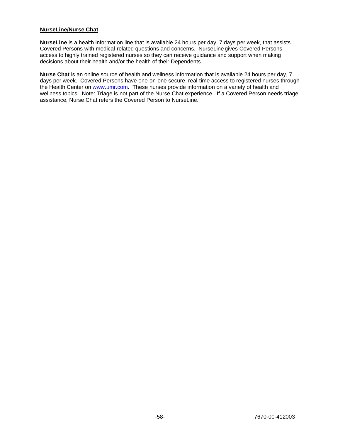### **NurseLine/Nurse Chat**

**NurseLine** is a health information line that is available 24 hours per day, 7 days per week, that assists Covered Persons with medical-related questions and concerns. NurseLine gives Covered Persons access to highly trained registered nurses so they can receive guidance and support when making decisions about their health and/or the health of their Dependents.

**Nurse Chat** is an online source of health and wellness information that is available 24 hours per day, 7 days per week. Covered Persons have one-on-one secure, real-time access to registered nurses through the Health Center on [www.umr.com.](http://www.umr.com/) These nurses provide information on a variety of health and wellness topics. Note: Triage is not part of the Nurse Chat experience. If a Covered Person needs triage assistance, Nurse Chat refers the Covered Person to NurseLine.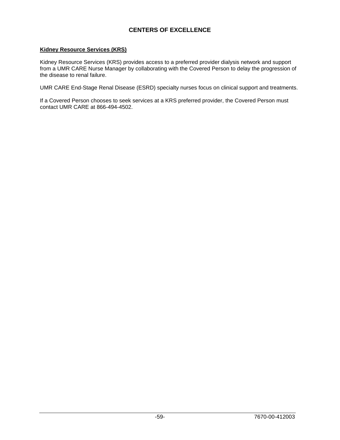# **CENTERS OF EXCELLENCE**

### **Kidney Resource Services (KRS)**

Kidney Resource Services (KRS) provides access to a preferred provider dialysis network and support from a UMR CARE Nurse Manager by collaborating with the Covered Person to delay the progression of the disease to renal failure.

UMR CARE End-Stage Renal Disease (ESRD) specialty nurses focus on clinical support and treatments.

If a Covered Person chooses to seek services at a KRS preferred provider, the Covered Person must contact UMR CARE at 866-494-4502.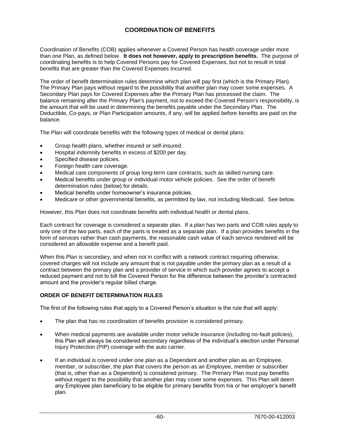# **COORDINATION OF BENEFITS**

Coordination of Benefits (COB) applies whenever a Covered Person has health coverage under more than one Plan, as defined below. **It does not however, apply to prescription benefits.** The purpose of coordinating benefits is to help Covered Persons pay for Covered Expenses, but not to result in total benefits that are greater than the Covered Expenses Incurred.

The order of benefit determination rules determine which plan will pay first (which is the Primary Plan). The Primary Plan pays without regard to the possibility that another plan may cover some expenses. A Secondary Plan pays for Covered Expenses after the Primary Plan has processed the claim. The balance remaining after the Primary Plan's payment, not to exceed the Covered Person's responsibility, is the amount that will be used in determining the benefits payable under the Secondary Plan. The Deductible, Co-pays, or Plan Participation amounts, if any, will be applied before benefits are paid on the balance.

The Plan will coordinate benefits with the following types of medical or dental plans:

- Group health plans, whether insured or self-insured.
- Hospital indemnity benefits in excess of \$200 per day.
- Specified disease policies.
- Foreign health care coverage.
- Medical care components of group long-term care contracts, such as skilled nursing care.
- Medical benefits under group or individual motor vehicle policies. See the order of benefit determination rules (below) for details.
- Medical benefits under homeowner's insurance policies.
- Medicare or other governmental benefits, as permitted by law, not including Medicaid. See below.

However, this Plan does not coordinate benefits with individual health or dental plans.

Each contract for coverage is considered a separate plan. If a plan has two parts and COB rules apply to only one of the two parts, each of the parts is treated as a separate plan. If a plan provides benefits in the form of services rather than cash payments, the reasonable cash value of each service rendered will be considered an allowable expense and a benefit paid.

When this Plan is secondary, and when not in conflict with a network contract requiring otherwise, covered charges will not include any amount that is not payable under the primary plan as a result of a contract between the primary plan and a provider of service in which such provider agrees to accept a reduced payment and not to bill the Covered Person for the difference between the provider's contracted amount and the provider's regular billed charge.

### **ORDER OF BENEFIT DETERMINATION RULES**

The first of the following rules that apply to a Covered Person's situation is the rule that will apply:

- The plan that has no coordination of benefits provision is considered primary.
- When medical payments are available under motor vehicle insurance (including no-fault policies), this Plan will always be considered secondary regardless of the individual's election under Personal Injury Protection (PIP) coverage with the auto carrier.
- If an individual is covered under one plan as a Dependent and another plan as an Employee, member, or subscriber, the plan that covers the person as an Employee, member or subscriber (that is, other than as a Dependent) is considered primary. The Primary Plan must pay benefits without regard to the possibility that another plan may cover some expenses. This Plan will deem any Employee plan beneficiary to be eligible for primary benefits from his or her employer's benefit plan.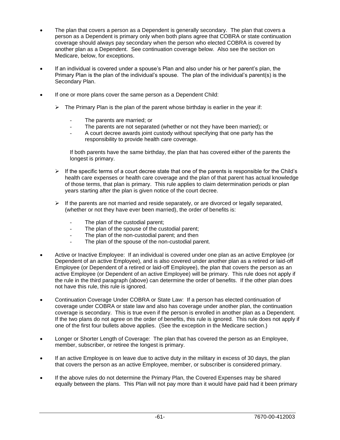- The plan that covers a person as a Dependent is generally secondary. The plan that covers a person as a Dependent is primary only when both plans agree that COBRA or state continuation coverage should always pay secondary when the person who elected COBRA is covered by another plan as a Dependent. See continuation coverage below. Also see the section on Medicare, below, for exceptions.
- If an individual is covered under a spouse's Plan and also under his or her parent's plan, the Primary Plan is the plan of the individual's spouse. The plan of the individual's parent(s) is the Secondary Plan.
- If one or more plans cover the same person as a Dependent Child:
	- $\triangleright$  The Primary Plan is the plan of the parent whose birthday is earlier in the year if:
		- The parents are married; or
		- The parents are not separated (whether or not they have been married); or
		- A court decree awards joint custody without specifying that one party has the responsibility to provide health care coverage.

If both parents have the same birthday, the plan that has covered either of the parents the longest is primary.

- $\triangleright$  If the specific terms of a court decree state that one of the parents is responsible for the Child's health care expenses or health care coverage and the plan of that parent has actual knowledge of those terms, that plan is primary. This rule applies to claim determination periods or plan years starting after the plan is given notice of the court decree.
- $\triangleright$  If the parents are not married and reside separately, or are divorced or legally separated, (whether or not they have ever been married), the order of benefits is:
	- The plan of the custodial parent;
	- The plan of the spouse of the custodial parent;
	- The plan of the non-custodial parent; and then
	- The plan of the spouse of the non-custodial parent.
- Active or Inactive Employee: If an individual is covered under one plan as an active Employee (or Dependent of an active Employee), and is also covered under another plan as a retired or laid-off Employee (or Dependent of a retired or laid-off Employee), the plan that covers the person as an active Employee (or Dependent of an active Employee) will be primary. This rule does not apply if the rule in the third paragraph (above) can determine the order of benefits. If the other plan does not have this rule, this rule is ignored.
- Continuation Coverage Under COBRA or State Law: If a person has elected continuation of coverage under COBRA or state law and also has coverage under another plan, the continuation coverage is secondary. This is true even if the person is enrolled in another plan as a Dependent. If the two plans do not agree on the order of benefits, this rule is ignored. This rule does not apply if one of the first four bullets above applies. (See the exception in the Medicare section.)
- Longer or Shorter Length of Coverage: The plan that has covered the person as an Employee, member, subscriber, or retiree the longest is primary.
- If an active Employee is on leave due to active duty in the military in excess of 30 days, the plan that covers the person as an active Employee, member, or subscriber is considered primary.
- If the above rules do not determine the Primary Plan, the Covered Expenses may be shared equally between the plans. This Plan will not pay more than it would have paid had it been primary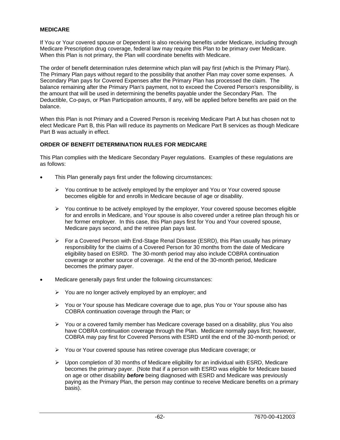### **MEDICARE**

If You or Your covered spouse or Dependent is also receiving benefits under Medicare, including through Medicare Prescription drug coverage, federal law may require this Plan to be primary over Medicare. When this Plan is not primary, the Plan will coordinate benefits with Medicare.

The order of benefit determination rules determine which plan will pay first (which is the Primary Plan). The Primary Plan pays without regard to the possibility that another Plan may cover some expenses. A Secondary Plan pays for Covered Expenses after the Primary Plan has processed the claim. The balance remaining after the Primary Plan's payment, not to exceed the Covered Person's responsibility, is the amount that will be used in determining the benefits payable under the Secondary Plan. The Deductible, Co-pays, or Plan Participation amounts, if any, will be applied before benefits are paid on the balance.

When this Plan is not Primary and a Covered Person is receiving Medicare Part A but has chosen not to elect Medicare Part B, this Plan will reduce its payments on Medicare Part B services as though Medicare Part B was actually in effect.

### **ORDER OF BENEFIT DETERMINATION RULES FOR MEDICARE**

This Plan complies with the Medicare Secondary Payer regulations. Examples of these regulations are as follows:

- This Plan generally pays first under the following circumstances:
	- ➢ You continue to be actively employed by the employer and You or Your covered spouse becomes eligible for and enrolls in Medicare because of age or disability.
	- $\triangleright$  You continue to be actively employed by the employer, Your covered spouse becomes eligible for and enrolls in Medicare, and Your spouse is also covered under a retiree plan through his or her former employer. In this case, this Plan pays first for You and Your covered spouse, Medicare pays second, and the retiree plan pays last.
	- ➢ For a Covered Person with End-Stage Renal Disease (ESRD), this Plan usually has primary responsibility for the claims of a Covered Person for 30 months from the date of Medicare eligibility based on ESRD. The 30-month period may also include COBRA continuation coverage or another source of coverage. At the end of the 30-month period, Medicare becomes the primary payer.
- Medicare generally pays first under the following circumstances:
	- ➢ You are no longer actively employed by an employer; and
	- $\triangleright$  You or Your spouse has Medicare coverage due to age, plus You or Your spouse also has COBRA continuation coverage through the Plan; or
	- $\triangleright$  You or a covered family member has Medicare coverage based on a disability, plus You also have COBRA continuation coverage through the Plan. Medicare normally pays first; however, COBRA may pay first for Covered Persons with ESRD until the end of the 30-month period; or
	- ➢ You or Your covered spouse has retiree coverage plus Medicare coverage; or
	- $\triangleright$  Upon completion of 30 months of Medicare eligibility for an individual with ESRD, Medicare becomes the primary payer. (Note that if a person with ESRD was eligible for Medicare based on age or other disability *before* being diagnosed with ESRD and Medicare was previously paying as the Primary Plan, the person may continue to receive Medicare benefits on a primary basis).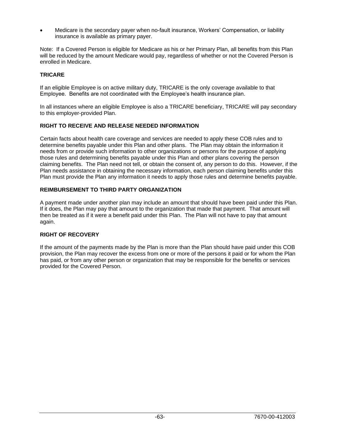• Medicare is the secondary payer when no-fault insurance, Workers' Compensation, or liability insurance is available as primary payer.

Note: If a Covered Person is eligible for Medicare as his or her Primary Plan, all benefits from this Plan will be reduced by the amount Medicare would pay, regardless of whether or not the Covered Person is enrolled in Medicare.

## **TRICARE**

If an eligible Employee is on active military duty, TRICARE is the only coverage available to that Employee. Benefits are not coordinated with the Employee's health insurance plan.

In all instances where an eligible Employee is also a TRICARE beneficiary, TRICARE will pay secondary to this employer-provided Plan.

### **RIGHT TO RECEIVE AND RELEASE NEEDED INFORMATION**

Certain facts about health care coverage and services are needed to apply these COB rules and to determine benefits payable under this Plan and other plans. The Plan may obtain the information it needs from or provide such information to other organizations or persons for the purpose of applying those rules and determining benefits payable under this Plan and other plans covering the person claiming benefits. The Plan need not tell, or obtain the consent of, any person to do this. However, if the Plan needs assistance in obtaining the necessary information, each person claiming benefits under this Plan must provide the Plan any information it needs to apply those rules and determine benefits payable.

### **REIMBURSEMENT TO THIRD PARTY ORGANIZATION**

A payment made under another plan may include an amount that should have been paid under this Plan. If it does, the Plan may pay that amount to the organization that made that payment. That amount will then be treated as if it were a benefit paid under this Plan. The Plan will not have to pay that amount again.

### **RIGHT OF RECOVERY**

If the amount of the payments made by the Plan is more than the Plan should have paid under this COB provision, the Plan may recover the excess from one or more of the persons it paid or for whom the Plan has paid, or from any other person or organization that may be responsible for the benefits or services provided for the Covered Person.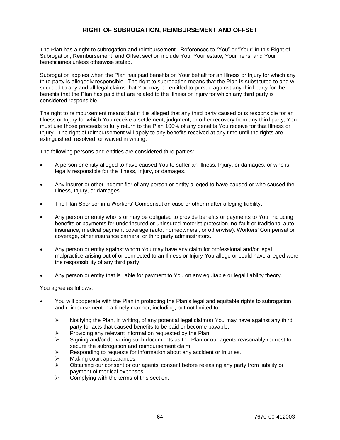# **RIGHT OF SUBROGATION, REIMBURSEMENT AND OFFSET**

The Plan has a right to subrogation and reimbursement. References to "You" or "Your" in this Right of Subrogation, Reimbursement, and Offset section include You, Your estate, Your heirs, and Your beneficiaries unless otherwise stated.

Subrogation applies when the Plan has paid benefits on Your behalf for an Illness or Injury for which any third party is allegedly responsible. The right to subrogation means that the Plan is substituted to and will succeed to any and all legal claims that You may be entitled to pursue against any third party for the benefits that the Plan has paid that are related to the Illness or Injury for which any third party is considered responsible.

The right to reimbursement means that if it is alleged that any third party caused or is responsible for an Illness or Injury for which You receive a settlement, judgment, or other recovery from any third party, You must use those proceeds to fully return to the Plan 100% of any benefits You receive for that Illness or Injury. The right of reimbursement will apply to any benefits received at any time until the rights are extinguished, resolved, or waived in writing.

The following persons and entities are considered third parties:

- A person or entity alleged to have caused You to suffer an Illness, Injury, or damages, or who is legally responsible for the Illness, Injury, or damages.
- Any insurer or other indemnifier of any person or entity alleged to have caused or who caused the Illness, Injury, or damages.
- The Plan Sponsor in a Workers' Compensation case or other matter alleging liability.
- Any person or entity who is or may be obligated to provide benefits or payments to You, including benefits or payments for underinsured or uninsured motorist protection, no-fault or traditional auto insurance, medical payment coverage (auto, homeowners', or otherwise), Workers' Compensation coverage, other insurance carriers, or third party administrators.
- Any person or entity against whom You may have any claim for professional and/or legal malpractice arising out of or connected to an Illness or Injury You allege or could have alleged were the responsibility of any third party.
- Any person or entity that is liable for payment to You on any equitable or legal liability theory.

You agree as follows:

- You will cooperate with the Plan in protecting the Plan's legal and equitable rights to subrogation and reimbursement in a timely manner, including, but not limited to:
	- ➢ Notifying the Plan, in writing, of any potential legal claim(s) You may have against any third party for acts that caused benefits to be paid or become payable.
	- ➢ Providing any relevant information requested by the Plan.
	- ➢ Signing and/or delivering such documents as the Plan or our agents reasonably request to secure the subrogation and reimbursement claim.
	- Responding to requests for information about any accident or Injuries.
	- Making court appearances.
	- ➢ Obtaining our consent or our agents' consent before releasing any party from liability or payment of medical expenses.
	- $\triangleright$  Complying with the terms of this section.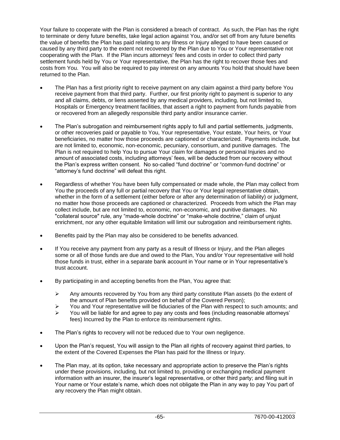Your failure to cooperate with the Plan is considered a breach of contract. As such, the Plan has the right to terminate or deny future benefits, take legal action against You, and/or set off from any future benefits the value of benefits the Plan has paid relating to any Illness or Injury alleged to have been caused or caused by any third party to the extent not recovered by the Plan due to You or Your representative not cooperating with the Plan. If the Plan incurs attorneys' fees and costs in order to collect third party settlement funds held by You or Your representative, the Plan has the right to recover those fees and costs from You. You will also be required to pay interest on any amounts You hold that should have been returned to the Plan.

- The Plan has a first priority right to receive payment on any claim against a third party before You receive payment from that third party. Further, our first priority right to payment is superior to any and all claims, debts, or liens asserted by any medical providers, including, but not limited to, Hospitals or Emergency treatment facilities, that assert a right to payment from funds payable from or recovered from an allegedly responsible third party and/or insurance carrier.
- The Plan's subrogation and reimbursement rights apply to full and partial settlements, judgments, or other recoveries paid or payable to You, Your representative, Your estate, Your heirs, or Your beneficiaries, no matter how those proceeds are captioned or characterized. Payments include, but are not limited to, economic, non-economic, pecuniary, consortium, and punitive damages. The Plan is not required to help You to pursue Your claim for damages or personal Injuries and no amount of associated costs, including attorneys' fees, will be deducted from our recovery without the Plan's express written consent. No so-called "fund doctrine" or "common-fund doctrine" or "attorney's fund doctrine" will defeat this right.
- Regardless of whether You have been fully compensated or made whole, the Plan may collect from You the proceeds of any full or partial recovery that You or Your legal representative obtain, whether in the form of a settlement (either before or after any determination of liability) or judgment, no matter how those proceeds are captioned or characterized. Proceeds from which the Plan may collect include, but are not limited to, economic, non-economic, and punitive damages. No "collateral source" rule, any "made-whole doctrine" or "make-whole doctrine," claim of unjust enrichment, nor any other equitable limitation will limit our subrogation and reimbursement rights.
- Benefits paid by the Plan may also be considered to be benefits advanced.
- If You receive any payment from any party as a result of Illness or Injury, and the Plan alleges some or all of those funds are due and owed to the Plan, You and/or Your representative will hold those funds in trust, either in a separate bank account in Your name or in Your representative's trust account.
- By participating in and accepting benefits from the Plan, You agree that:
	- $\triangleright$  Any amounts recovered by You from any third party constitute Plan assets (to the extent of the amount of Plan benefits provided on behalf of the Covered Person);
	- $\triangleright$  You and Your representative will be fiduciaries of the Plan with respect to such amounts; and
	- $\triangleright$  You will be liable for and agree to pay any costs and fees (including reasonable attorneys' fees) Incurred by the Plan to enforce its reimbursement rights.
- The Plan's rights to recovery will not be reduced due to Your own negligence.
- Upon the Plan's request, You will assign to the Plan all rights of recovery against third parties, to the extent of the Covered Expenses the Plan has paid for the Illness or Injury.
- The Plan may, at its option, take necessary and appropriate action to preserve the Plan's rights under these provisions, including, but not limited to, providing or exchanging medical payment information with an insurer, the insurer's legal representative, or other third party; and filing suit in Your name or Your estate's name, which does not obligate the Plan in any way to pay You part of any recovery the Plan might obtain.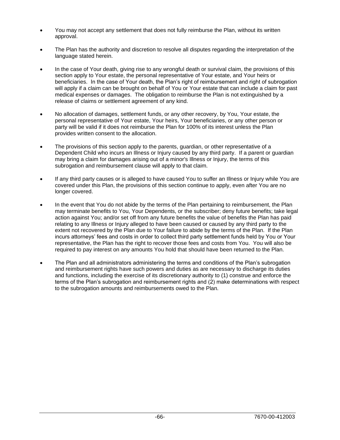- You may not accept any settlement that does not fully reimburse the Plan, without its written approval.
- The Plan has the authority and discretion to resolve all disputes regarding the interpretation of the language stated herein.
- In the case of Your death, giving rise to any wrongful death or survival claim, the provisions of this section apply to Your estate, the personal representative of Your estate, and Your heirs or beneficiaries. In the case of Your death, the Plan's right of reimbursement and right of subrogation will apply if a claim can be brought on behalf of You or Your estate that can include a claim for past medical expenses or damages. The obligation to reimburse the Plan is not extinguished by a release of claims or settlement agreement of any kind.
- No allocation of damages, settlement funds, or any other recovery, by You, Your estate, the personal representative of Your estate, Your heirs, Your beneficiaries, or any other person or party will be valid if it does not reimburse the Plan for 100% of its interest unless the Plan provides written consent to the allocation.
- The provisions of this section apply to the parents, guardian, or other representative of a Dependent Child who incurs an Illness or Injury caused by any third party. If a parent or guardian may bring a claim for damages arising out of a minor's Illness or Injury, the terms of this subrogation and reimbursement clause will apply to that claim.
- If any third party causes or is alleged to have caused You to suffer an Illness or Injury while You are covered under this Plan, the provisions of this section continue to apply, even after You are no longer covered.
- In the event that You do not abide by the terms of the Plan pertaining to reimbursement, the Plan may terminate benefits to You, Your Dependents, or the subscriber; deny future benefits; take legal action against You; and/or set off from any future benefits the value of benefits the Plan has paid relating to any Illness or Injury alleged to have been caused or caused by any third party to the extent not recovered by the Plan due to Your failure to abide by the terms of the Plan. If the Plan incurs attorneys' fees and costs in order to collect third party settlement funds held by You or Your representative, the Plan has the right to recover those fees and costs from You. You will also be required to pay interest on any amounts You hold that should have been returned to the Plan.
- The Plan and all administrators administering the terms and conditions of the Plan's subrogation and reimbursement rights have such powers and duties as are necessary to discharge its duties and functions, including the exercise of its discretionary authority to (1) construe and enforce the terms of the Plan's subrogation and reimbursement rights and (2) make determinations with respect to the subrogation amounts and reimbursements owed to the Plan.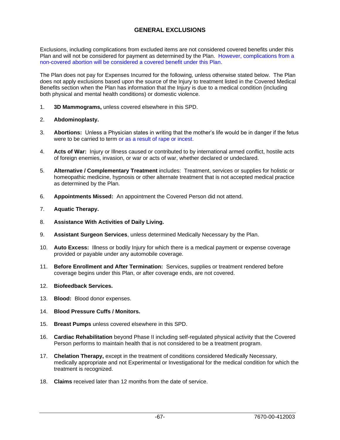# **GENERAL EXCLUSIONS**

Exclusions, including complications from excluded items are not considered covered benefits under this Plan and will not be considered for payment as determined by the Plan. However, complications from a non-covered abortion will be considered a covered benefit under this Plan.

The Plan does not pay for Expenses Incurred for the following, unless otherwise stated below. The Plan does not apply exclusions based upon the source of the Injury to treatment listed in the Covered Medical Benefits section when the Plan has information that the Injury is due to a medical condition (including both physical and mental health conditions) or domestic violence.

1. **3D Mammograms,** unless covered elsewhere in this SPD.

#### 2. **Abdominoplasty.**

- 3. **Abortions:** Unless a Physician states in writing that the mother's life would be in danger if the fetus were to be carried to term or as a result of rape or incest.
- 4. **Acts of War:** Injury or Illness caused or contributed to by international armed conflict, hostile acts of foreign enemies, invasion, or war or acts of war, whether declared or undeclared.
- 5. **Alternative / Complementary Treatment** includes: Treatment, services or supplies for holistic or homeopathic medicine, hypnosis or other alternate treatment that is not accepted medical practice as determined by the Plan.
- 6. **Appointments Missed:** An appointment the Covered Person did not attend.
- 7. **Aquatic Therapy.**
- 8. **Assistance With Activities of Daily Living.**
- 9. **Assistant Surgeon Services**, unless determined Medically Necessary by the Plan.
- 10. **Auto Excess:** Illness or bodily Injury for which there is a medical payment or expense coverage provided or payable under any automobile coverage.
- 11. **Before Enrollment and After Termination:** Services, supplies or treatment rendered before coverage begins under this Plan, or after coverage ends, are not covered.
- 12. **Biofeedback Services.**
- 13. **Blood:** Blood donor expenses.
- 14. **Blood Pressure Cuffs / Monitors.**
- 15. **Breast Pumps** unless covered elsewhere in this SPD.
- 16. **Cardiac Rehabilitation** beyond Phase II including self-regulated physical activity that the Covered Person performs to maintain health that is not considered to be a treatment program.
- 17. **Chelation Therapy,** except in the treatment of conditions considered Medically Necessary, medically appropriate and not Experimental or Investigational for the medical condition for which the treatment is recognized.
- 18. **Claims** received later than 12 months from the date of service.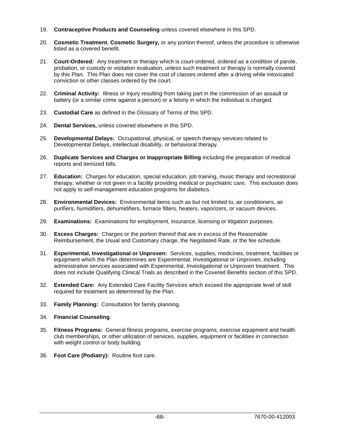- 19. **Contraceptive Products and Counseling** unless covered elsewhere in this SPD.
- 20. **Cosmetic Treatment**, **Cosmetic Surgery,** or any portion thereof, unless the procedure is otherwise listed as a covered benefit.
- 21. **Court-Ordered:** Any treatment or therapy which is court-ordered, ordered as a condition of parole, probation, or custody or visitation evaluation, unless such treatment or therapy is normally covered by this Plan. This Plan does not cover the cost of classes ordered after a driving while intoxicated conviction or other classes ordered by the court.
- 22. **Criminal Activity:** Illness or Injury resulting from taking part in the commission of an assault or battery (or a similar crime against a person) or a felony in which the individual is charged.
- 23. **Custodial Care** as defined in the Glossary of Terms of this SPD.
- 24. **Dental Services,** unless covered elsewhere in this SPD.
- 25. **Developmental Delays:** Occupational, physical, or speech therapy services related to Developmental Delays, intellectual disability, or behavioral therapy.
- 26. **Duplicate Services and Charges or Inappropriate Billing** including the preparation of medical reports and itemized bills.
- 27. **Education:** Charges for education, special education, job training, music therapy and recreational therapy, whether or not given in a facility providing medical or psychiatric care. This exclusion does not apply to self-management education programs for diabetics.
- 28. **Environmental Devices:** Environmental items such as but not limited to, air conditioners, air purifiers, humidifiers, dehumidifiers, furnace filters, heaters, vaporizers, or vacuum devices.
- 29. **Examinations:** Examinations for employment, insurance, licensing or litigation purposes.
- 30. **Excess Charges:** Charges or the portion thereof that are in excess of the Reasonable Reimbursement, the Usual and Customary charge, the Negotiated Rate, or the fee schedule.
- 31. **Experimental, Investigational or Unproven:** Services, supplies, medicines, treatment, facilities or equipment which the Plan determines are Experimental, Investigational or Unproven, including administrative services associated with Experimental, Investigational or Unproven treatment. This does not include Qualifying Clinical Trials as described in the Covered Benefits section of this SPD.
- 32. **Extended Care:** Any Extended Care Facility Services which exceed the appropriate level of skill required for treatment as determined by the Plan.
- 33. **Family Planning:** Consultation for family planning.
- 34. **Financial Counseling**.
- 35. **Fitness Programs:** General fitness programs, exercise programs, exercise equipment and health club memberships, or other utilization of services, supplies, equipment or facilities in connection with weight control or body building.
- 36. **Foot Care (Podiatry):** Routine foot care.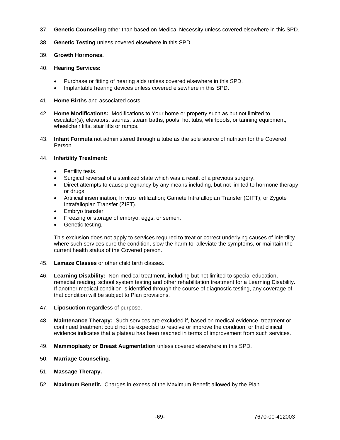- 37. **Genetic Counseling** other than based on Medical Necessity unless covered elsewhere in this SPD.
- 38. **Genetic Testing** unless covered elsewhere in this SPD.

# 39. **Growth Hormones.**

### 40. **Hearing Services:**

- Purchase or fitting of hearing aids unless covered elsewhere in this SPD.
- Implantable hearing devices unless covered elsewhere in this SPD.
- 41. **Home Births** and associated costs.
- 42. **Home Modifications:** Modifications to Your home or property such as but not limited to, escalator(s), elevators, saunas, steam baths, pools, hot tubs, whirlpools, or tanning equipment, wheelchair lifts, stair lifts or ramps.
- 43. **Infant Formula** not administered through a tube as the sole source of nutrition for the Covered Person.

### 44. **Infertility Treatment:**

- Fertility tests.
- Surgical reversal of a sterilized state which was a result of a previous surgery.
- Direct attempts to cause pregnancy by any means including, but not limited to hormone therapy or drugs.
- Artificial insemination; In vitro fertilization; Gamete Intrafallopian Transfer (GIFT), or Zygote Intrafallopian Transfer (ZIFT).
- Embryo transfer.
- Freezing or storage of embryo, eggs, or semen.
- Genetic testing.

This exclusion does not apply to services required to treat or correct underlying causes of infertility where such services cure the condition, slow the harm to, alleviate the symptoms, or maintain the current health status of the Covered person.

- 45. **Lamaze Classes** or other child birth classes.
- 46. **Learning Disability:** Non-medical treatment, including but not limited to special education, remedial reading, school system testing and other rehabilitation treatment for a Learning Disability. If another medical condition is identified through the course of diagnostic testing, any coverage of that condition will be subject to Plan provisions.
- 47. **Liposuction** regardless of purpose.
- 48. **Maintenance Therapy:** Such services are excluded if, based on medical evidence, treatment or continued treatment could not be expected to resolve or improve the condition, or that clinical evidence indicates that a plateau has been reached in terms of improvement from such services.
- 49. **Mammoplasty or Breast Augmentation** unless covered elsewhere in this SPD.
- 50. **Marriage Counseling.**
- 51. **Massage Therapy.**
- 52. **Maximum Benefit.** Charges in excess of the Maximum Benefit allowed by the Plan.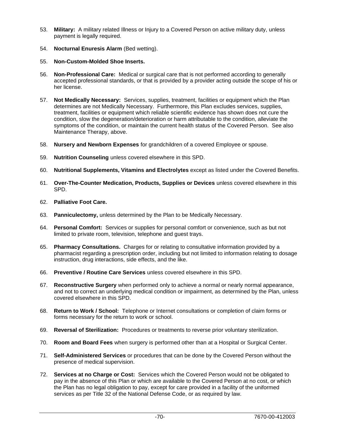- 53. **Military:** A military related Illness or Injury to a Covered Person on active military duty, unless payment is legally required.
- 54. **Nocturnal Enuresis Alarm** (Bed wetting).
- 55. **Non-Custom-Molded Shoe Inserts.**
- 56. **Non-Professional Care:** Medical or surgical care that is not performed according to generally accepted professional standards, or that is provided by a provider acting outside the scope of his or her license.
- 57. **Not Medically Necessary:** Services, supplies, treatment, facilities or equipment which the Plan determines are not Medically Necessary. Furthermore, this Plan excludes services, supplies, treatment, facilities or equipment which reliable scientific evidence has shown does not cure the condition, slow the degeneration/deterioration or harm attributable to the condition, alleviate the symptoms of the condition, or maintain the current health status of the Covered Person. See also Maintenance Therapy, above.
- 58. **Nursery and Newborn Expenses** for grandchildren of a covered Employee or spouse.
- 59. **Nutrition Counseling** unless covered elsewhere in this SPD.
- 60. **Nutritional Supplements, Vitamins and Electrolytes** except as listed under the Covered Benefits.
- 61. **Over-The-Counter Medication, Products, Supplies or Devices** unless covered elsewhere in this SPD.
- 62. **Palliative Foot Care.**
- 63. **Panniculectomy,** unless determined by the Plan to be Medically Necessary.
- 64. **Personal Comfort:** Services or supplies for personal comfort or convenience, such as but not limited to private room, television, telephone and guest trays.
- 65. **Pharmacy Consultations.** Charges for or relating to consultative information provided by a pharmacist regarding a prescription order, including but not limited to information relating to dosage instruction, drug interactions, side effects, and the like.
- 66. **Preventive / Routine Care Services** unless covered elsewhere in this SPD.
- 67. **Reconstructive Surgery** when performed only to achieve a normal or nearly normal appearance, and not to correct an underlying medical condition or impairment, as determined by the Plan, unless covered elsewhere in this SPD.
- 68. **Return to Work / School:** Telephone or Internet consultations or completion of claim forms or forms necessary for the return to work or school.
- 69. **Reversal of Sterilization:** Procedures or treatments to reverse prior voluntary sterilization.
- 70. **Room and Board Fees** when surgery is performed other than at a Hospital or Surgical Center.
- 71. **Self-Administered Services** or procedures that can be done by the Covered Person without the presence of medical supervision.
- 72. **Services at no Charge or Cost:** Services which the Covered Person would not be obligated to pay in the absence of this Plan or which are available to the Covered Person at no cost, or which the Plan has no legal obligation to pay, except for care provided in a facility of the uniformed services as per Title 32 of the National Defense Code, or as required by law.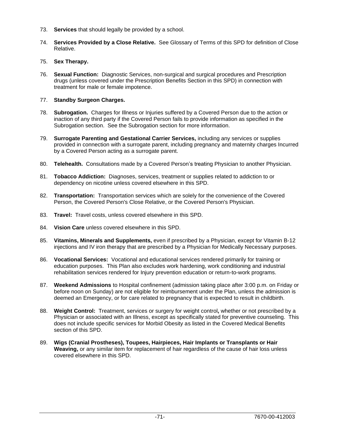- 73. **Services** that should legally be provided by a school.
- 74. **Services Provided by a Close Relative.** See Glossary of Terms of this SPD for definition of Close Relative.

### 75. **Sex Therapy.**

76. **Sexual Function:** Diagnostic Services, non-surgical and surgical procedures and Prescription drugs (unless covered under the Prescription Benefits Section in this SPD) in connection with treatment for male or female impotence.

### 77. **Standby Surgeon Charges.**

- 78. **Subrogation.** Charges for Illness or Injuries suffered by a Covered Person due to the action or inaction of any third party if the Covered Person fails to provide information as specified in the Subrogation section. See the Subrogation section for more information.
- 79. **Surrogate Parenting and Gestational Carrier Services,** including any services or supplies provided in connection with a surrogate parent, including pregnancy and maternity charges Incurred by a Covered Person acting as a surrogate parent.
- 80. **Telehealth.** Consultations made by a Covered Person's treating Physician to another Physician.
- 81. **Tobacco Addiction:** Diagnoses, services, treatment or supplies related to addiction to or dependency on nicotine unless covered elsewhere in this SPD.
- 82. **Transportation:** Transportation services which are solely for the convenience of the Covered Person, the Covered Person's Close Relative, or the Covered Person's Physician.
- 83. **Travel:** Travel costs, unless covered elsewhere in this SPD.
- 84. **Vision Care** unless covered elsewhere in this SPD.
- 85. **Vitamins, Minerals and Supplements,** even if prescribed by a Physician, except for Vitamin B-12 injections and IV iron therapy that are prescribed by a Physician for Medically Necessary purposes.
- 86. **Vocational Services:** Vocational and educational services rendered primarily for training or education purposes. This Plan also excludes work hardening, work conditioning and industrial rehabilitation services rendered for Injury prevention education or return-to-work programs.
- 87. **Weekend Admissions** to Hospital confinement (admission taking place after 3:00 p.m. on Friday or before noon on Sunday) are not eligible for reimbursement under the Plan, unless the admission is deemed an Emergency, or for care related to pregnancy that is expected to result in childbirth.
- 88. **Weight Control:** Treatment, services or surgery for weight control**,** whether or not prescribed by a Physician or associated with an Illness, except as specifically stated for preventive counseling. This does not include specific services for Morbid Obesity as listed in the Covered Medical Benefits section of this SPD.
- 89. **Wigs (Cranial Prostheses), Toupees, Hairpieces, Hair Implants or Transplants or Hair Weaving,** or any similar item for replacement of hair regardless of the cause of hair loss unless covered elsewhere in this SPD.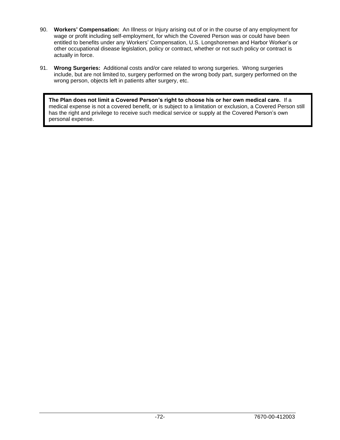- 90. **Workers' Compensation:** An Illness or Injury arising out of or in the course of any employment for wage or profit including self-employment, for which the Covered Person was or could have been entitled to benefits under any Workers' Compensation, U.S. Longshoremen and Harbor Worker's or other occupational disease legislation, policy or contract, whether or not such policy or contract is actually in force.
- 91. **Wrong Surgeries:** Additional costs and/or care related to wrong surgeries. Wrong surgeries include, but are not limited to, surgery performed on the wrong body part, surgery performed on the wrong person, objects left in patients after surgery, etc.

**The Plan does not limit a Covered Person's right to choose his or her own medical care.** If a medical expense is not a covered benefit, or is subject to a limitation or exclusion, a Covered Person still has the right and privilege to receive such medical service or supply at the Covered Person's own personal expense.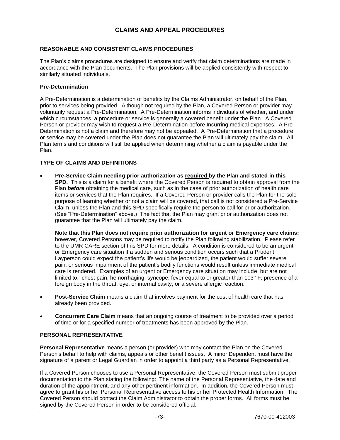## **CLAIMS AND APPEAL PROCEDURES**

### **REASONABLE AND CONSISTENT CLAIMS PROCEDURES**

The Plan's claims procedures are designed to ensure and verify that claim determinations are made in accordance with the Plan documents. The Plan provisions will be applied consistently with respect to similarly situated individuals.

#### **Pre-Determination**

A Pre-Determination is a determination of benefits by the Claims Administrator, on behalf of the Plan, prior to services being provided. Although not required by the Plan, a Covered Person or provider may voluntarily request a Pre-Determination. A Pre-Determination informs individuals of whether, and under which circumstances, a procedure or service is generally a covered benefit under the Plan. A Covered Person or provider may wish to request a Pre-Determination before Incurring medical expenses. A Pre-Determination is not a claim and therefore may not be appealed. A Pre-Determination that a procedure or service may be covered under the Plan does not guarantee the Plan will ultimately pay the claim. All Plan terms and conditions will still be applied when determining whether a claim is payable under the Plan.

#### **TYPE OF CLAIMS AND DEFINITIONS**

• **Pre-Service Claim needing prior authorization as required by the Plan and stated in this SPD.** This is a claim for a benefit where the Covered Person is required to obtain approval from the Plan *before* obtaining the medical care, such as in the case of prior authorization of health care items or services that the Plan requires. If a Covered Person or provider calls the Plan for the sole purpose of learning whether or not a claim will be covered, that call is not considered a Pre-Service Claim, unless the Plan and this SPD specifically require the person to call for prior authorization. (See "Pre-Determination" above.) The fact that the Plan may grant prior authorization does not guarantee that the Plan will ultimately pay the claim.

**Note that this Plan does not require prior authorization for urgent or Emergency care claims;**  however, Covered Persons may be required to notify the Plan following stabilization. Please refer to the UMR CARE section of this SPD for more details. A condition is considered to be an urgent or Emergency care situation if a sudden and serious condition occurs such that a Prudent Layperson could expect the patient's life would be jeopardized, the patient would suffer severe pain, or serious impairment of the patient's bodily functions would result unless immediate medical care is rendered. Examples of an urgent or Emergency care situation may include, but are not limited to: chest pain; hemorrhaging; syncope; fever equal to or greater than 103° F; presence of a foreign body in the throat, eye, or internal cavity; or a severe allergic reaction.

- **Post-Service Claim** means a claim that involves payment for the cost of health care that has already been provided.
- **Concurrent Care Claim** means that an ongoing course of treatment to be provided over a period of time or for a specified number of treatments has been approved by the Plan.

#### **PERSONAL REPRESENTATIVE**

**Personal Representative** means a person (or provider) who may contact the Plan on the Covered Person's behalf to help with claims, appeals or other benefit issues. A minor Dependent must have the signature of a parent or Legal Guardian in order to appoint a third party as a Personal Representative.

If a Covered Person chooses to use a Personal Representative, the Covered Person must submit proper documentation to the Plan stating the following: The name of the Personal Representative, the date and duration of the appointment, and any other pertinent information. In addition, the Covered Person must agree to grant his or her Personal Representative access to his or her Protected Health Information. The Covered Person should contact the Claim Administrator to obtain the proper forms. All forms must be signed by the Covered Person in order to be considered official.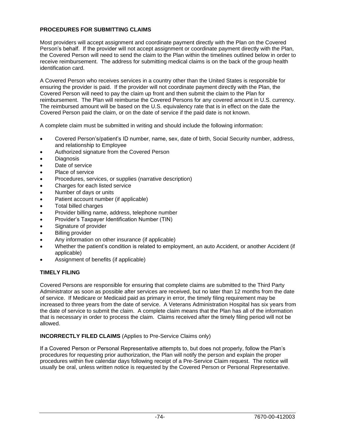### **PROCEDURES FOR SUBMITTING CLAIMS**

Most providers will accept assignment and coordinate payment directly with the Plan on the Covered Person's behalf. If the provider will not accept assignment or coordinate payment directly with the Plan, the Covered Person will need to send the claim to the Plan within the timelines outlined below in order to receive reimbursement. The address for submitting medical claims is on the back of the group health identification card.

A Covered Person who receives services in a country other than the United States is responsible for ensuring the provider is paid. If the provider will not coordinate payment directly with the Plan, the Covered Person will need to pay the claim up front and then submit the claim to the Plan for reimbursement. The Plan will reimburse the Covered Persons for any covered amount in U.S. currency. The reimbursed amount will be based on the U.S. equivalency rate that is in effect on the date the Covered Person paid the claim, or on the date of service if the paid date is not known.

A complete claim must be submitted in writing and should include the following information:

- Covered Person's/patient's ID number, name, sex, date of birth, Social Security number, address, and relationship to Employee
- Authorized signature from the Covered Person
- Diagnosis
- Date of service
- Place of service
- Procedures, services, or supplies (narrative description)
- Charges for each listed service
- Number of days or units
- Patient account number (if applicable)
- Total billed charges
- Provider billing name, address, telephone number
- Provider's Taxpayer Identification Number (TIN)
- Signature of provider
- **Billing provider**
- Any information on other insurance (if applicable)
- Whether the patient's condition is related to employment, an auto Accident, or another Accident (if applicable)
- Assignment of benefits (if applicable)

## **TIMELY FILING**

Covered Persons are responsible for ensuring that complete claims are submitted to the Third Party Administrator as soon as possible after services are received, but no later than 12 months from the date of service. If Medicare or Medicaid paid as primary in error, the timely filing requirement may be increased to three years from the date of service. A Veterans Administration Hospital has six years from the date of service to submit the claim. A complete claim means that the Plan has all of the information that is necessary in order to process the claim. Claims received after the timely filing period will not be allowed.

#### **INCORRECTLY FILED CLAIMS** (Applies to Pre-Service Claims only)

If a Covered Person or Personal Representative attempts to, but does not properly, follow the Plan's procedures for requesting prior authorization, the Plan will notify the person and explain the proper procedures within five calendar days following receipt of a Pre-Service Claim request. The notice will usually be oral, unless written notice is requested by the Covered Person or Personal Representative.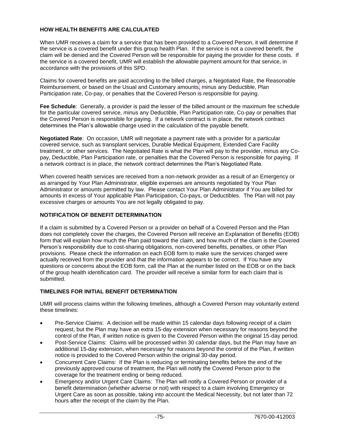### **HOW HEALTH BENEFITS ARE CALCULATED**

When UMR receives a claim for a service that has been provided to a Covered Person, it will determine if the service is a covered benefit under this group health Plan. If the service is not a covered benefit, the claim will be denied and the Covered Person will be responsible for paying the provider for these costs. If the service is a covered benefit, UMR will establish the allowable payment amount for that service, in accordance with the provisions of this SPD.

Claims for covered benefits are paid according to the billed charges, a Negotiated Rate, the Reasonable Reimbursement, or based on the Usual and Customary amounts, minus any Deductible, Plan Participation rate, Co-pay, or penalties that the Covered Person is responsible for paying.

**Fee Schedule**: Generally, a provider is paid the lesser of the billed amount or the maximum fee schedule for the particular covered service, minus any Deductible, Plan Participation rate, Co-pay or penalties that the Covered Person is responsible for paying. If a network contract is in place, the network contract determines the Plan's allowable charge used in the calculation of the payable benefit.

**Negotiated Rate**: On occasion, UMR will negotiate a payment rate with a provider for a particular covered service, such as transplant services, Durable Medical Equipment, Extended Care Facility treatment, or other services. The Negotiated Rate is what the Plan will pay to the provider, minus any Copay, Deductible, Plan Participation rate, or penalties that the Covered Person is responsible for paying. If a network contract is in place, the network contract determines the Plan's Negotiated Rate.

When covered health services are received from a non-network provider as a result of an Emergency or as arranged by Your Plan Administrator, eligible expenses are amounts negotiated by Your Plan Administrator or amounts permitted by law. Please contact Your Plan Administrator if You are billed for amounts in excess of Your applicable Plan Participation, Co-pays, or Deductibles. The Plan will not pay excessive charges or amounts You are not legally obligated to pay.

### **NOTIFICATION OF BENEFIT DETERMINATION**

If a claim is submitted by a Covered Person or a provider on behalf of a Covered Person and the Plan does not completely cover the charges, the Covered Person will receive an Explanation of Benefits (EOB) form that will explain how much the Plan paid toward the claim, and how much of the claim is the Covered Person's responsibility due to cost-sharing obligations, non-covered benefits, penalties, or other Plan provisions. Please check the information on each EOB form to make sure the services charged were actually received from the provider and that the information appears to be correct. If You have any questions or concerns about the EOB form, call the Plan at the number listed on the EOB or on the back of the group health identification card. The provider will receive a similar form for each claim that is submitted.

#### **TIMELINES FOR INITIAL BENEFIT DETERMINATION**

UMR will process claims within the following timelines, although a Covered Person may voluntarily extend these timelines:

- Pre-Service Claims: A decision will be made within 15 calendar days following receipt of a claim request, but the Plan may have an extra 15-day extension when necessary for reasons beyond the control of the Plan, if written notice is given to the Covered Person within the original 15-day period.
- Post-Service Claims: Claims will be processed within 30 calendar days, but the Plan may have an additional 15-day extension, when necessary for reasons beyond the control of the Plan, if written notice is provided to the Covered Person within the original 30-day period.
- Concurrent Care Claims: If the Plan is reducing or terminating benefits before the end of the previously approved course of treatment, the Plan will notify the Covered Person prior to the coverage for the treatment ending or being reduced.
- Emergency and/or Urgent Care Claims: The Plan will notify a Covered Person or provider of a benefit determination (whether adverse or not) with respect to a claim involving Emergency or Urgent Care as soon as possible, taking into account the Medical Necessity, but not later than 72 hours after the receipt of the claim by the Plan.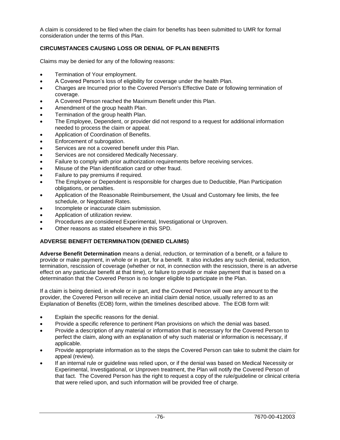A claim is considered to be filed when the claim for benefits has been submitted to UMR for formal consideration under the terms of this Plan.

## **CIRCUMSTANCES CAUSING LOSS OR DENIAL OF PLAN BENEFITS**

Claims may be denied for any of the following reasons:

- Termination of Your employment.
- A Covered Person's loss of eligibility for coverage under the health Plan.
- Charges are Incurred prior to the Covered Person's Effective Date or following termination of coverage.
- A Covered Person reached the Maximum Benefit under this Plan.
- Amendment of the group health Plan.
- Termination of the group health Plan.
- The Employee, Dependent, or provider did not respond to a request for additional information needed to process the claim or appeal.
- Application of Coordination of Benefits.
- Enforcement of subrogation.
- Services are not a covered benefit under this Plan.
- Services are not considered Medically Necessary.
- Failure to comply with prior authorization requirements before receiving services.
- Misuse of the Plan identification card or other fraud.
- Failure to pay premiums if required.
- The Employee or Dependent is responsible for charges due to Deductible, Plan Participation obligations, or penalties.
- Application of the Reasonable Reimbursement, the Usual and Customary fee limits, the fee schedule, or Negotiated Rates.
- Incomplete or inaccurate claim submission.
- Application of utilization review.
- Procedures are considered Experimental, Investigational or Unproven.
- Other reasons as stated elsewhere in this SPD.

#### **ADVERSE BENEFIT DETERMINATION (DENIED CLAIMS)**

**Adverse Benefit Determination** means a denial, reduction, or termination of a benefit, or a failure to provide or make payment, in whole or in part, for a benefit. It also includes any such denial, reduction, termination, rescission of coverage (whether or not, in connection with the rescission, there is an adverse effect on any particular benefit at that time), or failure to provide or make payment that is based on a determination that the Covered Person is no longer eligible to participate in the Plan.

If a claim is being denied, in whole or in part, and the Covered Person will owe any amount to the provider, the Covered Person will receive an initial claim denial notice, usually referred to as an Explanation of Benefits (EOB) form, within the timelines described above. The EOB form will:

- Explain the specific reasons for the denial.
- Provide a specific reference to pertinent Plan provisions on which the denial was based.
- Provide a description of any material or information that is necessary for the Covered Person to perfect the claim, along with an explanation of why such material or information is necessary, if applicable.
- Provide appropriate information as to the steps the Covered Person can take to submit the claim for appeal (review).
- If an internal rule or guideline was relied upon, or if the denial was based on Medical Necessity or Experimental, Investigational, or Unproven treatment, the Plan will notify the Covered Person of that fact. The Covered Person has the right to request a copy of the rule/guideline or clinical criteria that were relied upon, and such information will be provided free of charge.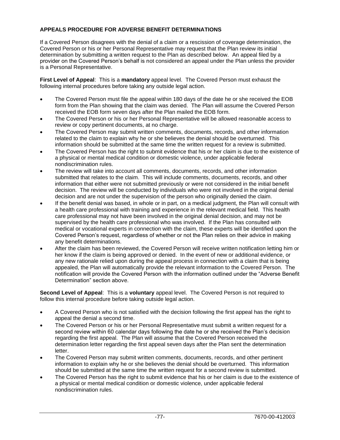## **APPEALS PROCEDURE FOR ADVERSE BENEFIT DETERMINATIONS**

If a Covered Person disagrees with the denial of a claim or a rescission of coverage determination, the Covered Person or his or her Personal Representative may request that the Plan review its initial determination by submitting a written request to the Plan as described below. An appeal filed by a provider on the Covered Person's behalf is not considered an appeal under the Plan unless the provider is a Personal Representative.

**First Level of Appeal**: This is a **mandatory** appeal level. The Covered Person must exhaust the following internal procedures before taking any outside legal action.

- The Covered Person must file the appeal within 180 days of the date he or she received the EOB form from the Plan showing that the claim was denied. The Plan will assume the Covered Person received the EOB form seven days after the Plan mailed the EOB form.
- The Covered Person or his or her Personal Representative will be allowed reasonable access to review or copy pertinent documents, at no charge.
- The Covered Person may submit written comments, documents, records, and other information related to the claim to explain why he or she believes the denial should be overturned. This information should be submitted at the same time the written request for a review is submitted.
- The Covered Person has the right to submit evidence that his or her claim is due to the existence of a physical or mental medical condition or domestic violence, under applicable federal nondiscrimination rules.
- The review will take into account all comments, documents, records, and other information submitted that relates to the claim. This will include comments, documents, records, and other information that either were not submitted previously or were not considered in the initial benefit decision. The review will be conducted by individuals who were not involved in the original denial decision and are not under the supervision of the person who originally denied the claim.
- If the benefit denial was based, in whole or in part, on a medical judgment, the Plan will consult with a health care professional with training and experience in the relevant medical field. This health care professional may not have been involved in the original denial decision, and may not be supervised by the health care professional who was involved. If the Plan has consulted with medical or vocational experts in connection with the claim, these experts will be identified upon the Covered Person's request, regardless of whether or not the Plan relies on their advice in making any benefit determinations.
- After the claim has been reviewed, the Covered Person will receive written notification letting him or her know if the claim is being approved or denied. In the event of new or additional evidence, or any new rationale relied upon during the appeal process in connection with a claim that is being appealed, the Plan will automatically provide the relevant information to the Covered Person. The notification will provide the Covered Person with the information outlined under the "Adverse Benefit Determination" section above.

**Second Level of Appeal**: This is a **voluntary** appeal level. The Covered Person is not required to follow this internal procedure before taking outside legal action.

- A Covered Person who is not satisfied with the decision following the first appeal has the right to appeal the denial a second time.
- The Covered Person or his or her Personal Representative must submit a written request for a second review within 60 calendar days following the date he or she received the Plan's decision regarding the first appeal. The Plan will assume that the Covered Person received the determination letter regarding the first appeal seven days after the Plan sent the determination letter.
- The Covered Person may submit written comments, documents, records, and other pertinent information to explain why he or she believes the denial should be overturned. This information should be submitted at the same time the written request for a second review is submitted.
- The Covered Person has the right to submit evidence that his or her claim is due to the existence of a physical or mental medical condition or domestic violence, under applicable federal nondiscrimination rules.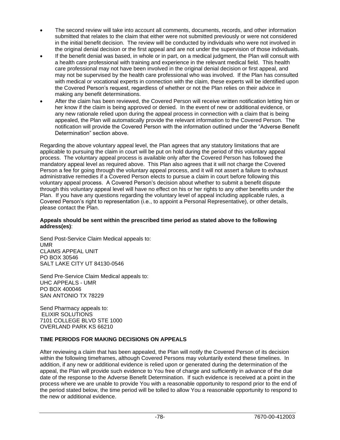- The second review will take into account all comments, documents, records, and other information submitted that relates to the claim that either were not submitted previously or were not considered in the initial benefit decision. The review will be conducted by individuals who were not involved in the original denial decision or the first appeal and are not under the supervision of those individuals.
- If the benefit denial was based, in whole or in part, on a medical judgment, the Plan will consult with a health care professional with training and experience in the relevant medical field. This health care professional may not have been involved in the original denial decision or first appeal, and may not be supervised by the health care professional who was involved. If the Plan has consulted with medical or vocational experts in connection with the claim, these experts will be identified upon the Covered Person's request, regardless of whether or not the Plan relies on their advice in making any benefit determinations.
- After the claim has been reviewed, the Covered Person will receive written notification letting him or her know if the claim is being approved or denied. In the event of new or additional evidence, or any new rationale relied upon during the appeal process in connection with a claim that is being appealed, the Plan will automatically provide the relevant information to the Covered Person. The notification will provide the Covered Person with the information outlined under the "Adverse Benefit Determination" section above.

Regarding the above voluntary appeal level, the Plan agrees that any statutory limitations that are applicable to pursuing the claim in court will be put on hold during the period of this voluntary appeal process. The voluntary appeal process is available only after the Covered Person has followed the mandatory appeal level as required above. This Plan also agrees that it will not charge the Covered Person a fee for going through the voluntary appeal process, and it will not assert a failure to exhaust administrative remedies if a Covered Person elects to pursue a claim in court before following this voluntary appeal process. A Covered Person's decision about whether to submit a benefit dispute through this voluntary appeal level will have no effect on his or her rights to any other benefits under the Plan. If you have any questions regarding the voluntary level of appeal including applicable rules, a Covered Person's right to representation (i.e., to appoint a Personal Representative), or other details, please contact the Plan.

#### **Appeals should be sent within the prescribed time period as stated above to the following address(es)**:

Send Post-Service Claim Medical appeals to: UMR CLAIMS APPEAL UNIT PO BOX 30546 SALT LAKE CITY UT 84130-0546

Send Pre-Service Claim Medical appeals to: UHC APPEALS - UMR PO BOX 400046 SAN ANTONIO TX 78229

Send Pharmacy appeals to: ELIXIR SOLUTIONS 7101 COLLEGE BLVD STE 1000 OVERLAND PARK KS 66210

## **TIME PERIODS FOR MAKING DECISIONS ON APPEALS**

After reviewing a claim that has been appealed, the Plan will notify the Covered Person of its decision within the following timeframes, although Covered Persons may voluntarily extend these timelines. In addition, if any new or additional evidence is relied upon or generated during the determination of the appeal, the Plan will provide such evidence to You free of charge and sufficiently in advance of the due date of the response to the Adverse Benefit Determination. If such evidence is received at a point in the process where we are unable to provide You with a reasonable opportunity to respond prior to the end of the period stated below, the time period will be tolled to allow You a reasonable opportunity to respond to the new or additional evidence.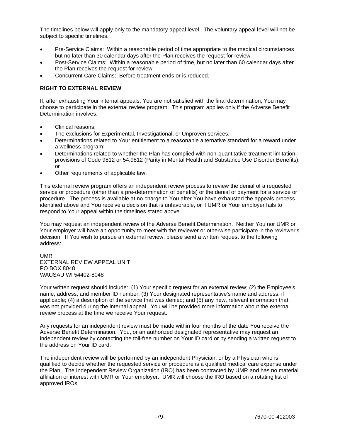The timelines below will apply only to the mandatory appeal level. The voluntary appeal level will not be subject to specific timelines.

- Pre-Service Claims: Within a reasonable period of time appropriate to the medical circumstances but no later than 30 calendar days after the Plan receives the request for review.
- Post-Service Claims: Within a reasonable period of time, but no later than 60 calendar days after the Plan receives the request for review.
- Concurrent Care Claims: Before treatment ends or is reduced.

## **RIGHT TO EXTERNAL REVIEW**

If, after exhausting Your internal appeals, You are not satisfied with the final determination, You may choose to participate in the external review program. This program applies only if the Adverse Benefit Determination involves:

- Clinical reasons;
- The exclusions for Experimental, Investigational, or Unproven services;
- Determinations related to Your entitlement to a reasonable alternative standard for a reward under a wellness program;
- Determinations related to whether the Plan has complied with non-quantitative treatment limitation provisions of Code 9812 or 54.9812 (Parity in Mental Health and Substance Use Disorder Benefits); or
- Other requirements of applicable law.

This external review program offers an independent review process to review the denial of a requested service or procedure (other than a pre-determination of benefits) or the denial of payment for a service or procedure. The process is available at no charge to You after You have exhausted the appeals process identified above and You receive a decision that is unfavorable, or if UMR or Your employer fails to respond to Your appeal within the timelines stated above.

You may request an independent review of the Adverse Benefit Determination. Neither You nor UMR or Your employer will have an opportunity to meet with the reviewer or otherwise participate in the reviewer's decision. If You wish to pursue an external review, please send a written request to the following address:

UMR EXTERNAL REVIEW APPEAL UNIT PO BOX 8048 WAUSAU WI 54402-8048

Your written request should include: (1) Your specific request for an external review; (2) the Employee's name, address, and member ID number; (3) Your designated representative's name and address, if applicable; (4) a description of the service that was denied; and (5) any new, relevant information that was not provided during the internal appeal. You will be provided more information about the external review process at the time we receive Your request.

Any requests for an independent review must be made within four months of the date You receive the Adverse Benefit Determination. You, or an authorized designated representative may request an independent review by contacting the toll-free number on Your ID card or by sending a written request to the address on Your ID card.

The independent review will be performed by an independent Physician, or by a Physician who is qualified to decide whether the requested service or procedure is a qualified medical care expense under the Plan. The Independent Review Organization (IRO) has been contracted by UMR and has no material affiliation or interest with UMR or Your employer. UMR will choose the IRO based on a rotating list of approved IROs.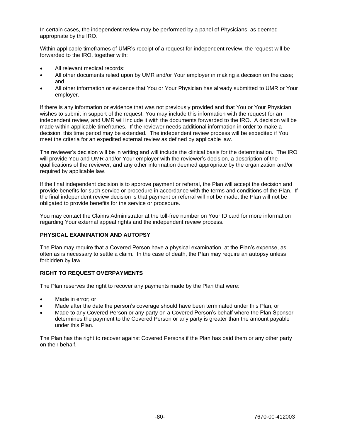In certain cases, the independent review may be performed by a panel of Physicians, as deemed appropriate by the IRO.

Within applicable timeframes of UMR's receipt of a request for independent review, the request will be forwarded to the IRO, together with:

- All relevant medical records;
- All other documents relied upon by UMR and/or Your employer in making a decision on the case; and
- All other information or evidence that You or Your Physician has already submitted to UMR or Your employer.

If there is any information or evidence that was not previously provided and that You or Your Physician wishes to submit in support of the request, You may include this information with the request for an independent review, and UMR will include it with the documents forwarded to the IRO. A decision will be made within applicable timeframes. If the reviewer needs additional information in order to make a decision, this time period may be extended. The independent review process will be expedited if You meet the criteria for an expedited external review as defined by applicable law.

The reviewer's decision will be in writing and will include the clinical basis for the determination. The IRO will provide You and UMR and/or Your employer with the reviewer's decision, a description of the qualifications of the reviewer, and any other information deemed appropriate by the organization and/or required by applicable law.

If the final independent decision is to approve payment or referral, the Plan will accept the decision and provide benefits for such service or procedure in accordance with the terms and conditions of the Plan. If the final independent review decision is that payment or referral will not be made, the Plan will not be obligated to provide benefits for the service or procedure.

You may contact the Claims Administrator at the toll-free number on Your ID card for more information regarding Your external appeal rights and the independent review process.

#### **PHYSICAL EXAMINATION AND AUTOPSY**

The Plan may require that a Covered Person have a physical examination, at the Plan's expense, as often as is necessary to settle a claim. In the case of death, the Plan may require an autopsy unless forbidden by law.

#### **RIGHT TO REQUEST OVERPAYMENTS**

The Plan reserves the right to recover any payments made by the Plan that were:

- Made in error; or
- Made after the date the person's coverage should have been terminated under this Plan; or
- Made to any Covered Person or any party on a Covered Person's behalf where the Plan Sponsor determines the payment to the Covered Person or any party is greater than the amount payable under this Plan.

The Plan has the right to recover against Covered Persons if the Plan has paid them or any other party on their behalf.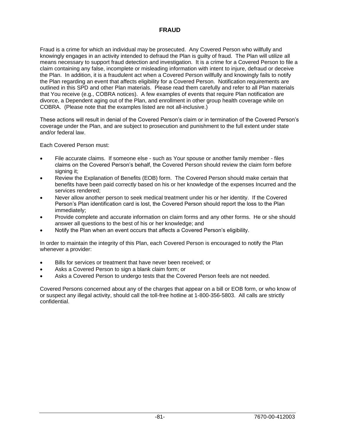## **FRAUD**

Fraud is a crime for which an individual may be prosecuted. Any Covered Person who willfully and knowingly engages in an activity intended to defraud the Plan is guilty of fraud. The Plan will utilize all means necessary to support fraud detection and investigation. It is a crime for a Covered Person to file a claim containing any false, incomplete or misleading information with intent to injure, defraud or deceive the Plan. In addition, it is a fraudulent act when a Covered Person willfully and knowingly fails to notify the Plan regarding an event that affects eligibility for a Covered Person. Notification requirements are outlined in this SPD and other Plan materials. Please read them carefully and refer to all Plan materials that You receive (e.g., COBRA notices). A few examples of events that require Plan notification are divorce, a Dependent aging out of the Plan, and enrollment in other group health coverage while on COBRA. (Please note that the examples listed are not all-inclusive.)

These actions will result in denial of the Covered Person's claim or in termination of the Covered Person's coverage under the Plan, and are subject to prosecution and punishment to the full extent under state and/or federal law.

Each Covered Person must:

- File accurate claims. If someone else such as Your spouse or another family member files claims on the Covered Person's behalf, the Covered Person should review the claim form before signing it;
- Review the Explanation of Benefits (EOB) form. The Covered Person should make certain that benefits have been paid correctly based on his or her knowledge of the expenses Incurred and the services rendered;
- Never allow another person to seek medical treatment under his or her identity. If the Covered Person's Plan identification card is lost, the Covered Person should report the loss to the Plan immediately;
- Provide complete and accurate information on claim forms and any other forms. He or she should answer all questions to the best of his or her knowledge; and
- Notify the Plan when an event occurs that affects a Covered Person's eligibility.

In order to maintain the integrity of this Plan, each Covered Person is encouraged to notify the Plan whenever a provider:

- Bills for services or treatment that have never been received; or
- Asks a Covered Person to sign a blank claim form; or
- Asks a Covered Person to undergo tests that the Covered Person feels are not needed.

Covered Persons concerned about any of the charges that appear on a bill or EOB form, or who know of or suspect any illegal activity, should call the toll-free hotline at 1-800-356-5803. All calls are strictly confidential.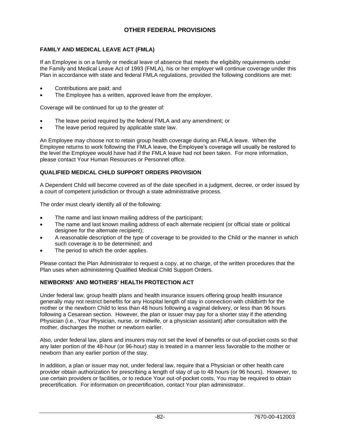## **OTHER FEDERAL PROVISIONS**

## **FAMILY AND MEDICAL LEAVE ACT (FMLA)**

If an Employee is on a family or medical leave of absence that meets the eligibility requirements under the Family and Medical Leave Act of 1993 (FMLA), his or her employer will continue coverage under this Plan in accordance with state and federal FMLA regulations, provided the following conditions are met:

- Contributions are paid; and
- The Employee has a written, approved leave from the employer.

Coverage will be continued for up to the greater of:

- The leave period required by the federal FMLA and any amendment; or
- The leave period required by applicable state law.

An Employee may choose not to retain group health coverage during an FMLA leave. When the Employee returns to work following the FMLA leave, the Employee's coverage will usually be restored to the level the Employee would have had if the FMLA leave had not been taken. For more information, please contact Your Human Resources or Personnel office.

#### **QUALIFIED MEDICAL CHILD SUPPORT ORDERS PROVISION**

A Dependent Child will become covered as of the date specified in a judgment, decree, or order issued by a court of competent jurisdiction or through a state administrative process.

The order must clearly identify all of the following:

- The name and last known mailing address of the participant;
- The name and last known mailing address of each alternate recipient (or official state or political designee for the alternate recipient);
- A reasonable description of the type of coverage to be provided to the Child or the manner in which such coverage is to be determined; and
- The period to which the order applies.

Please contact the Plan Administrator to request a copy, at no charge, of the written procedures that the Plan uses when administering Qualified Medical Child Support Orders.

## **NEWBORNS' AND MOTHERS' HEALTH PROTECTION ACT**

Under federal law, group health plans and health insurance issuers offering group health insurance generally may not restrict benefits for any Hospital length of stay in connection with childbirth for the mother or the newborn Child to less than 48 hours following a vaginal delivery, or less than 96 hours following a Cesarean section. However, the plan or issuer may pay for a shorter stay if the attending Physician (i.e., Your Physician, nurse, or midwife, or a physician assistant) after consultation with the mother, discharges the mother or newborn earlier.

Also, under federal law, plans and insurers may not set the level of benefits or out-of-pocket costs so that any later portion of the 48-hour (or 96-hour) stay is treated in a manner less favorable to the mother or newborn than any earlier portion of the stay.

In addition, a plan or issuer may not, under federal law, require that a Physician or other health care provider obtain authorization for prescribing a length of stay of up to 48 hours (or 96 hours). However, to use certain providers or facilities, or to reduce Your out-of-pocket costs, You may be required to obtain precertification. For information on precertification, contact Your plan administrator.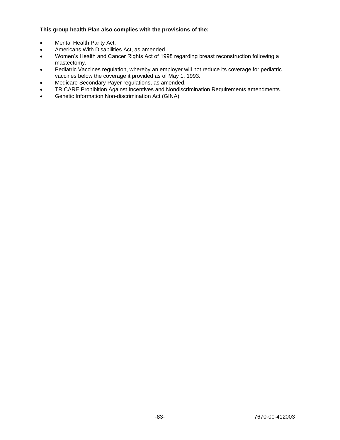## **This group health Plan also complies with the provisions of the:**

- Mental Health Parity Act.
- Americans With Disabilities Act, as amended.
- Women's Health and Cancer Rights Act of 1998 regarding breast reconstruction following a mastectomy.
- Pediatric Vaccines regulation, whereby an employer will not reduce its coverage for pediatric vaccines below the coverage it provided as of May 1, 1993.
- Medicare Secondary Payer regulations, as amended.
- TRICARE Prohibition Against Incentives and Nondiscrimination Requirements amendments.
- Genetic Information Non-discrimination Act (GINA).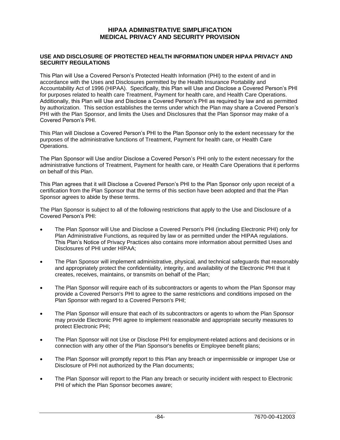### **HIPAA ADMINISTRATIVE SIMPLIFICATION MEDICAL PRIVACY AND SECURITY PROVISION**

#### **USE AND DISCLOSURE OF PROTECTED HEALTH INFORMATION UNDER HIPAA PRIVACY AND SECURITY REGULATIONS**

This Plan will Use a Covered Person's Protected Health Information (PHI) to the extent of and in accordance with the Uses and Disclosures permitted by the Health Insurance Portability and Accountability Act of 1996 (HIPAA). Specifically, this Plan will Use and Disclose a Covered Person's PHI for purposes related to health care Treatment, Payment for health care, and Health Care Operations. Additionally, this Plan will Use and Disclose a Covered Person's PHI as required by law and as permitted by authorization. This section establishes the terms under which the Plan may share a Covered Person's PHI with the Plan Sponsor, and limits the Uses and Disclosures that the Plan Sponsor may make of a Covered Person's PHI.

This Plan will Disclose a Covered Person's PHI to the Plan Sponsor only to the extent necessary for the purposes of the administrative functions of Treatment, Payment for health care, or Health Care Operations.

The Plan Sponsor will Use and/or Disclose a Covered Person's PHI only to the extent necessary for the administrative functions of Treatment, Payment for health care, or Health Care Operations that it performs on behalf of this Plan.

This Plan agrees that it will Disclose a Covered Person's PHI to the Plan Sponsor only upon receipt of a certification from the Plan Sponsor that the terms of this section have been adopted and that the Plan Sponsor agrees to abide by these terms.

The Plan Sponsor is subject to all of the following restrictions that apply to the Use and Disclosure of a Covered Person's PHI:

- The Plan Sponsor will Use and Disclose a Covered Person's PHI (including Electronic PHI) only for Plan Administrative Functions, as required by law or as permitted under the HIPAA regulations. This Plan's Notice of Privacy Practices also contains more information about permitted Uses and Disclosures of PHI under HIPAA;
- The Plan Sponsor will implement administrative, physical, and technical safeguards that reasonably and appropriately protect the confidentiality, integrity, and availability of the Electronic PHI that it creates, receives, maintains, or transmits on behalf of the Plan;
- The Plan Sponsor will require each of its subcontractors or agents to whom the Plan Sponsor may provide a Covered Person's PHI to agree to the same restrictions and conditions imposed on the Plan Sponsor with regard to a Covered Person's PHI;
- The Plan Sponsor will ensure that each of its subcontractors or agents to whom the Plan Sponsor may provide Electronic PHI agree to implement reasonable and appropriate security measures to protect Electronic PHI;
- The Plan Sponsor will not Use or Disclose PHI for employment-related actions and decisions or in connection with any other of the Plan Sponsor's benefits or Employee benefit plans;
- The Plan Sponsor will promptly report to this Plan any breach or impermissible or improper Use or Disclosure of PHI not authorized by the Plan documents;
- The Plan Sponsor will report to the Plan any breach or security incident with respect to Electronic PHI of which the Plan Sponsor becomes aware;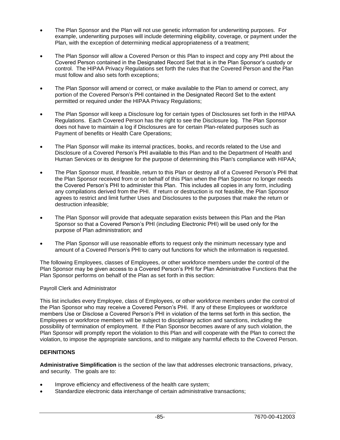- The Plan Sponsor and the Plan will not use genetic information for underwriting purposes. For example, underwriting purposes will include determining eligibility, coverage, or payment under the Plan, with the exception of determining medical appropriateness of a treatment;
- The Plan Sponsor will allow a Covered Person or this Plan to inspect and copy any PHI about the Covered Person contained in the Designated Record Set that is in the Plan Sponsor's custody or control. The HIPAA Privacy Regulations set forth the rules that the Covered Person and the Plan must follow and also sets forth exceptions;
- The Plan Sponsor will amend or correct, or make available to the Plan to amend or correct, any portion of the Covered Person's PHI contained in the Designated Record Set to the extent permitted or required under the HIPAA Privacy Regulations;
- The Plan Sponsor will keep a Disclosure log for certain types of Disclosures set forth in the HIPAA Regulations. Each Covered Person has the right to see the Disclosure log. The Plan Sponsor does not have to maintain a log if Disclosures are for certain Plan-related purposes such as Payment of benefits or Health Care Operations;
- The Plan Sponsor will make its internal practices, books, and records related to the Use and Disclosure of a Covered Person's PHI available to this Plan and to the Department of Health and Human Services or its designee for the purpose of determining this Plan's compliance with HIPAA;
- The Plan Sponsor must, if feasible, return to this Plan or destroy all of a Covered Person's PHI that the Plan Sponsor received from or on behalf of this Plan when the Plan Sponsor no longer needs the Covered Person's PHI to administer this Plan. This includes all copies in any form, including any compilations derived from the PHI. If return or destruction is not feasible, the Plan Sponsor agrees to restrict and limit further Uses and Disclosures to the purposes that make the return or destruction infeasible;
- The Plan Sponsor will provide that adequate separation exists between this Plan and the Plan Sponsor so that a Covered Person's PHI (including Electronic PHI) will be used only for the purpose of Plan administration; and
- The Plan Sponsor will use reasonable efforts to request only the minimum necessary type and amount of a Covered Person's PHI to carry out functions for which the information is requested.

The following Employees, classes of Employees, or other workforce members under the control of the Plan Sponsor may be given access to a Covered Person's PHI for Plan Administrative Functions that the Plan Sponsor performs on behalf of the Plan as set forth in this section:

#### Payroll Clerk and Administrator

This list includes every Employee, class of Employees, or other workforce members under the control of the Plan Sponsor who may receive a Covered Person's PHI. If any of these Employees or workforce members Use or Disclose a Covered Person's PHI in violation of the terms set forth in this section, the Employees or workforce members will be subject to disciplinary action and sanctions, including the possibility of termination of employment. If the Plan Sponsor becomes aware of any such violation, the Plan Sponsor will promptly report the violation to this Plan and will cooperate with the Plan to correct the violation, to impose the appropriate sanctions, and to mitigate any harmful effects to the Covered Person.

#### **DEFINITIONS**

**Administrative Simplification** is the section of the law that addresses electronic transactions, privacy, and security. The goals are to:

- Improve efficiency and effectiveness of the health care system;
- Standardize electronic data interchange of certain administrative transactions;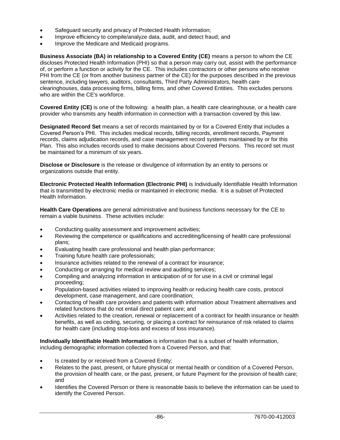- Safeguard security and privacy of Protected Health Information;
- Improve efficiency to compile/analyze data, audit, and detect fraud; and
- Improve the Medicare and Medicaid programs.

**Business Associate (BA) in relationship to a Covered Entity (CE)** means a person to whom the CE discloses Protected Health Information (PHI) so that a person may carry out, assist with the performance of, or perform a function or activity for the CE. This includes contractors or other persons who receive PHI from the CE (or from another business partner of the CE) for the purposes described in the previous sentence, including lawyers, auditors, consultants, Third Party Administrators, health care clearinghouses, data processing firms, billing firms, and other Covered Entities. This excludes persons who are within the CE's workforce.

**Covered Entity (CE)** is one of the following: a health plan, a health care clearinghouse, or a health care provider who transmits any health information in connection with a transaction covered by this law.

**Designated Record Set** means a set of records maintained by or for a Covered Entity that includes a Covered Person's PHI. This includes medical records, billing records, enrollment records, Payment records, claims adjudication records, and case management record systems maintained by or for this Plan. This also includes records used to make decisions about Covered Persons. This record set must be maintained for a minimum of six years.

**Disclose or Disclosure** is the release or divulgence of information by an entity to persons or organizations outside that entity.

**Electronic Protected Health Information (Electronic PHI)** is Individually Identifiable Health Information that is transmitted by electronic media or maintained in electronic media. It is a subset of Protected Health Information.

**Health Care Operations** are general administrative and business functions necessary for the CE to remain a viable business. These activities include:

- Conducting quality assessment and improvement activities;
- Reviewing the competence or qualifications and accrediting/licensing of health care professional plans;
- Evaluating health care professional and health plan performance;
- Training future health care professionals;
- Insurance activities related to the renewal of a contract for insurance;
- Conducting or arranging for medical review and auditing services;
- Compiling and analyzing information in anticipation of or for use in a civil or criminal legal proceeding;
- Population-based activities related to improving health or reducing health care costs, protocol development, case management, and care coordination;
- Contacting of health care providers and patients with information about Treatment alternatives and related functions that do not entail direct patient care; and
- Activities related to the creation, renewal or replacement of a contract for health insurance or health benefits, as well as ceding, securing, or placing a contract for reinsurance of risk related to claims for health care (including stop-loss and excess of loss insurance).

**Individually Identifiable Health Information** is information that is a subset of health information, including demographic information collected from a Covered Person, and that:

- Is created by or received from a Covered Entity;
- Relates to the past, present, or future physical or mental health or condition of a Covered Person, the provision of health care, or the past, present, or future Payment for the provision of health care; and
- Identifies the Covered Person or there is reasonable basis to believe the information can be used to identify the Covered Person.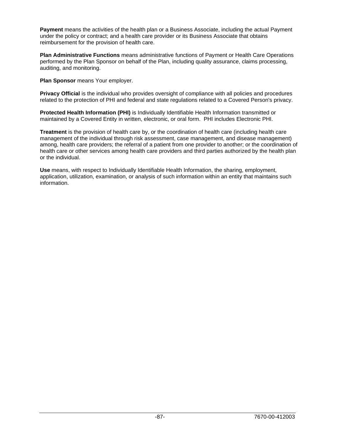**Payment** means the activities of the health plan or a Business Associate, including the actual Payment under the policy or contract; and a health care provider or its Business Associate that obtains reimbursement for the provision of health care.

**Plan Administrative Functions** means administrative functions of Payment or Health Care Operations performed by the Plan Sponsor on behalf of the Plan, including quality assurance, claims processing, auditing, and monitoring.

**Plan Sponsor** means Your employer.

**Privacy Official** is the individual who provides oversight of compliance with all policies and procedures related to the protection of PHI and federal and state regulations related to a Covered Person's privacy.

**Protected Health Information (PHI)** is Individually Identifiable Health Information transmitted or maintained by a Covered Entity in written, electronic, or oral form. PHI includes Electronic PHI.

**Treatment** is the provision of health care by, or the coordination of health care (including health care management of the individual through risk assessment, case management, and disease management) among, health care providers; the referral of a patient from one provider to another; or the coordination of health care or other services among health care providers and third parties authorized by the health plan or the individual.

**Use** means, with respect to Individually Identifiable Health Information, the sharing, employment, application, utilization, examination, or analysis of such information within an entity that maintains such information.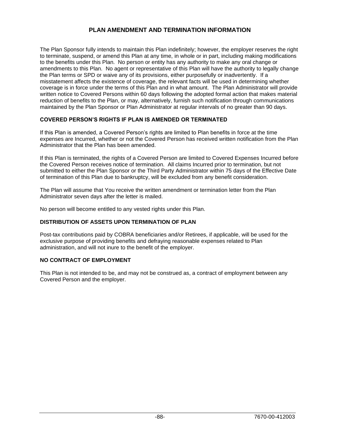## **PLAN AMENDMENT AND TERMINATION INFORMATION**

The Plan Sponsor fully intends to maintain this Plan indefinitely; however, the employer reserves the right to terminate, suspend, or amend this Plan at any time, in whole or in part, including making modifications to the benefits under this Plan. No person or entity has any authority to make any oral change or amendments to this Plan. No agent or representative of this Plan will have the authority to legally change the Plan terms or SPD or waive any of its provisions, either purposefully or inadvertently. If a misstatement affects the existence of coverage, the relevant facts will be used in determining whether coverage is in force under the terms of this Plan and in what amount. The Plan Administrator will provide written notice to Covered Persons within 60 days following the adopted formal action that makes material reduction of benefits to the Plan, or may, alternatively, furnish such notification through communications maintained by the Plan Sponsor or Plan Administrator at regular intervals of no greater than 90 days.

## **COVERED PERSON'S RIGHTS IF PLAN IS AMENDED OR TERMINATED**

If this Plan is amended, a Covered Person's rights are limited to Plan benefits in force at the time expenses are Incurred, whether or not the Covered Person has received written notification from the Plan Administrator that the Plan has been amended.

If this Plan is terminated, the rights of a Covered Person are limited to Covered Expenses Incurred before the Covered Person receives notice of termination. All claims Incurred prior to termination, but not submitted to either the Plan Sponsor or the Third Party Administrator within 75 days of the Effective Date of termination of this Plan due to bankruptcy, will be excluded from any benefit consideration.

The Plan will assume that You receive the written amendment or termination letter from the Plan Administrator seven days after the letter is mailed.

No person will become entitled to any vested rights under this Plan.

## **DISTRIBUTION OF ASSETS UPON TERMINATION OF PLAN**

Post-tax contributions paid by COBRA beneficiaries and/or Retirees, if applicable, will be used for the exclusive purpose of providing benefits and defraying reasonable expenses related to Plan administration, and will not inure to the benefit of the employer.

#### **NO CONTRACT OF EMPLOYMENT**

This Plan is not intended to be, and may not be construed as, a contract of employment between any Covered Person and the employer.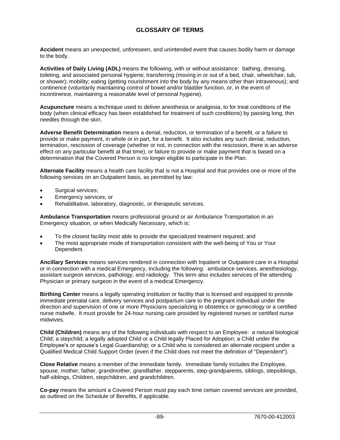# **GLOSSARY OF TERMS**

**Accident** means an unexpected, unforeseen, and unintended event that causes bodily harm or damage to the body.

**Activities of Daily Living (ADL)** means the following, with or without assistance: bathing, dressing, toileting, and associated personal hygiene; transferring (moving in or out of a bed, chair, wheelchair, tub, or shower); mobility; eating (getting nourishment into the body by any means other than intravenous); and continence (voluntarily maintaining control of bowel and/or bladder function, or, in the event of incontinence, maintaining a reasonable level of personal hygiene).

**Acupuncture** means a technique used to deliver anesthesia or analgesia, to for treat conditions of the body (when clinical efficacy has been established for treatment of such conditions) by passing long, thin needles through the skin.

**Adverse Benefit Determination** means a denial, reduction, or termination of a benefit, or a failure to provide or make payment, in whole or in part, for a benefit. It also includes any such denial, reduction, termination, rescission of coverage (whether or not, in connection with the rescission, there is an adverse effect on any particular benefit at that time), or failure to provide or make payment that is based on a determination that the Covered Person is no longer eligible to participate in the Plan.

**Alternate Facility** means a health care facility that is not a Hospital and that provides one or more of the following services on an Outpatient basis, as permitted by law:

- Surgical services;
- Emergency services; or
- Rehabilitative, laboratory, diagnostic, or therapeutic services.

**Ambulance Transportation** means professional ground or air Ambulance Transportation in an Emergency situation, or when Medically Necessary, which is:

- To the closest facility most able to provide the specialized treatment required; and
- The most appropriate mode of transportation consistent with the well-being of You or Your Dependent.

**Ancillary Services** means services rendered in connection with Inpatient or Outpatient care in a Hospital or in connection with a medical Emergency, including the following: ambulance services, anesthesiology, assistant surgeon services, pathology, and radiology. This term also includes services of the attending Physician or primary surgeon in the event of a medical Emergency.

**Birthing Center** means a legally operating institution or facility that is licensed and equipped to provide immediate prenatal care, delivery services and postpartum care to the pregnant individual under the direction and supervision of one or more Physicians specializing in obstetrics or gynecology or a certified nurse midwife. It must provide for 24-hour nursing care provided by registered nurses or certified nurse midwives.

**Child (Children)** means any of the following individuals with respect to an Employee: a natural biological Child; a stepchild; a legally adopted Child or a Child legally Placed for Adoption; a Child under the Employee's or spouse's Legal Guardianship; or a Child who is considered an alternate recipient under a Qualified Medical Child Support Order (even if the Child does not meet the definition of "Dependent").

**Close Relative** means a member of the immediate family. Immediate family includes the Employee, spouse, mother, father, grandmother, grandfather, stepparents, step-grandparents, siblings, stepsiblings, half-siblings, Children, stepchildren, and grandchildren.

**Co-pay** means the amount a Covered Person must pay each time certain covered services are provided, as outlined on the Schedule of Benefits, if applicable.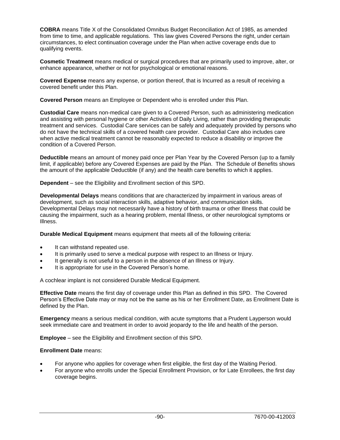**COBRA** means Title X of the Consolidated Omnibus Budget Reconciliation Act of 1985, as amended from time to time, and applicable regulations. This law gives Covered Persons the right, under certain circumstances, to elect continuation coverage under the Plan when active coverage ends due to qualifying events.

**Cosmetic Treatment** means medical or surgical procedures that are primarily used to improve, alter, or enhance appearance, whether or not for psychological or emotional reasons.

**Covered Expense** means any expense, or portion thereof, that is Incurred as a result of receiving a covered benefit under this Plan.

**Covered Person** means an Employee or Dependent who is enrolled under this Plan.

**Custodial Care** means non-medical care given to a Covered Person, such as administering medication and assisting with personal hygiene or other Activities of Daily Living, rather than providing therapeutic treatment and services. Custodial Care services can be safely and adequately provided by persons who do not have the technical skills of a covered health care provider. Custodial Care also includes care when active medical treatment cannot be reasonably expected to reduce a disability or improve the condition of a Covered Person.

**Deductible** means an amount of money paid once per Plan Year by the Covered Person (up to a family limit, if applicable) before any Covered Expenses are paid by the Plan. The Schedule of Benefits shows the amount of the applicable Deductible (if any) and the health care benefits to which it applies.

**Dependent** – see the Eligibility and Enrollment section of this SPD.

**Developmental Delays** means conditions that are characterized by impairment in various areas of development, such as social interaction skills, adaptive behavior, and communication skills. Developmental Delays may not necessarily have a history of birth trauma or other Illness that could be causing the impairment, such as a hearing problem, mental Illness, or other neurological symptoms or Illness.

**Durable Medical Equipment** means equipment that meets all of the following criteria:

- It can withstand repeated use.
- It is primarily used to serve a medical purpose with respect to an Illness or Injury.
- It generally is not useful to a person in the absence of an Illness or Injury.
- It is appropriate for use in the Covered Person's home.

A cochlear implant is not considered Durable Medical Equipment.

**Effective Date** means the first day of coverage under this Plan as defined in this SPD. The Covered Person's Effective Date may or may not be the same as his or her Enrollment Date, as Enrollment Date is defined by the Plan.

**Emergency** means a serious medical condition, with acute symptoms that a Prudent Layperson would seek immediate care and treatment in order to avoid jeopardy to the life and health of the person.

**Employee** – see the Eligibility and Enrollment section of this SPD.

#### **Enrollment Date** means:

- For anyone who applies for coverage when first eligible, the first day of the Waiting Period.
- For anyone who enrolls under the Special Enrollment Provision, or for Late Enrollees, the first day coverage begins.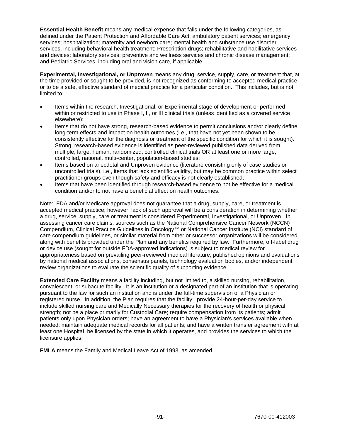**Essential Health Benefit** means any medical expense that falls under the following categories, as defined under the Patient Protection and Affordable Care Act; ambulatory patient services; emergency services; hospitalization; maternity and newborn care; mental health and substance use disorder services, including behavioral health treatment; Prescription drugs; rehabilitative and habilitative services and devices; laboratory services; preventive and wellness services and chronic disease management; and Pediatric Services, including oral and vision care, if applicable .

**Experimental, Investigational, or Unproven** means any drug, service, supply, care, or treatment that, at the time provided or sought to be provided, is not recognized as conforming to accepted medical practice or to be a safe, effective standard of medical practice for a particular condition. This includes, but is not limited to:

- Items within the research, Investigational, or Experimental stage of development or performed within or restricted to use in Phase I, II, or III clinical trials (unless identified as a covered service elsewhere);
- Items that do not have strong, research-based evidence to permit conclusions and/or clearly define long-term effects and impact on health outcomes (i.e., that have not yet been shown to be consistently effective for the diagnosis or treatment of the specific condition for which it is sought). Strong, research-based evidence is identified as peer-reviewed published data derived from multiple, large, human, randomized, controlled clinical trials OR at least one or more large, controlled, national, multi-center, population-based studies;
- Items based on anecdotal and Unproven evidence (literature consisting only of case studies or uncontrolled trials), i.e., items that lack scientific validity, but may be common practice within select practitioner groups even though safety and efficacy is not clearly established;
- Items that have been identified through research-based evidence to not be effective for a medical condition and/or to not have a beneficial effect on health outcomes.

Note: FDA and/or Medicare approval does not guarantee that a drug, supply, care, or treatment is accepted medical practice; however, lack of such approval will be a consideration in determining whether a drug, service, supply, care or treatment is considered Experimental, Investigational, or Unproven. In assessing cancer care claims, sources such as the National Comprehensive Cancer Network (NCCN) Compendium, Clinical Practice Guidelines in Oncology™ or National Cancer Institute (NCI) standard of care compendium guidelines, or similar material from other or successor organizations will be considered along with benefits provided under the Plan and any benefits required by law. Furthermore, off-label drug or device use (sought for outside FDA-approved indications) is subject to medical review for appropriateness based on prevailing peer-reviewed medical literature, published opinions and evaluations by national medical associations, consensus panels, technology evaluation bodies, and/or independent review organizations to evaluate the scientific quality of supporting evidence.

**Extended Care Facility** means a facility including, but not limited to, a skilled nursing, rehabilitation, convalescent, or subacute facility. It is an institution or a designated part of an institution that is operating pursuant to the law for such an institution and is under the full-time supervision of a Physician or registered nurse. In addition, the Plan requires that the facility: provide 24-hour-per-day service to include skilled nursing care and Medically Necessary therapies for the recovery of health or physical strength; not be a place primarily for Custodial Care; require compensation from its patients; admit patients only upon Physician orders; have an agreement to have a Physician's services available when needed; maintain adequate medical records for all patients; and have a written transfer agreement with at least one Hospital, be licensed by the state in which it operates, and provides the services to which the licensure applies.

**FMLA** means the Family and Medical Leave Act of 1993, as amended.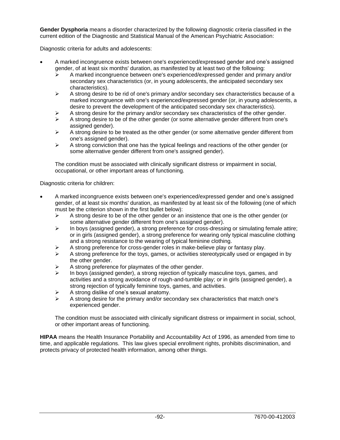**Gender Dysphoria** means a disorder characterized by the following diagnostic criteria classified in the current edition of the Diagnostic and Statistical Manual of the American Psychiatric Association:

Diagnostic criteria for adults and adolescents:

- A marked incongruence exists between one's experienced/expressed gender and one's assigned gender, of at least six months' duration, as manifested by at least two of the following:
	- ➢ A marked incongruence between one's experienced/expressed gender and primary and/or secondary sex characteristics (or, in young adolescents, the anticipated secondary sex characteristics).
	- $\triangleright$  A strong desire to be rid of one's primary and/or secondary sex characteristics because of a marked incongruence with one's experienced/expressed gender (or, in young adolescents, a desire to prevent the development of the anticipated secondary sex characteristics).
	- ➢ A strong desire for the primary and/or secondary sex characteristics of the other gender.
	- ➢ A strong desire to be of the other gender (or some alternative gender different from one's assigned gender).
	- ➢ A strong desire to be treated as the other gender (or some alternative gender different from one's assigned gender).
	- $\triangleright$  A strong conviction that one has the typical feelings and reactions of the other gender (or some alternative gender different from one's assigned gender).

The condition must be associated with clinically significant distress or impairment in social, occupational, or other important areas of functioning.

Diagnostic criteria for children:

- A marked incongruence exists between one's experienced/expressed gender and one's assigned gender, of at least six months' duration, as manifested by at least six of the following (one of which must be the criterion shown in the first bullet below):
	- $\triangleright$  A strong desire to be of the other gender or an insistence that one is the other gender (or some alternative gender different from one's assigned gender).
	- $\triangleright$  In boys (assigned gender), a strong preference for cross-dressing or simulating female attire; or in girls (assigned gender), a strong preference for wearing only typical masculine clothing and a strong resistance to the wearing of typical feminine clothing.
	- ➢ A strong preference for cross-gender roles in make-believe play or fantasy play.
	- ➢ A strong preference for the toys, games, or activities stereotypically used or engaged in by the other gender.
	- A strong preference for playmates of the other gender.
	- In boys (assigned gender), a strong rejection of typically masculine toys, games, and activities and a strong avoidance of rough-and-tumble play; or in girls (assigned gender), a strong rejection of typically feminine toys, games, and activities.
	- $\triangleright$  A strong dislike of one's sexual anatomy.
	- ➢ A strong desire for the primary and/or secondary sex characteristics that match one's experienced gender.

The condition must be associated with clinically significant distress or impairment in social, school, or other important areas of functioning.

**HIPAA** means the Health Insurance Portability and Accountability Act of 1996, as amended from time to time, and applicable regulations. This law gives special enrollment rights, prohibits discrimination, and protects privacy of protected health information, among other things.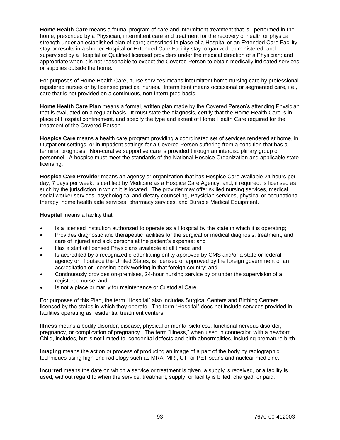**Home Health Care** means a formal program of care and intermittent treatment that is: performed in the home; prescribed by a Physician; intermittent care and treatment for the recovery of health or physical strength under an established plan of care; prescribed in place of a Hospital or an Extended Care Facility stay or results in a shorter Hospital or Extended Care Facility stay; organized, administered, and supervised by a Hospital or Qualified licensed providers under the medical direction of a Physician; and appropriate when it is not reasonable to expect the Covered Person to obtain medically indicated services or supplies outside the home.

For purposes of Home Health Care, nurse services means intermittent home nursing care by professional registered nurses or by licensed practical nurses. Intermittent means occasional or segmented care, i.e., care that is not provided on a continuous, non-interrupted basis.

**Home Health Care Plan** means a formal, written plan made by the Covered Person's attending Physician that is evaluated on a regular basis. It must state the diagnosis, certify that the Home Health Care is in place of Hospital confinement, and specify the type and extent of Home Health Care required for the treatment of the Covered Person.

**Hospice Care** means a health care program providing a coordinated set of services rendered at home, in Outpatient settings, or in Inpatient settings for a Covered Person suffering from a condition that has a terminal prognosis. Non-curative supportive care is provided through an interdisciplinary group of personnel. A hospice must meet the standards of the National Hospice Organization and applicable state licensing.

**Hospice Care Provider** means an agency or organization that has Hospice Care available 24 hours per day, 7 days per week; is certified by Medicare as a Hospice Care Agency; and, if required, is licensed as such by the jurisdiction in which it is located. The provider may offer skilled nursing services, medical social worker services, psychological and dietary counseling, Physician services, physical or occupational therapy, home health aide services, pharmacy services, and Durable Medical Equipment.

#### **Hospital** means a facility that:

- Is a licensed institution authorized to operate as a Hospital by the state in which it is operating;
- Provides diagnostic and therapeutic facilities for the surgical or medical diagnosis, treatment, and care of injured and sick persons at the patient's expense; and
- Has a staff of licensed Physicians available at all times; and
- Is accredited by a recognized credentialing entity approved by CMS and/or a state or federal agency or, if outside the United States, is licensed or approved by the foreign government or an accreditation or licensing body working in that foreign country; and
- Continuously provides on-premises, 24-hour nursing service by or under the supervision of a registered nurse; and
- Is not a place primarily for maintenance or Custodial Care.

For purposes of this Plan, the term "Hospital" also includes Surgical Centers and Birthing Centers licensed by the states in which they operate. The term "Hospital" does not include services provided in facilities operating as residential treatment centers.

**Illness** means a bodily disorder, disease, physical or mental sickness, functional nervous disorder, pregnancy, or complication of pregnancy. The term "Illness," when used in connection with a newborn Child, includes, but is not limited to, congenital defects and birth abnormalities, including premature birth.

**Imaging** means the action or process of producing an image of a part of the body by radiographic techniques using high-end radiology such as MRA, MRI, CT, or PET scans and nuclear medicine.

**Incurred** means the date on which a service or treatment is given, a supply is received, or a facility is used, without regard to when the service, treatment, supply, or facility is billed, charged, or paid.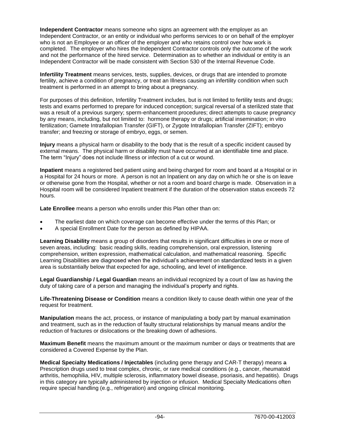**Independent Contractor** means someone who signs an agreement with the employer as an Independent Contractor, or an entity or individual who performs services to or on behalf of the employer who is not an Employee or an officer of the employer and who retains control over how work is completed. The employer who hires the Independent Contractor controls only the outcome of the work and not the performance of the hired service. Determination as to whether an individual or entity is an Independent Contractor will be made consistent with Section 530 of the Internal Revenue Code.

**Infertility Treatment** means services, tests, supplies, devices, or drugs that are intended to promote fertility, achieve a condition of pregnancy, or treat an Illness causing an infertility condition when such treatment is performed in an attempt to bring about a pregnancy.

For purposes of this definition, Infertility Treatment includes, but is not limited to fertility tests and drugs; tests and exams performed to prepare for induced conception; surgical reversal of a sterilized state that was a result of a previous surgery; sperm-enhancement procedures; direct attempts to cause pregnancy by any means, including, but not limited to: hormone therapy or drugs; artificial insemination; in vitro fertilization; Gamete Intrafallopian Transfer (GIFT), or Zygote Intrafallopian Transfer (ZIFT); embryo transfer; and freezing or storage of embryo, eggs, or semen.

**Injury** means a physical harm or disability to the body that is the result of a specific incident caused by external means. The physical harm or disability must have occurred at an identifiable time and place. The term "Injury" does not include Illness or infection of a cut or wound.

**Inpatient** means a registered bed patient using and being charged for room and board at a Hospital or in a Hospital for 24 hours or more. A person is not an Inpatient on any day on which he or she is on leave or otherwise gone from the Hospital, whether or not a room and board charge is made. Observation in a Hospital room will be considered Inpatient treatment if the duration of the observation status exceeds 72 hours.

**Late Enrollee** means a person who enrolls under this Plan other than on:

- The earliest date on which coverage can become effective under the terms of this Plan; or
- A special Enrollment Date for the person as defined by HIPAA.

**Learning Disability** means a group of disorders that results in significant difficulties in one or more of seven areas, including: basic reading skills, reading comprehension, oral expression, listening comprehension, written expression, mathematical calculation, and mathematical reasoning. Specific Learning Disabilities are diagnosed when the individual's achievement on standardized tests in a given area is substantially below that expected for age, schooling, and level of intelligence.

**Legal Guardianship / Legal Guardian** means an individual recognized by a court of law as having the duty of taking care of a person and managing the individual's property and rights.

**Life-Threatening Disease or Condition** means a condition likely to cause death within one year of the request for treatment.

**Manipulation** means the act, process, or instance of manipulating a body part by manual examination and treatment, such as in the reduction of faulty structural relationships by manual means and/or the reduction of fractures or dislocations or the breaking down of adhesions.

**Maximum Benefit** means the maximum amount or the maximum number or days or treatments that are considered a Covered Expense by the Plan.

**Medical Specialty Medications / Injectables** (including gene therapy and CAR-T therapy) means a Prescription drugs used to treat complex, chronic, or rare medical conditions (e.g., cancer, rheumatoid arthritis, hemophilia, HIV, multiple sclerosis, inflammatory bowel disease, psoriasis, and hepatitis). Drugs in this category are typically administered by injection or infusion. Medical Specialty Medications often require special handling (e.g., refrigeration) and ongoing clinical monitoring.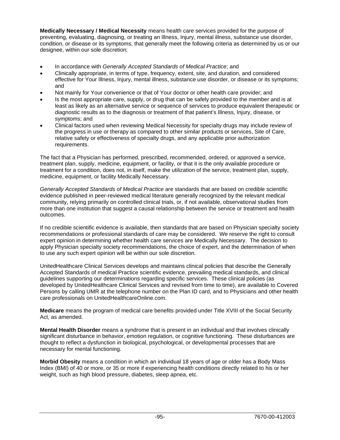**Medically Necessary / Medical Necessity** means health care services provided for the purpose of preventing, evaluating, diagnosing, or treating an Illness, Injury, mental illness, substance use disorder, condition, or disease or its symptoms, that generally meet the following criteria as determined by us or our designee, within our sole discretion:

- In accordance with *Generally Accepted Standards of Medical Practice*; and
- Clinically appropriate, in terms of type, frequency, extent, site, and duration, and considered effective for Your Illness, Injury, mental illness, substance use disorder, or disease or its symptoms; and
- Not mainly for Your convenience or that of Your doctor or other health care provider; and
- Is the most appropriate care, supply, or drug that can be safely provided to the member and is at least as likely as an alternative service or sequence of services to produce equivalent therapeutic or diagnostic results as to the diagnosis or treatment of that patient's Illness, Injury, disease, or symptoms; and
- Clinical factors used when reviewing Medical Necessity for specialty drugs may include review of the progress in use or therapy as compared to other similar products or services, Site of Care, relative safety or effectiveness of specialty drugs, and any applicable prior authorization requirements.

The fact that a Physician has performed, prescribed, recommended, ordered, or approved a service, treatment plan, supply, medicine, equipment, or facility, or that it is the only available procedure or treatment for a condition, does not, in itself, make the utilization of the service, treatment plan, supply, medicine, equipment, or facility Medically Necessary.

*Generally Accepted Standards of Medical Practice* are standards that are based on credible scientific evidence published in peer-reviewed medical literature generally recognized by the relevant medical community, relying primarily on controlled clinical trials, or, if not available, observational studies from more than one institution that suggest a causal relationship between the service or treatment and health outcomes.

If no credible scientific evidence is available, then standards that are based on Physician specialty society recommendations or professional standards of care may be considered. We reserve the right to consult expert opinion in determining whether health care services are Medically Necessary. The decision to apply Physician specialty society recommendations, the choice of expert, and the determination of when to use any such expert opinion will be within our sole discretion.

UnitedHealthcare Clinical Services develops and maintains clinical policies that describe the Generally Accepted Standards of medical Practice scientific evidence, prevailing medical standards, and clinical guidelines supporting our determinations regarding specific services. These clinical policies (as developed by UnitedHealthcare Clinical Services and revised from time to time), are available to Covered Persons by calling UMR at the telephone number on the Plan ID card, and to Physicians and other health care professionals on UnitedHealthcareOnline.com.

**Medicare** means the program of medical care benefits provided under Title XVIII of the Social Security Act, as amended.

**Mental Health Disorder** means a syndrome that is present in an individual and that involves clinically significant disturbance in behavior, emotion regulation, or cognitive functioning. These disturbances are thought to reflect a dysfunction in biological, psychological, or developmental processes that are necessary for mental functioning.

**Morbid Obesity** means a condition in which an individual 18 years of age or older has a Body Mass Index (BMI) of 40 or more, or 35 or more if experiencing health conditions directly related to his or her weight, such as high blood pressure, diabetes, sleep apnea, etc.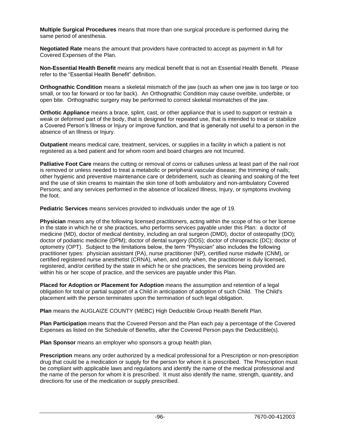**Multiple Surgical Procedures** means that more than one surgical procedure is performed during the same period of anesthesia.

**Negotiated Rate** means the amount that providers have contracted to accept as payment in full for Covered Expenses of the Plan.

**Non-Essential Health Benefit** means any medical benefit that is not an Essential Health Benefit. Please refer to the "Essential Health Benefit" definition.

**Orthognathic Condition** means a skeletal mismatch of the jaw (such as when one jaw is too large or too small, or too far forward or too far back). An Orthognathic Condition may cause overbite, underbite, or open bite. Orthognathic surgery may be performed to correct skeletal mismatches of the jaw.

**Orthotic Appliance** means a brace, splint, cast, or other appliance that is used to support or restrain a weak or deformed part of the body, that is designed for repeated use, that is intended to treat or stabilize a Covered Person's Illness or Injury or improve function, and that is generally not useful to a person in the absence of an Illness or Injury.

**Outpatient** means medical care, treatment, services, or supplies in a facility in which a patient is not registered as a bed patient and for whom room and board charges are not Incurred.

**Palliative Foot Care** means the cutting or removal of corns or calluses unless at least part of the nail root is removed or unless needed to treat a metabolic or peripheral vascular disease; the trimming of nails; other hygienic and preventive maintenance care or debridement, such as cleaning and soaking of the feet and the use of skin creams to maintain the skin tone of both ambulatory and non-ambulatory Covered Persons; and any services performed in the absence of localized Illness, Injury, or symptoms involving the foot.

**Pediatric Services** means services provided to individuals under the age of 19.

**Physician** means any of the following licensed practitioners, acting within the scope of his or her license in the state in which he or she practices, who performs services payable under this Plan: a doctor of medicine (MD), doctor of medical dentistry, including an oral surgeon (DMD), doctor of osteopathy (DO); doctor of podiatric medicine (DPM); doctor of dental surgery (DDS); doctor of chiropractic (DC); doctor of optometry (OPT). Subject to the limitations below, the term "Physician" also includes the following practitioner types: physician assistant (PA), nurse practitioner (NP), certified nurse midwife (CNM), or certified registered nurse anesthetist (CRNA), when, and only when, the practitioner is duly licensed, registered, and/or certified by the state in which he or she practices, the services being provided are within his or her scope of practice, and the services are payable under this Plan.

**Placed for Adoption or Placement for Adoption** means the assumption and retention of a legal obligation for total or partial support of a Child in anticipation of adoption of such Child. The Child's placement with the person terminates upon the termination of such legal obligation.

**Plan** means the AUGLAIZE COUNTY (MEBC) High Deductible Group Health Benefit Plan.

**Plan Participation** means that the Covered Person and the Plan each pay a percentage of the Covered Expenses as listed on the Schedule of Benefits, after the Covered Person pays the Deductible(s).

**Plan Sponsor** means an employer who sponsors a group health plan.

**Prescription** means any order authorized by a medical professional for a Prescription or non-prescription drug that could be a medication or supply for the person for whom it is prescribed. The Prescription must be compliant with applicable laws and regulations and identify the name of the medical professional and the name of the person for whom it is prescribed. It must also identify the name, strength, quantity, and directions for use of the medication or supply prescribed.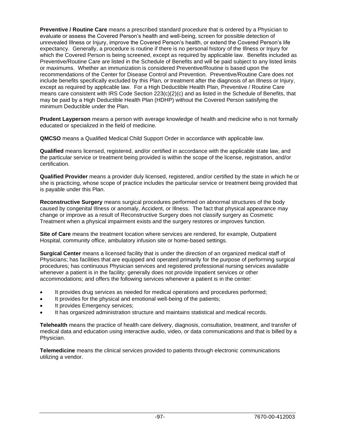**Preventive / Routine Care** means a prescribed standard procedure that is ordered by a Physician to evaluate or assess the Covered Person's health and well-being, screen for possible detection of unrevealed Illness or Injury, improve the Covered Person's health, or extend the Covered Person's life expectancy. Generally, a procedure is routine if there is no personal history of the Illness or Injury for which the Covered Person is being screened, except as required by applicable law. Benefits included as Preventive/Routine Care are listed in the Schedule of Benefits and will be paid subject to any listed limits or maximums. Whether an immunization is considered Preventive/Routine is based upon the recommendations of the Center for Disease Control and Prevention. Preventive/Routine Care does not include benefits specifically excluded by this Plan, or treatment after the diagnosis of an Illness or Injury, except as required by applicable law. For a High Deductible Health Plan, Preventive / Routine Care means care consistent with IRS Code Section 223(c)(2)(c) and as listed in the Schedule of Benefits, that may be paid by a High Deductible Health Plan (HDHP) without the Covered Person satisfying the minimum Deductible under the Plan.

**Prudent Layperson** means a person with average knowledge of health and medicine who is not formally educated or specialized in the field of medicine.

**QMCSO** means a Qualified Medical Child Support Order in accordance with applicable law.

**Qualified** means licensed, registered, and/or certified in accordance with the applicable state law, and the particular service or treatment being provided is within the scope of the license, registration, and/or certification.

**Qualified Provider** means a provider duly licensed, registered, and/or certified by the state in which he or she is practicing, whose scope of practice includes the particular service or treatment being provided that is payable under this Plan.

**Reconstructive Surgery** means surgical procedures performed on abnormal structures of the body caused by congenital Illness or anomaly, Accident, or Illness. The fact that physical appearance may change or improve as a result of Reconstructive Surgery does not classify surgery as Cosmetic Treatment when a physical impairment exists and the surgery restores or improves function.

**Site of Care** means the treatment location where services are rendered, for example, Outpatient Hospital, community office, ambulatory infusion site or home-based settings.

**Surgical Center** means a licensed facility that is under the direction of an organized medical staff of Physicians; has facilities that are equipped and operated primarily for the purpose of performing surgical procedures; has continuous Physician services and registered professional nursing services available whenever a patient is in the facility; generally does not provide Inpatient services or other accommodations; and offers the following services whenever a patient is in the center:

- It provides drug services as needed for medical operations and procedures performed;
- It provides for the physical and emotional well-being of the patients;
- It provides Emergency services;
- It has organized administration structure and maintains statistical and medical records.

**Telehealth** means the practice of health care delivery, diagnosis, consultation, treatment, and transfer of medical data and education using interactive audio, video, or data communications and that is billed by a Physician.

**Telemedicine** means the clinical services provided to patients through electronic communications utilizing a vendor.